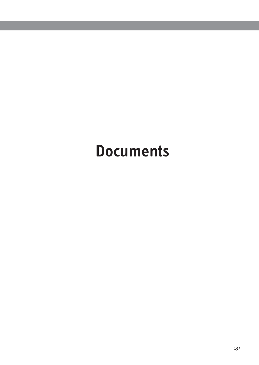# **Documents**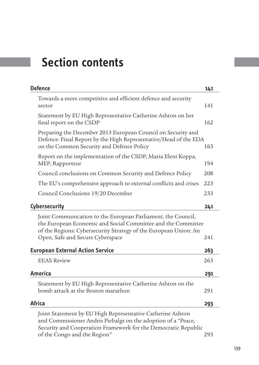## **Section contents**

| <b>Defence</b><br>141                                                                                                                                                                                                                |     |
|--------------------------------------------------------------------------------------------------------------------------------------------------------------------------------------------------------------------------------------|-----|
| Towards a more competitive and efficient defence and security<br>sector                                                                                                                                                              | 141 |
| Statement by EU High Representative Catherine Ashton on her<br>final report on the CSDP                                                                                                                                              | 162 |
| Preparing the December 2013 European Council on Security and<br>Defence: Final Report by the High Representative/Head of the EDA<br>on the Common Security and Defence Policy                                                        | 163 |
| Report on the implementation of the CSDP, Maria Eleni Koppa,<br>MEP, Rapporteur                                                                                                                                                      | 194 |
| Council conclusions on Common Security and Defence Policy                                                                                                                                                                            | 208 |
| The EU's comprehensive approach to external conflicts and crises                                                                                                                                                                     | 223 |
| Council Conclusions 19/20 December                                                                                                                                                                                                   | 233 |
| <b>Cybersecurity</b>                                                                                                                                                                                                                 |     |
| Joint Communication to the European Parliament, the Council,<br>the European Economic and Social Committee and the Committee<br>of the Regions: Cybersecurity Strategy of the European Union: An<br>Open, Safe and Secure Cyberspace | 241 |
| <b>European External Action Service</b>                                                                                                                                                                                              |     |
| <b>EEAS</b> Review                                                                                                                                                                                                                   | 263 |
| <b>America</b>                                                                                                                                                                                                                       |     |
| Statement by EU High Representative Catherine Ashton on the<br>bomb attack at the Boston marathon                                                                                                                                    | 291 |
| <b>Africa</b>                                                                                                                                                                                                                        |     |
| Joint Statement by EU High Representative Catherine Ashton<br>and Commissioner Andris Piebalgs on the adoption of a "Peace,<br>Security and Cooperation Framework for the Democratic Republic<br>of the Congo and the Region"        | 293 |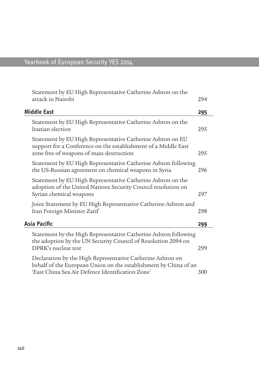## Yearbook of European Security YES 2014

|                    | Statement by EU High Representative Catherine Ashton on the<br>attack in Nairobi                                                                                                   | 294 |
|--------------------|------------------------------------------------------------------------------------------------------------------------------------------------------------------------------------|-----|
| <b>Middle East</b> |                                                                                                                                                                                    | 295 |
|                    | Statement by EU High Representative Catherine Ashton on the<br>Iranian election                                                                                                    | 295 |
|                    | Statement by EU High Representative Catherine Ashton on EU<br>support for a Conference on the establishment of a Middle East<br>zone free of weapons of mass destruction           | 295 |
|                    | Statement by EU High Representative Catherine Ashton following<br>the US-Russian agreement on chemical weapons in Syria                                                            | 296 |
|                    | Statement by EU High Representative Catherine Ashton on the<br>adoption of the United Nations Security Council resolution on<br>Syrian chemical weapons                            | 297 |
|                    | Joint Statement by EU High Representative Catherine Ashton and<br>Iran Foreign Minister Zarif                                                                                      | 298 |
| Asia Pacific       |                                                                                                                                                                                    | 299 |
|                    | Statement by the High Representative Catherine Ashton following<br>the adoption by the UN Security Council of Resolution 2094 on<br>DPRK's nuclear test                            | 299 |
|                    | Declaration by the High Representative Catherine Ashton on<br>behalf of the European Union on the establishment by China of an<br>'East China Sea Air Defence Identification Zone' | 300 |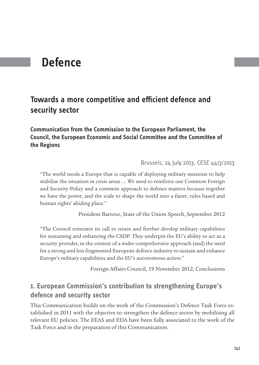## <span id="page-4-0"></span>**Defence**

## **Towards a more competitive and efficient defence and security sector**

**Communication from the Commission to the European Parliament, the Council, the European Economic and Social Committee and the Committee of the Regions**

#### Brussels, 24 July 2013, CESE 4413/2013

"The world needs a Europe that is capable of deploying military missions to help stabilise the situation in crisis areas …. We need to reinforce our Common Foreign and Security Policy and a common approach to defence matters because together we have the power, and the scale to shape the world into a fairer, rules based and human rights' abiding place."

President Barroso, State of the Union Speech, September 2012

"The Council reiterates its call to retain and further develop military capabilities for sustaining and enhancing the CSDP. They underpin the EU's ability to act as a security provider, in the context of a wider comprehensive approach (and) the need for a strong and less fragmented European defence industry to sustain and enhance Europe's military capabilities and the EU's autonomous action."

Foreign Affairs Council, 19 November 2012, Conclusions

## **1. European Commission's contribution to strengthening Europe's defence and security sector**

This Communication builds on the work of the Commission's Defence Task Force established in 2011 with the objective to strengthen the defence sector by mobilising all relevant EU policies. The EEAS and EDA have been fully associated to the work of the Task Force and in the preparation of this Communication.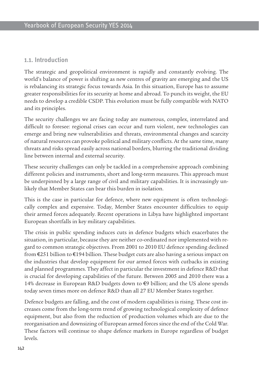#### **1.1. Introduction**

The strategic and geopolitical environment is rapidly and constantly evolving. The world's balance of power is shifting as new centres of gravity are emerging and the US is rebalancing its strategic focus towards Asia. In this situation, Europe has to assume greater responsibilities for its security at home and abroad. To punch its weight, the EU needs to develop a credible CSDP. This evolution must be fully compatible with NATO and its principles.

The security challenges we are facing today are numerous, complex, interrelated and difficult to foresee: regional crises can occur and turn violent, new technologies can emerge and bring new vulnerabilities and threats, environmental changes and scarcity of natural resources can provoke political and military conflicts. At the same time, many threats and risks spread easily across national borders, blurring the traditional dividing line between internal and external security.

These security challenges can only be tackled in a comprehensive approach combining different policies and instruments, short and long-term measures. This approach must be underpinned by a large range of civil and military capabilities. It is increasingly unlikely that Member States can bear this burden in isolation.

This is the case in particular for defence, where new equipment is often technologically complex and expensive. Today, Member States encounter difficulties to equip their armed forces adequately. Recent operations in Libya have highlighted important European shortfalls in key military capabilities.

The crisis in public spending induces cuts in defence budgets which exacerbates the situation, in particular, because they are neither co-ordinated nor implemented with regard to common strategic objectives. From 2001 to 2010 EU defence spending declined from  $\epsilon$ 251 billion to  $\epsilon$ 194 billion. These budget cuts are also having a serious impact on the industries that develop equipment for our armed forces with cutbacks in existing and planned programmes. They affect in particular the investment in defence R&D that is crucial for developing capabilities of the future. Between 2005 and 2010 there was a 14% decrease in European R&D budgets down to €9 billion; and the US alone spends today seven times more on defence R&D than all 27 EU Member States together.

Defence budgets are falling, and the cost of modern capabilities is rising. These cost increases come from the long-term trend of growing technological complexity of defence equipment, but also from the reduction of production volumes which are due to the reorganisation and downsizing of European armed forces since the end of the Cold War. These factors will continue to shape defence markets in Europe regardless of budget levels.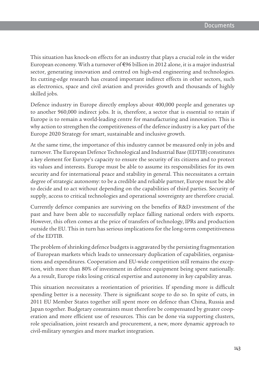This situation has knock-on effects for an industry that plays a crucial role in the wider European economy. With a turnover of €96 billion in 2012 alone, it is a major industrial sector, generating innovation and centred on high-end engineering and technologies. Its cutting-edge research has created important indirect effects in other sectors, such as electronics, space and civil aviation and provides growth and thousands of highly skilled jobs.

Defence industry in Europe directly employs about 400,000 people and generates up to another 960,000 indirect jobs. It is, therefore, a sector that is essential to retain if Europe is to remain a world-leading centre for manufacturing and innovation. This is why action to strengthen the competitiveness of the defence industry is a key part of the Europe 2020 Strategy for smart, sustainable and inclusive growth.

At the same time, the importance of this industry cannot be measured only in jobs and turnover. The European Defence Technological and Industrial Base (EDTIB) constitutes a key element for Europe's capacity to ensure the security of its citizens and to protect its values and interests. Europe must be able to assume its responsibilities for its own security and for international peace and stability in general. This necessitates a certain degree of strategic autonomy: to be a credible and reliable partner, Europe must be able to decide and to act without depending on the capabilities of third parties. Security of supply, access to critical technologies and operational sovereignty are therefore crucial.

Currently defence companies are surviving on the benefits of R&D investment of the past and have been able to successfully replace falling national orders with exports. However, this often comes at the price of transfers of technology, IPRs and production outside the EU. This in turn has serious implications for the long-term competitiveness of the EDTIB.

The problem of shrinking defence budgets is aggravated by the persisting fragmentation of European markets which leads to unnecessary duplication of capabilities, organisations and expenditures. Cooperation and EU-wide competition still remains the exception, with more than 80% of investment in defence equipment being spent nationally. As a result, Europe risks losing critical expertise and autonomy in key capability areas.

This situation necessitates a reorientation of priorities. If spending more is difficult spending better is a necessity. There is significant scope to do so. In spite of cuts, in 2011 EU Member States together still spent more on defence than China, Russia and Japan together. Budgetary constraints must therefore be compensated by greater cooperation and more efficient use of resources. This can be done via supporting clusters, role specialisation, joint research and procurement, a new, more dynamic approach to civil-military synergies and more market integration.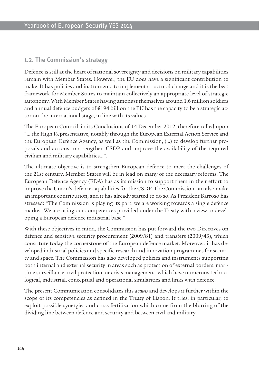#### **1.2. The Commission's strategy**

Defence is still at the heart of national sovereignty and decisions on military capabilities remain with Member States. However, the EU does have a significant contribution to make. It has policies and instruments to implement structural change and it is the best framework for Member States to maintain collectively an appropriate level of strategic autonomy. With Member States having amongst themselves around 1.6 million soldiers and annual defence budgets of €194 billion the EU has the capacity to be a strategic actor on the international stage, in line with its values.

The European Council, in its Conclusions of 14 December 2012, therefore called upon "… the High Representative, notably through the European External Action Service and the European Defence Agency, as well as the Commission, (…) to develop further proposals and actions to strengthen CSDP and improve the availability of the required civilian and military capabilities...".

The ultimate objective is to strengthen European defence to meet the challenges of the 21st century. Member States will be in lead on many of the necessary reforms. The European Defence Agency (EDA) has as its mission to support them in their effort to improve the Union's defence capabilities for the CSDP. The Commission can also make an important contribution, and it has already started to do so. As President Barroso has stressed: "The Commission is playing its part: we are working towards a single defence market. We are using our competences provided under the Treaty with a view to developing a European defence industrial base."

With these objectives in mind, the Commission has put forward the two Directives on defence and sensitive security procurement (2009/81) and transfers (2009/43), which constitute today the cornerstone of the European defence market. Moreover, it has developed industrial policies and specific research and innovation programmes for security and space. The Commission has also developed policies and instruments supporting both internal and external security in areas such as protection of external borders, maritime surveillance, civil protection, or crisis management, which have numerous technological, industrial, conceptual and operational similarities and links with defence.

The present Communication consolidates this *acquis* and develops it further within the scope of its competencies as defined in the Treaty of Lisbon. It tries, in particular, to exploit possible synergies and cross-fertilisation which come from the blurring of the dividing line between defence and security and between civil and military.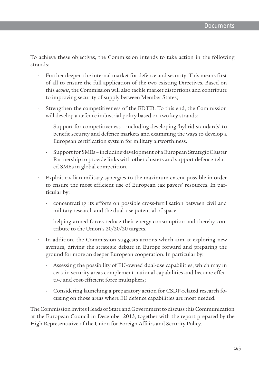To achieve these objectives, the Commission intends to take action in the following strands:

- Further deepen the internal market for defence and security. This means first of all to ensure the full application of the two existing Directives. Based on this *acquis*, the Commission will also tackle market distortions and contribute to improving security of supply between Member States;
- Strengthen the competitiveness of the EDTIB. To this end, the Commission will develop a defence industrial policy based on two key strands:
	- Support for competitiveness including developing 'hybrid standards' to benefit security and defence markets and examining the ways to develop a European certification system for military airworthiness.
	- Support for SMEs including development of a European Strategic Cluster Partnership to provide links with other clusters and support defence-related SMEs in global competition.
- Exploit civilian military synergies to the maximum extent possible in order to ensure the most efficient use of European tax payers' resources. In particular by:
	- concentrating its efforts on possible cross-fertilisation between civil and military research and the dual-use potential of space;
	- helping armed forces reduce their energy consumption and thereby contribute to the Union's 20/20/20 targets.
- In addition, the Commission suggests actions which aim at exploring new avenues, driving the strategic debate in Europe forward and preparing the ground for more an deeper European cooperation. In particular by:
	- Assessing the possibility of EU-owned dual-use capabilities, which may in certain security areas complement national capabilities and become effective and cost-efficient force multipliers;
	- Considering launching a preparatory action for CSDP-related research focusing on those areas where EU defence capabilities are most needed.

The Commission invites Heads of State and Government to discuss this Communication at the European Council in December 2013, together with the report prepared by the High Representative of the Union for Foreign Affairs and Security Policy.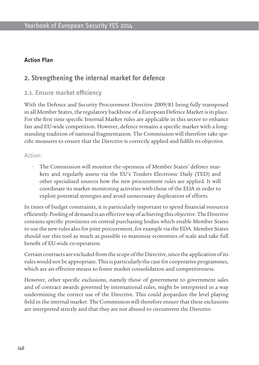#### **Action Plan**

## **2. Strengthening the internal market for defence**

#### **2.1. Ensure market efficiency**

With the Defence and Security Procurement Directive 2009/81 being fully transposed in all Member States, the regulatory backbone of a European Defence Market is in place. For the first time specific Internal Market rules are applicable in this sector to enhance fair and EU-wide competition. However, defence remains a specific market with a longstanding tradition of national fragmentation. The Commission will therefore take specific measures to ensure that the Directive is correctly applied and fulfils its objective.

Action:

• The Commission will monitor the openness of Member States' defence markets and regularly assess via the EU's Tenders Electronic Daily (TED) and other specialised sources how the new procurement rules are applied. It will coordinate its market monitoring activities with those of the EDA in order to exploit potential synergies and avoid unnecessary duplication of efforts.

In times of budget constraints, it is particularly important to spend financial resources efficiently. Pooling of demand is an effective way of achieving this objective. The Directive contains specific provisions on central purchasing bodies which enable Member States to use the new rules also for joint procurement, for example via the EDA. Member States should use this tool as much as possible to maximise economies of scale and take full benefit of EU-wide co-operation.

Certain contracts are excluded from the scope of the Directive, since the application of its rules would not be appropriate. This is particularly the case for cooperative programmes, which are an effective means to foster market consolidation and competitiveness.

However, other specific exclusions, namely those of government to government sales and of contract awards governed by international rules, might be interpreted in a way undermining the correct use of the Directive. This could jeopardize the level playing field in the internal market. The Commission will therefore ensure that these exclusions are interpreted strictly and that they are not abused to circumvent the Directive.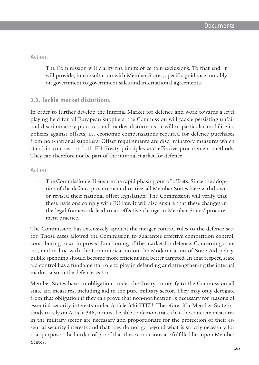The Commission will clarify the limits of certain exclusions. To that end, it will provide, in consultation with Member States, specific guidance, notably on government to government sales and international agreements.

#### **2.2. Tackle market distortions**

In order to further develop the Internal Market for defence and work towards a level playing field for all European suppliers, the Commission will tackle persisting unfair and discriminatory practices and market distortions. It will in particular mobilise its policies against offsets, i.e. economic compensations required for defence purchases from non-national suppliers. Offset requirements are discriminatory measures which stand in contrast to both EU Treaty principles and effective procurement methods. They can therefore not be part of the internal market for defence.

#### Action:

The Commission will ensure the rapid phasing out of offsets. Since the adoption of the defence procurement directive, all Member States have withdrawn or revised their national offset legislation. The Commission will verify that these revisions comply with EU law. It will also ensure that these changes in the legal framework lead to an effective change in Member States' procurement practice.

The Commission has extensively applied the merger control rules to the defence sector. Those cases allowed the Commission to guarantee effective competition control, contributing to an improved functioning of the market for defence. Concerning state aid, and in line with the Communication on the Modernisation of State Aid policy, public spending should become more efficient and better targeted. In that respect, state aid control has a fundamental role to play in defending and strengthening the internal market, also in the defence sector.

Member States have an obligation, under the Treaty, to notify to the Commission all state aid measures, including aid in the pure military sector. They may only derogate from that obligation if they can prove that non-notification is necessary for reasons of essential security interests under Article 346 TFEU. Therefore, if a Member State intends to rely on Article 346, it must be able to demonstrate that the concrete measures in the military sector are necessary and proportionate for the protection of their essential security interests and that they do not go beyond what is strictly necessary for that purpose. The burden of proof that these conditions are fulfilled lies upon Member States.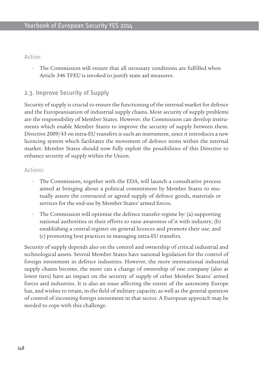The Commission will ensure that all necessary conditions are fulfilled when Article 346 TFEU is invoked to justify state aid measures.

#### **2.3. Improve Security of Supply**

Security of supply is crucial to ensure the functioning of the internal market for defence and the Europeanisation of industrial supply chains. Most security of supply problems are the responsibility of Member States. However, the Commission can develop instruments which enable Member States to improve the security of supply between them. Directive 2009/43 on intra-EU transfers is such an instrument, since it introduces a new licencing system which facilitates the movement of defence items within the internal market. Member States should now fully exploit the possibilities of this Directive to enhance security of supply within the Union.

#### Actions:

- The Commission, together with the EDA, will launch a consultative process aimed at bringing about a political commitment by Member States to mutually assure the contracted or agreed supply of defence goods, materials or services for the end-use by Member States' armed forces.
- The Commission will optimise the defence transfer regime by: (a) supporting national authorities in their efforts to raise awareness of it with industry; (b) establishing a central register on general licences and promote their use; and (c) promoting best practices in managing intra-EU transfers.

Security of supply depends also on the control and ownership of critical industrial and technological assets. Several Member States have national legislation for the control of foreign investment in defence industries. However, the more international industrial supply chains become, the more can a change of ownership of one company (also at lower tiers) have an impact on the security of supply of other Member States' armed forces and industries. It is also an issue affecting the extent of the autonomy Europe has, and wishes to retain, in the field of military capacity, as well as the general question of control of incoming foreign investment in that sector. A European approach may be needed to cope with this challenge.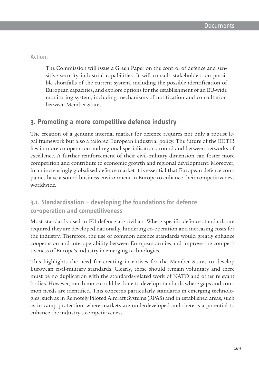The Commission will issue a Green Paper on the control of defence and sensitive security industrial capabilities. It will consult stakeholders on possible shortfalls of the current system, including the possible identification of European capacities, and explore options for the establishment of an EU-wide monitoring system, including mechanisms of notification and consultation between Member States.

## **3. Promoting a more competitive defence industry**

The creation of a genuine internal market for defence requires not only a robust legal framework but also a tailored European industrial policy. The future of the EDTIB lies in more co-operation and regional specialisation around and between networks of excellence. A further reinforcement of their civil-military dimension can foster more competition and contribute to economic growth and regional development. Moreover, in an increasingly globalised defence market it is essential that European defence companies have a sound business environment in Europe to enhance their competitiveness worldwide.

## **3.1. Standardisation – developing the foundations for defence co-operation and competitiveness**

Most standards used in EU defence are civilian. Where specific defence standards are required they are developed nationally, hindering co-operation and increasing costs for the industry. Therefore, the use of common defence standards would greatly enhance cooperation and interoperability between European armies and improve the competitiveness of Europe's industry in emerging technologies.

This highlights the need for creating incentives for the Member States to develop European civil-military standards. Clearly, these should remain voluntary and there must be no duplication with the standards-related work of NATO and other relevant bodies. However, much more could be done to develop standards where gaps and common needs are identified. This concerns particularly standards in emerging technologies, such as in Remotely Piloted Aircraft Systems (RPAS) and in established areas, such as in camp protection, where markets are underdeveloped and there is a potential to enhance the industry's competitiveness.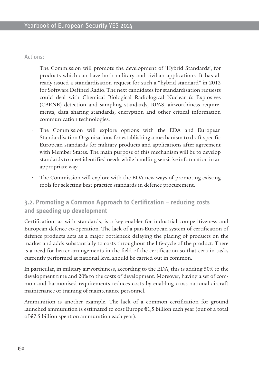- The Commission will promote the development of 'Hybrid Standards', for products which can have both military and civilian applications. It has already issued a standardisation request for such a "hybrid standard" in 2012 for Software Defined Radio. The next candidates for standardisation requests could deal with Chemical Biological Radiological Nuclear & Explosives (CBRNE) detection and sampling standards, RPAS, airworthiness requirements, data sharing standards, encryption and other critical information communication technologies.
- The Commission will explore options with the EDA and European Standardisation Organisations for establishing a mechanism to draft specific European standards for military products and applications after agreement with Member States. The main purpose of this mechanism will be to develop standards to meet identified needs while handling sensitive information in an appropriate way.
- The Commission will explore with the EDA new ways of promoting existing tools for selecting best practice standards in defence procurement.

## **3.2. Promoting a Common Approach to Certification – reducing costs and speeding up development**

Certification, as with standards, is a key enabler for industrial competitiveness and European defence co-operation. The lack of a pan-European system of certification of defence products acts as a major bottleneck delaying the placing of products on the market and adds substantially to costs throughout the life-cycle of the product. There is a need for better arrangements in the field of the certification so that certain tasks currently performed at national level should be carried out in common.

In particular, in military airworthiness, according to the EDA, this is adding 50% to the development time and 20% to the costs of development. Moreover, having a set of common and harmonised requirements reduces costs by enabling cross-national aircraft maintenance or training of maintenance personnel.

Ammunition is another example. The lack of a common certification for ground launched ammunition is estimated to cost Europe €1,5 billion each year (out of a total of €7,5 billion spent on ammunition each year).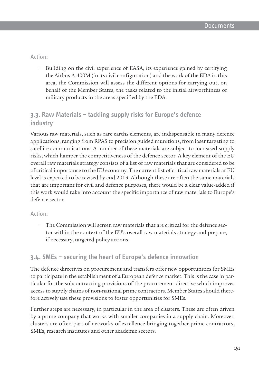• Building on the civil experience of EASA, its experience gained by certifying the Airbus A-400M (in its civil configuration) and the work of the EDA in this area, the Commission will assess the different options for carrying out, on behalf of the Member States, the tasks related to the initial airworthiness of military products in the areas specified by the EDA.

## **3.3. Raw Materials – tackling supply risks for Europe's defence industry**

Various raw materials, such as rare earths elements, are indispensable in many defence applications, ranging from RPAS to precision guided munitions, from laser targeting to satellite communications. A number of these materials are subject to increased supply risks, which hamper the competitiveness of the defence sector. A key element of the EU overall raw materials strategy consists of a list of raw materials that are considered to be of critical importance to the EU economy. The current list of critical raw materials at EU level is expected to be revised by end 2013. Although these are often the same materials that are important for civil and defence purposes, there would be a clear value-added if this work would take into account the specific importance of raw materials to Europe's defence sector.

#### Action:

The Commission will screen raw materials that are critical for the defence sector within the context of the EU's overall raw materials strategy and prepare, if necessary, targeted policy actions.

#### **3.4. SMEs – securing the heart of Europe's defence innovation**

The defence directives on procurement and transfers offer new opportunities for SMEs to participate in the establishment of a European defence market. This is the case in particular for the subcontracting provisions of the procurement directive which improves access to supply chains of non-national prime contractors. Member States should therefore actively use these provisions to foster opportunities for SMEs.

Further steps are necessary, in particular in the area of clusters. These are often driven by a prime company that works with smaller companies in a supply chain. Moreover, clusters are often part of networks of excellence bringing together prime contractors, SMEs, research institutes and other academic sectors.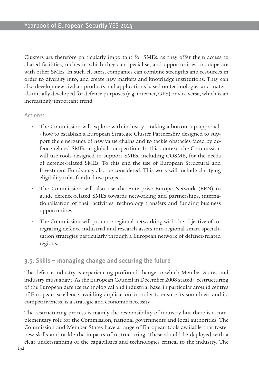Clusters are therefore particularly important for SMEs, as they offer them access to shared facilities, niches in which they can specialise, and opportunities to cooperate with other SMEs. In such clusters, companies can combine strengths and resources in order to diversify into, and create new markets and knowledge institutions. They can also develop new civilian products and applications based on technologies and materials initially developed for defence purposes (e.g. internet, GPS) or vice versa, which is an increasingly important trend.

#### Actions:

- The Commission will explore with industry taking a bottom-up approach - how to establish a European Strategic Cluster Partnership designed to support the emergence of new value chains and to tackle obstacles faced by defence-related SMEs in global competition. In this context, the Commission will use tools designed to support SMEs, including COSME, for the needs of defence-related SMEs. To this end the use of European Structural and Investment Funds may also be considered. This work will include clarifying eligibility rules for dual use projects.
- The Commission will also use the Enterprise Europe Network (EEN) to guide defence-related SMEs towards networking and partnerships, internationalisation of their activities, technology transfers and funding business opportunities.
- The Commission will promote regional networking with the objective of integrating defence industrial and research assets into regional smart specialisation strategies particularly through a European network of defence-related regions.

#### **3.5. Skills – managing change and securing the future**

The defence industry is experiencing profound change to which Member States and industry must adapt. As the European Council in December 2008 stated: "restructuring of the European defence technological and industrial base, in particular around centres of European excellence, avoiding duplication, in order to ensure its soundness and its competitiveness, is a strategic and economic necessity".

The restructuring process is mainly the responsibility of industry but there is a complementary role for the Commission, national governments and local authorities. The Commission and Member States have a range of European tools available that foster new skills and tackle the impacts of restructuring. These should be deployed with a clear understanding of the capabilities and technologies critical to the industry. The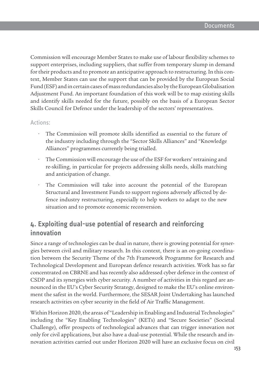Commission will encourage Member States to make use of labour flexibility schemes to support enterprises, including suppliers, that suffer from temporary slump in demand for their products and to promote an anticipative approach to restructuring. In this context, Member States can use the support that can be provided by the European Social Fund (ESF) and in certain cases of mass redundancies also by the European Globalisation Adjustment Fund. An important foundation of this work will be to map existing skills and identify skills needed for the future, possibly on the basis of a European Sector Skills Council for Defence under the leadership of the sectors' representatives.

#### Actions:

- The Commission will promote skills identified as essential to the future of the industry including through the "Sector Skills Alliances" and "Knowledge Alliances" programmes currently being trialled.
- The Commission will encourage the use of the ESF for workers' retraining and re-skilling, in particular for projects addressing skills needs, skills matching and anticipation of change.
- The Commission will take into account the potential of the European Structural and Investment Funds to support regions adversely affected by defence industry restructuring, especially to help workers to adapt to the new situation and to promote economic reconversion.

## **4. Exploiting dual-use potential of research and reinforcing innovation**

Since a range of technologies can be dual in nature, there is growing potential for synergies between civil and military research. In this context, there is an on-going coordination between the Security Theme of the 7th Framework Programme for Research and Technological Development and European defence research activities. Work has so far concentrated on CBRNE and has recently also addressed cyber defence in the context of CSDP and its synergies with cyber security. A number of activities in this regard are announced in the EU's Cyber Security Strategy, designed to make the EU's online environment the safest in the world. Furthermore, the SESAR Joint Undertaking has launched research activities on cyber security in the field of Air Traffic Management.

Within Horizon 2020, the areas of "Leadership in Enabling and Industrial Technologies" including the "Key Enabling Technologies" (KETs) and "Secure Societies" (Societal Challenge), offer prospects of technological advances that can trigger innovation not only for civil applications, but also have a dual-use potential. While the research and innovation activities carried out under Horizon 2020 will have an exclusive focus on civil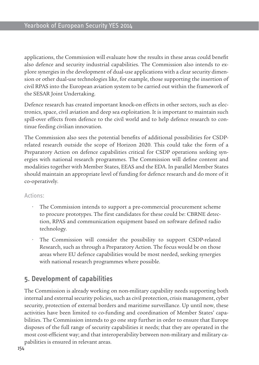applications, the Commission will evaluate how the results in these areas could benefit also defence and security industrial capabilities. The Commission also intends to explore synergies in the development of dual-use applications with a clear security dimension or other dual-use technologies like, for example, those supporting the insertion of civil RPAS into the European aviation system to be carried out within the framework of the SESAR Joint Undertaking.

Defence research has created important knock-on effects in other sectors, such as electronics, space, civil aviation and deep sea exploitation. It is important to maintain such spill-over effects from defence to the civil world and to help defence research to continue feeding civilian innovation.

The Commission also sees the potential benefits of additional possibilities for CSDPrelated research outside the scope of Horizon 2020. This could take the form of a Preparatory Action on defence capabilities critical for CSDP operations seeking synergies with national research programmes. The Commission will define content and modalities together with Member States, EEAS and the EDA. In parallel Member States should maintain an appropriate level of funding for defence research and do more of it co-operatively.

#### Actions:

- The Commission intends to support a pre-commercial procurement scheme to procure prototypes. The first candidates for these could be: CBRNE detection, RPAS and communication equipment based on software defined radio technology.
- The Commission will consider the possibility to support CSDP-related Research, such as through a Preparatory Action. The focus would be on those areas where EU defence capabilities would be most needed, seeking synergies with national research programmes where possible.

## **5. Development of capabilities**

The Commission is already working on non-military capability needs supporting both internal and external security policies, such as civil protection, crisis management, cyber security, protection of external borders and maritime surveillance. Up until now, these activities have been limited to co-funding and coordination of Member States' capabilities. The Commission intends to go one step further in order to ensure that Europe disposes of the full range of security capabilities it needs; that they are operated in the most cost-efficient way; and that interoperability between non-military and military capabilities is ensured in relevant areas.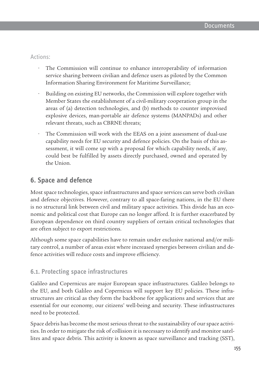- The Commission will continue to enhance interoperability of information service sharing between civilian and defence users as piloted by the Common Information Sharing Environment for Maritime Surveillance;
- Building on existing EU networks, the Commission will explore together with Member States the establishment of a civil-military cooperation group in the areas of (a) detection technologies, and (b) methods to counter improvised explosive devices, man-portable air defence systems (MANPADs) and other relevant threats, such as CBRNE threats;
- The Commission will work with the EEAS on a joint assessment of dual-use capability needs for EU security and defence policies. On the basis of this assessment, it will come up with a proposal for which capability needs, if any, could best be fulfilled by assets directly purchased, owned and operated by the Union.

## **6. Space and defence**

Most space technologies, space infrastructures and space services can serve both civilian and defence objectives. However, contrary to all space-faring nations, in the EU there is no structural link between civil and military space activities. This divide has an economic and political cost that Europe can no longer afford. It is further exacerbated by European dependence on third country suppliers of certain critical technologies that are often subject to export restrictions.

Although some space capabilities have to remain under exclusive national and/or military control, a number of areas exist where increased synergies between civilian and defence activities will reduce costs and improve efficiency.

#### **6.1. Protecting space infrastructures**

Galileo and Copernicus are major European space infrastructures. Galileo belongs to the EU, and both Galileo and Copernicus will support key EU policies. These infrastructures are critical as they form the backbone for applications and services that are essential for our economy, our citizens' well-being and security. These infrastructures need to be protected.

Space debris has become the most serious threat to the sustainability of our space activities. In order to mitigate the risk of collision it is necessary to identify and monitor satellites and space debris. This activity is known as space surveillance and tracking (SST),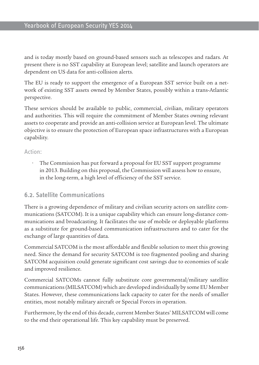and is today mostly based on ground-based sensors such as telescopes and radars. At present there is no SST capability at European level; satellite and launch operators are dependent on US data for anti-collision alerts.

The EU is ready to support the emergence of a European SST service built on a network of existing SST assets owned by Member States, possibly within a trans-Atlantic perspective.

These services should be available to public, commercial, civilian, military operators and authorities. This will require the commitment of Member States owning relevant assets to cooperate and provide an anti-collision service at European level. The ultimate objective is to ensure the protection of European space infrastructures with a European capability.

#### Action:

• The Commission has put forward a proposal for EU SST support programme in 2013. Building on this proposal, the Commission will assess how to ensure, in the long-term, a high level of efficiency of the SST service.

#### **6.2. Satellite Communications**

There is a growing dependence of military and civilian security actors on satellite communications (SATCOM). It is a unique capability which can ensure long-distance communications and broadcasting. It facilitates the use of mobile or deployable platforms as a substitute for ground-based communication infrastructures and to cater for the exchange of large quantities of data.

Commercial SATCOM is the most affordable and flexible solution to meet this growing need. Since the demand for security SATCOM is too fragmented pooling and sharing SATCOM acquisition could generate significant cost savings due to economies of scale and improved resilience.

Commercial SATCOMs cannot fully substitute core governmental/military satellite communications (MILSATCOM) which are developed individually by some EU Member States. However, these communications lack capacity to cater for the needs of smaller entities, most notably military aircraft or Special Forces in operation.

Furthermore, by the end of this decade, current Member States' MILSATCOM will come to the end their operational life. This key capability must be preserved.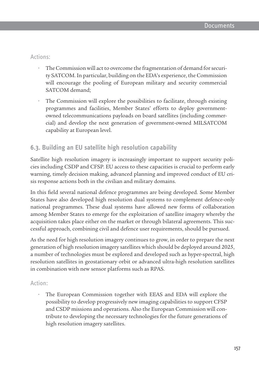- The Commission will act to overcome the fragmentation of demand for security SATCOM. In particular, building on the EDA's experience, the Commission will encourage the pooling of European military and security commercial SATCOM demand;
- The Commission will explore the possibilities to facilitate, through existing programmes and facilities, Member States' efforts to deploy governmentowned telecommunications payloads on board satellites (including commercial) and develop the next generation of government-owned MILSATCOM capability at European level.

#### **6.3. Building an EU satellite high resolution capability**

Satellite high resolution imagery is increasingly important to support security policies including CSDP and CFSP. EU access to these capacities is crucial to perform early warning, timely decision making, advanced planning and improved conduct of EU crisis response actions both in the civilian and military domains.

In this field several national defence programmes are being developed. Some Member States have also developed high resolution dual systems to complement defence-only national programmes. These dual systems have allowed new forms of collaboration among Member States to emerge for the exploitation of satellite imagery whereby the acquisition takes place either on the market or through bilateral agreements. This successful approach, combining civil and defence user requirements, should be pursued.

As the need for high resolution imagery continues to grow, in order to prepare the next generation of high resolution imagery satellites which should be deployed around 2025, a number of technologies must be explored and developed such as hyper-spectral, high resolution satellites in geostationary orbit or advanced ultra-high resolution satellites in combination with new sensor platforms such as RPAS.

#### Action:

The European Commission together with EEAS and EDA will explore the possibility to develop progressively new imaging capabilities to support CFSP and CSDP missions and operations. Also the European Commission will contribute to developing the necessary technologies for the future generations of high resolution imagery satellites.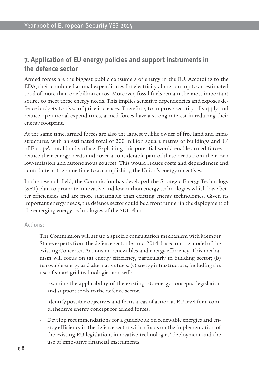## **7. Application of EU energy policies and support instruments in the defence sector**

Armed forces are the biggest public consumers of energy in the EU. According to the EDA, their combined annual expenditures for electricity alone sum up to an estimated total of more than one billion euros. Moreover, fossil fuels remain the most important source to meet these energy needs. This implies sensitive dependencies and exposes defence budgets to risks of price increases. Therefore, to improve security of supply and reduce operational expenditures, armed forces have a strong interest in reducing their energy footprint.

At the same time, armed forces are also the largest public owner of free land and infrastructures, with an estimated total of 200 million square metres of buildings and 1% of Europe's total land surface. Exploiting this potential would enable armed forces to reduce their energy needs and cover a considerable part of these needs from their own low-emission and autonomous sources. This would reduce costs and dependences and contribute at the same time to accomplishing the Union's energy objectives.

In the research field, the Commission has developed the Strategic Energy Technology (SET) Plan to promote innovative and low-carbon energy technologies which have better efficiencies and are more sustainable than existing energy technologies. Given its important energy needs, the defence sector could be a frontrunner in the deployment of the emerging energy technologies of the SET-Plan.

#### Actions:

- The Commission will set up a specific consultation mechanism with Member States experts from the defence sector by mid-2014, based on the model of the existing Concerted Actions on renewables and energy efficiency. This mechanism will focus on (a) energy efficiency, particularly in building sector; (b) renewable energy and alternative fuels; (c) energy infrastructure, including the use of smart grid technologies and will:
	- Examine the applicability of the existing EU energy concepts, legislation and support tools to the defence sector.
	- Identify possible objectives and focus areas of action at EU level for a comprehensive energy concept for armed forces.
	- Develop recommendations for a guidebook on renewable energies and energy efficiency in the defence sector with a focus on the implementation of the existing EU legislation, innovative technologies' deployment and the use of innovative financial instruments.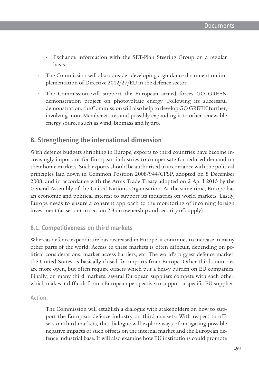- Exchange information with the SET-Plan Steering Group on a regular basis.
- The Commission will also consider developing a guidance document on implementation of Directive 2012/27/EU in the defence sector.
- The Commission will support the European armed forces GO GREEN demonstration project on photovoltaic energy. Following its successful demonstration, the Commission will also help to develop GO GREEN further, involving more Member States and possibly expanding it to other renewable energy sources such as wind, biomass and hydro.

## **8. Strengthening the international dimension**

With defence budgets shrinking in Europe, exports to third countries have become increasingly important for European industries to compensate for reduced demand on their home markets. Such exports should be authorised in accordance with the political principles laid down in Common Position 2008/944/CFSP, adopted on 8 December 2008, and in accordance with the Arms Trade Treaty adopted on 2 April 2013 by the General Assembly of the United Nations Organisation. At the same time, Europe has an economic and political interest to support its industries on world markets. Lastly, Europe needs to ensure a coherent approach to the monitoring of incoming foreign investment (as set out in section 2.3 on ownership and security of supply).

#### **8.1. Competitiveness on third markets**

Whereas defence expenditure has decreased in Europe, it continues to increase in many other parts of the world. Access to these markets is often difficult, depending on political considerations, market access barriers, etc. The world's biggest defence market, the United States, is basically closed for imports from Europe. Other third countries are more open, but often require offsets which put a heavy burden on EU companies. Finally, on many third markets, several European suppliers compete with each other, which makes it difficult from a European perspective to support a specific EU supplier.

#### Action:

• The Commission will establish a dialogue with stakeholders on how to support the European defence industry on third markets. With respect to offsets on third markets, this dialogue will explore ways of mitigating possible negative impacts of such offsets on the internal market and the European defence industrial base. It will also examine how EU institutions could promote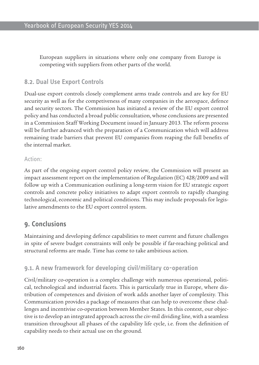European suppliers in situations where only one company from Europe is competing with suppliers from other parts of the world.

#### **8.2. Dual Use Export Controls**

Dual-use export controls closely complement arms trade controls and are key for EU security as well as for the competiveness of many companies in the aerospace, defence and security sectors. The Commission has initiated a review of the EU export control policy and has conducted a broad public consultation, whose conclusions are presented in a Commission Staff Working Document issued in January 2013. The reform process will be further advanced with the preparation of a Communication which will address remaining trade barriers that prevent EU companies from reaping the full benefits of the internal market.

#### Action:

As part of the ongoing export control policy review, the Commission will present an impact assessment report on the implementation of Regulation (EC) 428/2009 and will follow up with a Communication outlining a long-term vision for EU strategic export controls and concrete policy initiatives to adapt export controls to rapidly changing technological, economic and political conditions. This may include proposals for legislative amendments to the EU export control system.

#### **9. Conclusions**

Maintaining and developing defence capabilities to meet current and future challenges in spite of severe budget constraints will only be possible if far-reaching political and structural reforms are made. Time has come to take ambitious action.

#### **9.1. A new framework for developing civil/military co-operation**

Civil/military co-operation is a complex challenge with numerous operational, political, technological and industrial facets. This is particularly true in Europe, where distribution of competences and division of work adds another layer of complexity. This Communication provides a package of measures that can help to overcome these challenges and incentivise co-operation between Member States. In this context, our objective is to develop an integrated approach across the civ-mil dividing line, with a seamless transition throughout all phases of the capability life cycle, i.e. from the definition of capability needs to their actual use on the ground.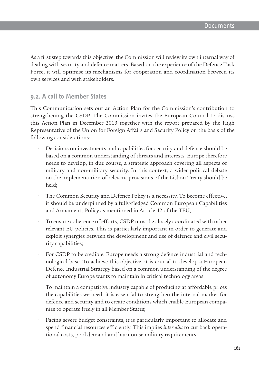As a first step towards this objective, the Commission will review its own internal way of dealing with security and defence matters. Based on the experience of the Defence Task Force, it will optimise its mechanisms for cooperation and coordination between its own services and with stakeholders.

#### **9.2. A call to Member States**

This Communication sets out an Action Plan for the Commission's contribution to strengthening the CSDP. The Commission invites the European Council to discuss this Action Plan in December 2013 together with the report prepared by the High Representative of the Union for Foreign Affairs and Security Policy on the basis of the following considerations:

- Decisions on investments and capabilities for security and defence should be based on a common understanding of threats and interests. Europe therefore needs to develop, in due course, a strategic approach covering all aspects of military and non-military security. In this context, a wider political debate on the implementation of relevant provisions of the Lisbon Treaty should be held;
- The Common Security and Defence Policy is a necessity. To become effective, it should be underpinned by a fully-fledged Common European Capabilities and Armaments Policy as mentioned in Article 42 of the TEU;
- To ensure coherence of efforts, CSDP must be closely coordinated with other relevant EU policies. This is particularly important in order to generate and exploit synergies between the development and use of defence and civil security capabilities;
- For CSDP to be credible, Europe needs a strong defence industrial and technological base. To achieve this objective, it is crucial to develop a European Defence Industrial Strategy based on a common understanding of the degree of autonomy Europe wants to maintain in critical technology areas;
- To maintain a competitive industry capable of producing at affordable prices the capabilities we need, it is essential to strengthen the internal market for defence and security and to create conditions which enable European companies to operate freely in all Member States;
- Facing severe budget constraints, it is particularly important to allocate and spend financial resources efficiently. This implies *inter alia* to cut back operational costs, pool demand and harmonise military requirements;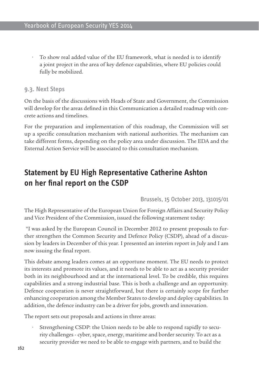<span id="page-25-0"></span>• To show real added value of the EU framework, what is needed is to identify a joint project in the area of key defence capabilities, where EU policies could fully be mobilized.

#### **9.3. Next Steps**

On the basis of the discussions with Heads of State and Government, the Commission will develop for the areas defined in this Communication a detailed roadmap with concrete actions and timelines.

For the preparation and implementation of this roadmap, the Commission will set up a specific consultation mechanism with national authorities. The mechanism can take different forms, depending on the policy area under discussion. The EDA and the External Action Service will be associated to this consultation mechanism.

## **Statement by EU High Representative Catherine Ashton on her final report on the CSDP**

#### Brussels, 15 October 2013, 131015/01

The High Representative of the European Union for Foreign Affairs and Security Policy and Vice President of the Commission, issued the following statement today:

 "I was asked by the European Council in December 2012 to present proposals to further strengthen the Common Security and Defence Policy (CSDP), ahead of a discussion by leaders in December of this year. I presented an interim report in July and I am now issuing the final report.

This debate among leaders comes at an opportune moment. The EU needs to protect its interests and promote its values, and it needs to be able to act as a security provider both in its neighbourhood and at the international level. To be credible, this requires capabilities and a strong industrial base. This is both a challenge and an opportunity. Defence cooperation is never straightforward, but there is certainly scope for further enhancing cooperation among the Member States to develop and deploy capabilities. In addition, the defence industry can be a driver for jobs, growth and innovation.

The report sets out proposals and actions in three areas:

• Strengthening CSDP: the Union needs to be able to respond rapidly to security challenges - cyber, space, energy, maritime and border security. To act as a security provider we need to be able to engage with partners, and to build the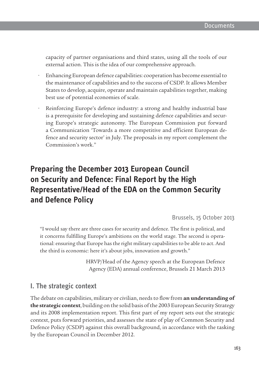<span id="page-26-0"></span>capacity of partner organisations and third states, using all the tools of our external action. This is the idea of our comprehensive approach.

- Enhancing European defence capabilities: cooperation has become essential to the maintenance of capabilities and to the success of CSDP. It allows Member States to develop, acquire, operate and maintain capabilities together, making best use of potential economies of scale.
- Reinforcing Europe's defence industry: a strong and healthy industrial base is a prerequisite for developing and sustaining defence capabilities and securing Europe's strategic autonomy. The European Commission put forward a Communication 'Towards a more competitive and efficient European defence and security sector' in July. The proposals in my report complement the Commission's work."

## **Preparing the December 2013 European Council on Security and Defence: Final Report by the High Representative/Head of the EDA on the Common Security and Defence Policy**

Brussels, 15 October 2013

"I would say there are three cases for security and defence. The first is political, and it concerns fulfilling Europe's ambitions on the world stage. The second is operational: ensuring that Europe has the right military capabilities to be able to act. And the third is economic: here it's about jobs, innovation and growth."

> HRVP/Head of the Agency speech at the European Defence Agency (EDA) annual conference, Brussels 21 March 2013

#### **I. The strategic context**

The debate on capabilities, military or civilian, needs to flow from **an understanding of the strategic context**, building on the solid basis of the 2003 European Security Strategy and its 2008 implementation report. This first part of my report sets out the strategic context, puts forward priorities, and assesses the state of play of Common Security and Defence Policy (CSDP) against this overall background, in accordance with the tasking by the European Council in December 2012.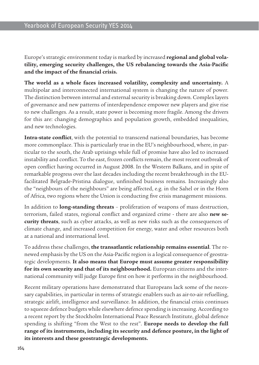Europe's strategic environment today is marked by increased **regional and global volatility, emerging security challenges, the US rebalancing towards the Asia-Pacific and the impact of the financial crisis.** 

**The world as a whole faces increased volatility, complexity and uncertainty.** A multipolar and interconnected international system is changing the nature of power. The distinction between internal and external security is breaking down. Complex layers of governance and new patterns of interdependence empower new players and give rise to new challenges. As a result, state power is becoming more fragile. Among the drivers for this are: changing demographics and population growth, embedded inequalities, and new technologies.

**Intra-state conflict**, with the potential to transcend national boundaries, has become more commonplace. This is particularly true in the EU's neighbourhood, where, in particular to the south, the Arab uprisings while full of promise have also led to increased instability and conflict. To the east, frozen conflicts remain, the most recent outbreak of open conflict having occurred in August 2008. In the Western Balkans, and in spite of remarkable progress over the last decades including the recent breakthrough in the EUfacilitated Belgrade-Pristina dialogue, unfinished business remains. Increasingly also the "neighbours of the neighbours" are being affected, e.g. in the Sahel or in the Horn of Africa, two regions where the Union is conducting five crisis management missions.

In addition to **long-standing threats** – proliferation of weapons of mass destruction, terrorism, failed states, regional conflict and organized crime - there are also **new security threats**, such as cyber attacks, as well as new risks such as the consequences of climate change, and increased competition for energy, water and other resources both at a national and international level.

To address these challenges, **the transatlantic relationship remains essential**. The renewed emphasis by the US on the Asia-Pacific region is a logical consequence of geostrategic developments. **It also means that Europe must assume greater responsibility for its own security and that of its neighbourhood.** European citizens and the international community will judge Europe first on how it performs in the neighbourhood.

Recent military operations have demonstrated that Europeans lack some of the necessary capabilities, in particular in terms of strategic enablers such as air-to-air refuelling, strategic airlift, intelligence and surveillance. In addition, the financial crisis continues to squeeze defence budgets while elsewhere defence spending is increasing. According to a recent report by the Stockholm International Peace Research Institute, global defence spending is shifting "from the West to the rest". **Europe needs to develop the full range of its instruments, including its security and defence posture, in the light of its interests and these geostrategic developments.**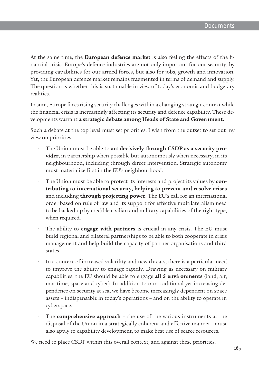At the same time, the **European defence market** is also feeling the effects of the financial crisis. Europe's defence industries are not only important for our security, by providing capabilities for our armed forces, but also for jobs, growth and innovation. Yet, the European defence market remains fragmented in terms of demand and supply. The question is whether this is sustainable in view of today's economic and budgetary realities.

In sum, Europe faces rising security challenges within a changing strategic context while the financial crisis is increasingly affecting its security and defence capability. These developments warrant **a strategic debate among Heads of State and Government.** 

Such a debate at the top level must set priorities. I wish from the outset to set out my view on priorities:

- The Union must be able to **act decisively through CSDP as a security provider**, in partnership when possible but autonomously when necessary, in its neighbourhood, including through direct intervention. Strategic autonomy must materialize first in the EU's neighbourhood.
- The Union must be able to protect its interests and project its values by **contributing to international security, helping to prevent and resolve crises** and including **through projecting power**. The EU's call for an international order based on rule of law and its support for effective multilateralism need to be backed up by credible civilian and military capabilities of the right type, when required.
- The ability to **engage with partners** is crucial in any crisis. The EU must build regional and bilateral partnerships to be able to both cooperate in crisis management and help build the capacity of partner organisations and third states.
- In a context of increased volatility and new threats, there is a particular need to improve the ability to engage rapidly. Drawing as necessary on military capabilities, the EU should be able to engage **all 5 environments** (land, air, maritime, space and cyber). In addition to our traditional yet increasing dependence on security at sea, we have become increasingly dependent on space assets – indispensable in today's operations – and on the ability to operate in cyberspace.
- The **comprehensive approach** the use of the various instruments at the disposal of the Union in a strategically coherent and effective manner - must also apply to capability development, to make best use of scarce resources.

We need to place CSDP within this overall context, and against these priorities.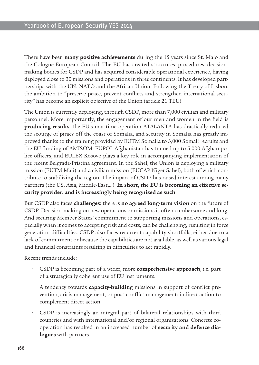There have been **many positive achievements** during the 15 years since St. Malo and the Cologne European Council. The EU has created structures, procedures, decisionmaking bodies for CSDP and has acquired considerable operational experience, having deployed close to 30 missions and operations in three continents. It has developed partnerships with the UN, NATO and the African Union. Following the Treaty of Lisbon, the ambition to "preserve peace, prevent conflicts and strengthen international security" has become an explicit objective of the Union (article 21 TEU).

The Union is currently deploying, through CSDP, more than 7,000 civilian and military personnel. More importantly, the engagement of our men and women in the field is **producing results**: the EU's maritime operation ATALANTA has drastically reduced the scourge of piracy off the coast of Somalia, and security in Somalia has greatly improved thanks to the training provided by EUTM Somalia to 3,000 Somali recruits and the EU funding of AMISOM. EUPOL Afghanistan has trained up to 5,000 Afghan police officers, and EULEX Kosovo plays a key role in accompanying implementation of the recent Belgrade-Pristina agreement. In the Sahel, the Union is deploying a military mission (EUTM Mali) and a civilian mission (EUCAP Niger Sahel), both of which contribute to stabilizing the region. The impact of CSDP has raised interest among many partners (the US, Asia, Middle-East,…). **In short, the EU is becoming an effective security provider, and is increasingly being recognized as such**.

But CSDP also faces **challenges**: there is **no agreed long-term vision** on the future of CSDP. Decision-making on new operations or missions is often cumbersome and long. And securing Member States' commitment to supporting missions and operations, especially when it comes to accepting risk and costs, can be challenging, resulting in force generation difficulties. CSDP also faces recurrent capability shortfalls, either due to a lack of commitment or because the capabilities are not available, as well as various legal and financial constraints resulting in difficulties to act rapidly.

Recent trends include:

- CSDP is becoming part of a wider, more **comprehensive approach**, i.e. part of a strategically coherent use of EU instruments.
- A tendency towards **capacity-building** missions in support of conflict prevention, crisis management, or post-conflict management: indirect action to complement direct action.
- CSDP is increasingly an integral part of bilateral relationships with third countries and with international and/or regional organisations. Concrete cooperation has resulted in an increased number of **security and defence dialogues** with partners.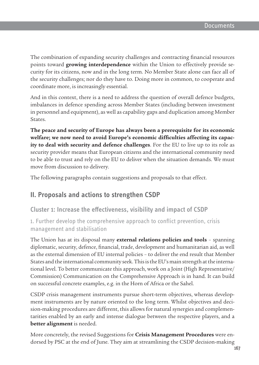The combination of expanding security challenges and contracting financial resources points toward **growing interdependence** within the Union to effectively provide security for its citizens, now and in the long term. No Member State alone can face all of the security challenges; nor do they have to. Doing more in common, to cooperate and coordinate more, is increasingly essential.

And in this context, there is a need to address the question of overall defence budgets, imbalances in defence spending across Member States (including between investment in personnel and equipment), as well as capability gaps and duplication among Member States.

**The peace and security of Europe has always been a prerequisite for its economic welfare; we now need to avoid Europe's economic difficulties affecting its capacity to deal with security and defence challenges**. For the EU to live up to its role as security provider means that European citizens and the international community need to be able to trust and rely on the EU to deliver when the situation demands. We must move from discussion to delivery.

The following paragraphs contain suggestions and proposals to that effect.

## **II. Proposals and actions to strengthen CSDP**

**Cluster 1: Increase the effectiveness, visibility and impact of CSDP** 

1. Further develop the comprehensive approach to conflict prevention, crisis management and stabilisation

The Union has at its disposal many **external relations policies and tools** – spanning diplomatic, security, defence, financial, trade, development and humanitarian aid, as well as the external dimension of EU internal policies – to deliver the end result that Member States and the international community seek. This is the EU's main strength at the international level. To better communicate this approach, work on a Joint (High Representative/ Commission) Communication on the Comprehensive Approach is in hand. It can build on successful concrete examples, e.g. in the Horn of Africa or the Sahel.

CSDP crisis management instruments pursue short-term objectives, whereas development instruments are by nature oriented to the long term. Whilst objectives and decision-making procedures are different, this allows for natural synergies and complementarities enabled by an early and intense dialogue between the respective players, and a **better alignment** is needed.

More concretely, the revised Suggestions for **Crisis Management Procedures** were endorsed by PSC at the end of June. They aim at streamlining the CSDP decision-making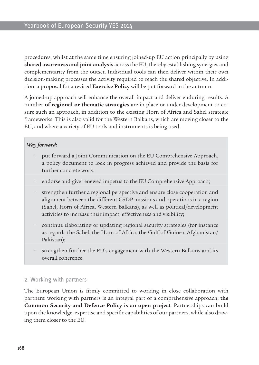procedures, whilst at the same time ensuring joined-up EU action principally by using **shared awareness and joint analysis** across the EU, thereby establishing synergies and complementarity from the outset. Individual tools can then deliver within their own decision-making processes the activity required to reach the shared objective. In addition, a proposal for a revised **Exercise Policy** will be put forward in the autumn.

A joined-up approach will enhance the overall impact and deliver enduring results. A number **of regional or thematic strategies** are in place or under development to ensure such an approach, in addition to the existing Horn of Africa and Sahel strategic frameworks. This is also valid for the Western Balkans, which are moving closer to the EU, and where a variety of EU tools and instruments is being used.

#### *Way forward:*

- put forward a Joint Communication on the EU Comprehensive Approach, a policy document to lock in progress achieved and provide the basis for further concrete work;
- endorse and give renewed impetus to the EU Comprehensive Approach;
- strengthen further a regional perspective and ensure close cooperation and alignment between the different CSDP missions and operations in a region (Sahel, Horn of Africa, Western Balkans), as well as political/development activities to increase their impact, effectiveness and visibility;
- continue elaborating or updating regional security strategies (for instance as regards the Sahel, the Horn of Africa, the Gulf of Guinea; Afghanistan/ Pakistan);
- strengthen further the EU's engagement with the Western Balkans and its overall coherence.

#### 2. Working with partners

The European Union is firmly committed to working in close collaboration with partners: working with partners is an integral part of a comprehensive approach; **the Common Security and Defence Policy is an open project**. Partnerships can build upon the knowledge, expertise and specific capabilities of our partners, while also drawing them closer to the EU.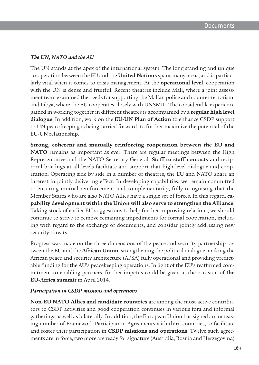#### *The UN, NATO and the AU*

The UN stands at the apex of the international system. The long standing and unique co-operation between the EU and the **United Nations** spans many areas, and is particularly vital when it comes to crisis management. At the **operational level**, cooperation with the UN is dense and fruitful. Recent theatres include Mali, where a joint assessment team examined the needs for supporting the Malian police and counter-terrorism, and Libya, where the EU cooperates closely with UNSMIL. The considerable experience gained in working together in different theatres is accompanied by a **regular high level dialogue**. In addition, work on the **EU-UN Plan of Action** to enhance CSDP support to UN peace keeping is being carried forward, to further maximize the potential of the EU-UN relationship.

**Strong, coherent and mutually reinforcing cooperation between the EU and NATO** remains as important as ever. There are regular meetings between the High Representative and the NATO Secretary General. **Staff to staff contacts** and reciprocal briefings at all levels facilitate and support that high-level dialogue and cooperation. Operating side by side in a number of theatres, the EU and NATO share an interest in jointly delivering effect. In developing capabilities, we remain committed to ensuring mutual reinforcement and complementarity, fully recognising that the Member States who are also NATO Allies have a single set of forces. In this regard, **capability development within the Union will also serve to strengthen the Alliance**. Taking stock of earlier EU suggestions to help further improving relations, we should continue to strive to remove remaining impediments for formal cooperation, including with regard to the exchange of documents, and consider jointly addressing new security threats.

Progress was made on the three dimensions of the peace and security partnership between the EU and the **African Union**: strengthening the political dialogue, making the African peace and security architecture (APSA) fully operational and providing predictable funding for the AU's peacekeeping operations. In light of the EU's reaffirmed commitment to enabling partners, further impetus could be given at the occasion of **the EU-Africa summit** in April 2014.

#### *Participation in CSDP missions and operations*

**Non-EU NATO Allies and candidate countries** are among the most active contributors to CSDP activities and good cooperation continues in various fora and informal gatherings as well as bilaterally. In addition, the European Union has signed an increasing number of Framework Participation Agreements with third countries, to facilitate and foster their participation in **CSDP missions and operations**. Twelve such agreements are in force, two more are ready for signature (Australia, Bosnia and Herzegovina)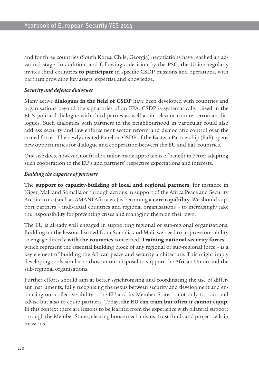and for three countries (South Korea, Chile, Georgia) negotiations have reached an advanced stage. In addition, and following a decision by the PSC, the Union regularly invites third countries **to participate** in specific CSDP missions and operations, with partners providing key assets, expertise and knowledge.

#### *Security and defence dialogues*

Many active **dialogues in the field of CSDP** have been developed with countries and organisations beyond the signatories of an FPA. CSDP is systematically raised in the EU's political dialogue with third parties as well as in relevant counterterrorism dialogues. Such dialogues with partners in the neighbourhood in particular could also address security and law enforcement sector reform and democratic control over the armed forces. The newly created Panel on CSDP of the Eastern Partnership (EaP) opens new opportunities for dialogue and cooperation between the EU and EaP countries.

One size does, however, not fit all: a tailor-made approach is of benefit in better adapting such cooperation to the EU's and partners' respective expectations and interests.

#### *Building the capacity of partners*

The **support to capacity-building of local and regional partners**, for instance in Niger, Mali and Somalia or through actions in support of the Africa Peace and Security Architecture (such as AMANI Africa etc) is becoming **a core capability**. We should support partners – individual countries and regional organisations – to increasingly take the responsibility for preventing crises and managing them on their own.

The EU is already well engaged in supporting regional or sub-regional organisations. Building on the lessons learned from Somalia and Mali, we need to improve our ability to engage directly **with the countries** concerned. **Training national security forces** – which represent the essential building block of any regional or sub-regional force  $-$  is a key element of building the African peace and security architecture. This might imply developing tools similar to those at our disposal to support the African Union and the sub-regional organisations.

Further efforts should aim at better synchronising and coordinating the use of different instruments, fully recognising the nexus between security and development and enhancing our collective ability – the EU and its Member States – not only to train and advise but also to equip partners. Today, **the EU can train but often it cannot equip**. In this context there are lessons to be learned from the experience with bilateral support through the Member States, clearing house mechanisms, trust funds and project cells in missions.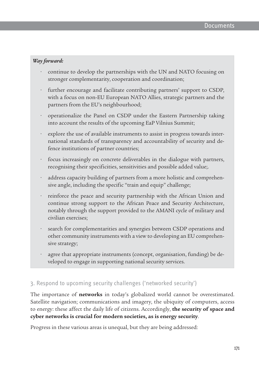#### *Way forward:*

- continue to develop the partnerships with the UN and NATO focusing on stronger complementarity, cooperation and coordination;
- further encourage and facilitate contributing partners' support to CSDP, with a focus on non-EU European NATO Allies, strategic partners and the partners from the EU's neighbourhood;
- operationalize the Panel on CSDP under the Eastern Partnership taking into account the results of the upcoming EaP Vilnius Summit;
- explore the use of available instruments to assist in progress towards international standards of transparency and accountability of security and defence institutions of partner countries;
- focus increasingly on concrete deliverables in the dialogue with partners, recognising their specificities, sensitivities and possible added value;.
- address capacity building of partners from a more holistic and comprehensive angle, including the specific "train and equip" challenge;
- reinforce the peace and security partnership with the African Union and continue strong support to the African Peace and Security Architecture, notably through the support provided to the AMANI cycle of military and civilian exercises;
- search for complementarities and synergies between CSDP operations and other community instruments with a view to developing an EU comprehensive strategy;
- agree that appropriate instruments (concept, organisation, funding) be developed to engage in supporting national security services.

#### 3. Respond to upcoming security challenges ('networked security')

The importance of **networks** in today's globalized world cannot be overestimated. Satellite navigation; communications and imagery, the ubiquity of computers, access to energy: these affect the daily life of citizens. Accordingly, **the security of space and cyber networks is crucial for modern societies, as is energy security**.

Progress in these various areas is unequal, but they are being addressed: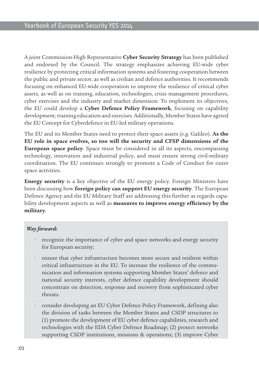A joint Commission-High Representative **Cyber Security Strategy** has been published and endorsed by the Council. The strategy emphasizes achieving EU-wide cyber resilience by protecting critical information systems and fostering cooperation between the public and private sector, as well as civilian and defence authorities. It recommends focusing on enhanced EU-wide cooperation to improve the resilience of critical cyber assets, as well as on training, education, technologies, crisis management procedures, cyber exercises and the industry and market dimension. To implement its objectives, the EU could develop a **Cyber Defence Policy Framework**, focusing on capability development, training education and exercises. Additionally, Member States have agreed the EU Concept for Cyberdefence in EU-led military operations.

The EU and its Member States need to protect their space assets (e.g. Galileo). **As the EU role in space evolves, so too will the security and CFSP dimensions of the European space policy**. Space must be considered in all its aspects, encompassing technology, innovation and industrial policy, and must ensure strong civil-military coordination. The EU continues strongly to promote a Code of Conduct for outer space activities.

**Energy security** is a key objective of the EU energy policy. Foreign Ministers have been discussing how **foreign policy can support EU energy security**. The European Defence Agency and the EU Military Staff are addressing this further as regards capability development aspects as well as **measures to improve energy efficiency by the military**.

#### *Way forward:*

- recognize the importance of cyber and space networks and energy security for European security;
- ensure that cyber infrastructure becomes more secure and resilient within critical infrastructure in the EU. To increase the resilience of the communication and information systems supporting Member States' defence and national security interests, cyber defence capability development should concentrate on detection, response and recovery from sophisticated cyber threats.

• consider developing an EU Cyber Defence Policy Framework, defining also the division of tasks between the Member States and CSDP structures to (1) promote the development of EU cyber defence capabilities, research and technologies with the EDA Cyber Defence Roadmap; (2) protect networks supporting CSDP institutions, missions & operations; (3) improve Cyber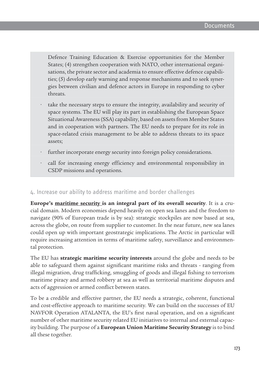Defence Training Education & Exercise opportunities for the Member States; (4) strengthen cooperation with NATO, other international organisations, the private sector and academia to ensure effective defence capabilities; (5) develop early warning and response mechanisms and to seek synergies between civilian and defence actors in Europe in responding to cyber threats.

- take the necessary steps to ensure the integrity, availability and security of space systems. The EU will play its part in establishing the European Space Situational Awareness (SSA) capability, based on assets from Member States and in cooperation with partners. The EU needs to prepare for its role in space-related crisis management to be able to address threats to its space assets;
- further incorporate energy security into foreign policy considerations.
- call for increasing energy efficiency and environmental responsibility in CSDP missions and operations.

#### 4. Increase our ability to address maritime and border challenges

**Europe's maritime security is an integral part of its overall security**. It is a crucial domain. Modern economies depend heavily on open sea lanes and the freedom to navigate (90% of European trade is by sea): strategic stockpiles are now based at sea, across the globe, on route from supplier to customer. In the near future, new sea lanes could open up with important geostrategic implications. The Arctic in particular will require increasing attention in terms of maritime safety, surveillance and environmental protection.

The EU has **strategic maritime security interests** around the globe and needs to be able to safeguard them against significant maritime risks and threats - ranging from illegal migration, drug trafficking, smuggling of goods and illegal fishing to terrorism maritime piracy and armed robbery at sea as well as territorial maritime disputes and acts of aggression or armed conflict between states.

To be a credible and effective partner, the EU needs a strategic, coherent, functional and cost-effective approach to maritime security. We can build on the successes of EU NAVFOR Operation ATALANTA, the EU's first naval operation, and on a significant number of other maritime security related EU initiatives to internal and external capacity building. The purpose of a **European Union Maritime Security Strategy** is to bind all these together.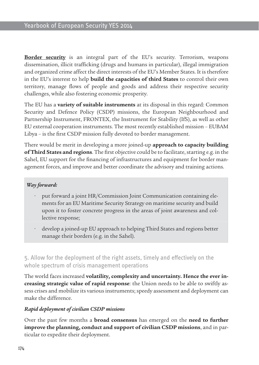**Border security** is an integral part of the EU's security. Terrorism, weapons dissemination, illicit trafficking (drugs and humans in particular), illegal immigration and organized crime affect the direct interests of the EU's Member States. It is therefore in the EU's interest to help **build the capacities of third States** to control their own territory, manage flows of people and goods and address their respective security challenges, while also fostering economic prosperity.

The EU has a **variety of suitable instruments** at its disposal in this regard: Common Security and Defence Policy (CSDP) missions, the European Neighbourhood and Partnership Instrument, FRONTEX, the Instrument for Stability (IfS), as well as other EU external cooperation instruments. The most recently established mission – EUBAM Libya – is the first CSDP mission fully devoted to border management.

There would be merit in developing a more joined-up **approach to capacity building of Third States and regions**. The first objective could be to facilitate, starting e.g. in the Sahel, EU support for the financing of infrastructures and equipment for border management forces, and improve and better coordinate the advisory and training actions.

#### *Way forward:*

- put forward a joint HR/Commission Joint Communication containing elements for an EU Maritime Security Strategy on maritime security and build upon it to foster concrete progress in the areas of joint awareness and collective response;
- develop a joined-up EU approach to helping Third States and regions better manage their borders (e.g. in the Sahel).

## 5. Allow for the deployment of the right assets, timely and effectively on the whole spectrum of crisis management operations

The world faces increased **volatility, complexity and uncertainty. Hence the ever increasing strategic value of rapid response**: the Union needs to be able to swiftly assess crises and mobilize its various instruments; speedy assessment and deployment can make the difference.

#### *Rapid deployment of civilian CSDP missions*

Over the past few months a **broad consensus** has emerged on the **need to further improve the planning, conduct and support of civilian CSDP missions**, and in particular to expedite their deployment.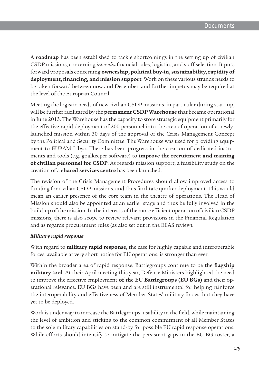A **roadmap** has been established to tackle shortcomings in the setting up of civilian CSDP missions, concerning *inter alia* financial rules, logistics, and staff selection. It puts forward proposals concerning **ownership, political buy-in, sustainability, rapidity of deployment, financing, and mission support**. Work on these various strands needs to be taken forward between now and December, and further impetus may be required at the level of the European Council.

Meeting the logistic needs of new civilian CSDP missions, in particular during start-up, will be further facilitated by the **permanent CSDP Warehouse** that became operational in June 2013. The Warehouse has the capacity to store strategic equipment primarily for the effective rapid deployment of 200 personnel into the area of operation of a newlylaunched mission within 30 days of the approval of the Crisis Management Concept by the Political and Security Committee. The Warehouse was used for providing equipment to EUBAM Libya. There has been progress in the creation of dedicated instruments and tools (e.g. goalkeeper software) to **improve the recruitment and training of civilian personnel for CSDP**. As regards mission support, a feasibility study on the creation of a **shared services centre** has been launched.

The revision of the Crisis Management Procedures should allow improved access to funding for civilian CSDP missions, and thus facilitate quicker deployment. This would mean an earlier presence of the core team in the theatre of operations. The Head of Mission should also be appointed at an earlier stage and thus be fully involved in the build-up of the mission. In the interests of the more efficient operation of civilian CSDP missions, there is also scope to review relevant provisions in the Financial Regulation and as regards procurement rules (as also set out in the EEAS review).

#### *Military rapid response*

With regard to **military rapid response**, the case for highly capable and interoperable forces, available at very short notice for EU operations, is stronger than ever.

Within the broader area of rapid response, Battlegroups continue to be the **flagship military tool**. At their April meeting this year, Defence Ministers highlighted the need to improve the effective employment **of the EU Battlegroups (EU BGs)** and their operational relevance. EU BGs have been and are still instrumental for helping reinforce the interoperability and effectiveness of Member States' military forces, but they have yet to be deployed.

Work is under way to increase the Battlegroups' usability in the field, while maintaining the level of ambition and sticking to the common commitment of all Member States to the sole military capabilities on stand-by for possible EU rapid response operations. While efforts should intensify to mitigate the persistent gaps in the EU BG roster, a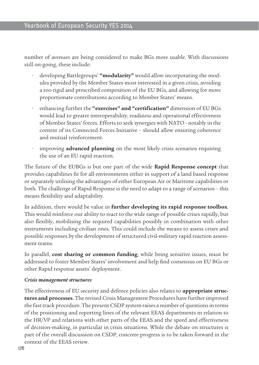number of avenues are being considered to make BGs more usable. With discussions still on-going, these include:

- developing Battlegroups' **"modularity"** would allow incorporating the modules provided by the Member States most interested in a given crisis, avoiding a too rigid and prescribed composition of the EU BGs, and allowing for more proportionate contributions according to Member States' means.
- enhancing further the **"exercises" and "certification"** dimension of EU BGs would lead to greater interoperability, readiness and operational effectiveness of Member States' forces. Efforts to seek synergies with NATO - notably in the context of its Connected Forces Initiative – should allow ensuring coherence and mutual reinforcement.
- improving **advanced planning** on the most likely crisis scenarios requiring the use of an EU rapid reaction.

The future of the EUBGs is but one part of the wide **Rapid Response concept** that provides capabilities fit for all environments either in support of a land based response or separately utilising the advantages of either European Air or Maritime capabilities or both. The challenge of Rapid Response is the need to adapt to a range of scenarios – this means flexibility and adaptability.

In addition, there would be value in **further developing its rapid response toolbox**. This would reinforce our ability to react to the wide range of possible crises rapidly, but also flexibly, mobilising the required capabilities possibly in combination with other instruments including civilian ones. This could include the means to assess crises and possible responses by the development of structured civil-military rapid reaction assessment teams.

In parallel, **cost sharing or common funding**, while being sensitive issues, must be addressed to foster Member States' involvement and help find consensus on EU BGs or other Rapid response assets' deployment.

#### *Crisis management structures*

The effectiveness of EU security and defence policies also relates to **appropriate structures and processes**. The revised Crisis Management Procedures have further improved the fast track procedure. The present CSDP system raises a number of questions in terms of the positioning and reporting lines of the relevant EEAS departments in relation to the HR/VP and relations with other parts of the EEAS and the speed and effectiveness of decision-making, in particular in crisis situations. While the debate on structures is part of the overall discussion on CSDP, concrete progress is to be taken forward in the context of the EEAS review.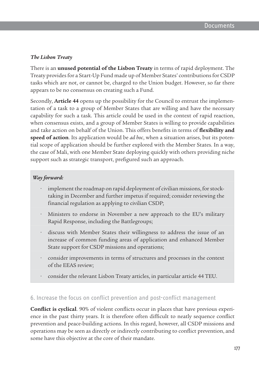#### *The Lisbon Treaty*

There is an **unused potential of the Lisbon Treaty** in terms of rapid deployment. The Treaty provides for a Start-Up Fund made up of Member States' contributions for CSDP tasks which are not, or cannot be, charged to the Union budget. However, so far there appears to be no consensus on creating such a Fund.

Secondly, **Article 44** opens up the possibility for the Council to entrust the implementation of a task to a group of Member States that are willing and have the necessary capability for such a task. This article could be used in the context of rapid reaction, when consensus exists, and a group of Member States is willing to provide capabilities and take action on behalf of the Union. This offers benefits in terms of **flexibility and speed of action**. Its application would be *ad hoc*, when a situation arises, but its potential scope of application should be further explored with the Member States. In a way, the case of Mali, with one Member State deploying quickly with others providing niche support such as strategic transport, prefigured such an approach.

#### *Way forward:*

- implement the roadmap on rapid deployment of civilian missions, for stocktaking in December and further impetus if required; consider reviewing the financial regulation as applying to civilian CSDP;
- Ministers to endorse in November a new approach to the EU's military Rapid Response, including the Battlegroups;
- discuss with Member States their willingness to address the issue of an increase of common funding areas of application and enhanced Member State support for CSDP missions and operations;
- consider improvements in terms of structures and processes in the context of the EEAS review;
- consider the relevant Lisbon Treaty articles, in particular article 44 TEU.

#### 6. Increase the focus on conflict prevention and post-conflict management

**Conflict is cyclical**. 90% of violent conflicts occur in places that have previous experience in the past thirty years. It is therefore often difficult to neatly sequence conflict prevention and peace-building actions. In this regard, however, all CSDP missions and operations may be seen as directly or indirectly contributing to conflict prevention, and some have this objective at the core of their mandate.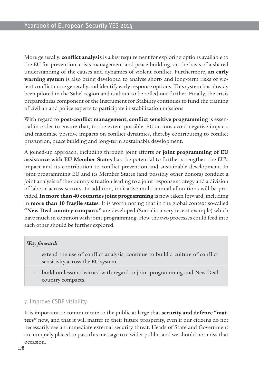More generally, **conflict analysis** is a key requirement for exploring options available to the EU for prevention, crisis management and peace-building, on the basis of a shared understanding of the causes and dynamics of violent conflict. Furthermore, **an early warning system** is also being developed to analyse short- and long-term risks of violent conflict more generally and identify early response options. This system has already been piloted in the Sahel region and is about to be rolled-out further. Finally, the crisis preparedness component of the Instrument for Stability continues to fund the training of civilian and police experts to participate in stabilization missions.

With regard to **post-conflict management, conflict sensitive programming** is essential in order to ensure that, to the extent possible, EU actions avoid negative impacts and maximise positive impacts on conflict dynamics, thereby contributing to conflict prevention, peace building and long-term sustainable development.

A joined-up approach, including through joint efforts or **joint programming of EU assistance with EU Member States** has the potential to further strengthen the EU's impact and its contribution to conflict prevention and sustainable development. In joint programming EU and its Member States (and possibly other donors) conduct a joint analysis of the country situation leading to a joint response strategy and a division of labour across sectors. In addition, indicative multi-annual allocations will be provided. **In more than 40 countries joint programming** is now taken forward, including in **more than 10 fragile states**. It is worth noting that in the global context so-called **"New Deal country compacts"** are developed (Somalia a very recent example) which have much in common with joint programming. How the two processes could feed into each other should be further explored.

#### *Way forward:*

- extend the use of conflict analysis, continue to build a culture of conflict sensitivity across the EU system;
- build on lessons-learned with regard to joint programming and New Deal country compacts.

## 7. Improve CSDP visibility

It is important to communicate to the public at large that **security and defence "matters"** now, and that it will matter to their future prosperity, even if our citizens do not necessarily see an immediate external security threat. Heads of State and Government are uniquely placed to pass this message to a wider public, and we should not miss that occasion.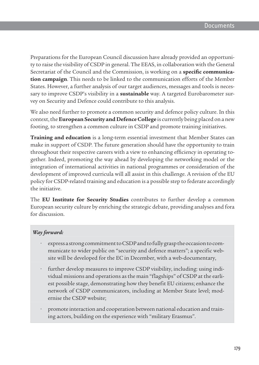Preparations for the European Council discussion have already provided an opportunity to raise the visibility of CSDP in general. The EEAS, in collaboration with the General Secretariat of the Council and the Commission, is working on a **specific communication campaign**. This needs to be linked to the communication efforts of the Member States. However, a further analysis of our target audiences, messages and tools is necessary to improve CSDP's visibility in a **sustainable** way. A targeted Eurobarometer survey on Security and Defence could contribute to this analysis.

We also need further to promote a common security and defence policy culture. In this context, the **European Security and Defence College** is currently being placed on a new footing, to strengthen a common culture in CSDP and promote training initiatives.

**Training and education** is a long-term essential investment that Member States can make in support of CSDP. The future generation should have the opportunity to train throughout their respective careers with a view to enhancing efficiency in operating together. Indeed, promoting the way ahead by developing the networking model or the integration of international activities in national programmes or consideration of the development of improved curricula will all assist in this challenge. A revision of the EU policy for CSDP-related training and education is a possible step to federate accordingly the initiative.

The **EU Institute for Security Studies** contributes to further develop a common European security culture by enriching the strategic debate, providing analyses and fora for discussion.

#### *Way forward:*

- express a strong commitment to CSDP and to fully grasp the occasion to communicate to wider public on "security and defence matters"; a specific website will be developed for the EC in December, with a web-documentary,
- further develop measures to improve CSDP visibility, including: using individual missions and operations as the main "flagships" of CSDP at the earliest possible stage, demonstrating how they benefit EU citizens; enhance the network of CSDP communicators, including at Member State level; modernise the CSDP website;
- promote interaction and cooperation between national education and training actors, building on the experience with "military Erasmus".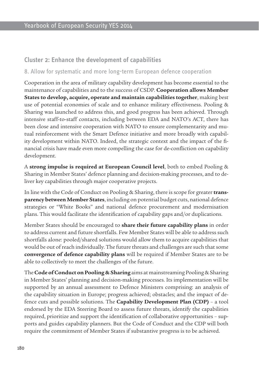## **Cluster 2: Enhance the development of capabilities**

8. Allow for systematic and more long-term European defence cooperation

Cooperation in the area of military capability development has become essential to the maintenance of capabilities and to the success of CSDP. **Cooperation allows Member States to develop, acquire, operate and maintain capabilities together**, making best use of potential economies of scale and to enhance military effectiveness. Pooling & Sharing was launched to address this, and good progress has been achieved. Through intensive staff-to-staff contacts, including between EDA and NATO's ACT, there has been close and intensive cooperation with NATO to ensure complementarity and mutual reinforcement with the Smart Defence initiative and more broadly with capability development within NATO. Indeed, the strategic context and the impact of the financial crisis have made even more compelling the case for de-confliction on capability development.

A **strong impulse is required at European Council level**, both to embed Pooling & Sharing in Member States' defence planning and decision-making processes, and to deliver key capabilities through major cooperative projects.

In line with the Code of Conduct on Pooling & Sharing, there is scope for greater **transparency between Member States**, including on potential budget cuts, national defence strategies or "White Books" and national defence procurement and modernisation plans. This would facilitate the identification of capability gaps and/or duplications.

Member States should be encouraged to **share their future capability plans** in order to address current and future shortfalls. Few Member States will be able to address such shortfalls alone: pooled/shared solutions would allow them to acquire capabilities that would be out of reach individually. The future threats and challenges are such that some **convergence of defence capability plans** will be required if Member States are to be able to collectively to meet the challenges of the future.

The **Code of Conduct on Pooling & Sharing** aims at mainstreaming Pooling & Sharing in Member States' planning and decision-making processes. Its implementation will be supported by an annual assessment to Defence Ministers comprising: an analysis of the capability situation in Europe; progress achieved; obstacles; and the impact of defence cuts and possible solutions. The **Capability Development Plan (CDP)** – a tool endorsed by the EDA Steering Board to assess future threats, identify the capabilities required, prioritize and support the identification of collaborative opportunities – supports and guides capability planners. But the Code of Conduct and the CDP will both require the commitment of Member States if substantive progress is to be achieved.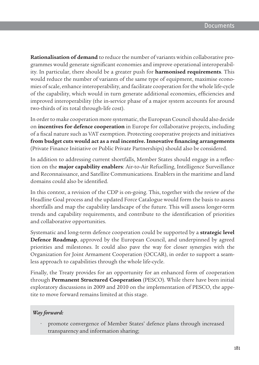**Rationalisation of demand** to reduce the number of variants within collaborative programmes would generate significant economies and improve operational interoperability. In particular, there should be a greater push for **harmonised requirements**. This would reduce the number of variants of the same type of equipment, maximise economies of scale, enhance interoperability, and facilitate cooperation for the whole life-cycle of the capability, which would in turn generate additional economies, efficiencies and improved interoperability (the in-service phase of a major system accounts for around two-thirds of its total through-life cost).

In order to make cooperation more systematic, the European Council should also decide on **incentives for defence cooperation** in Europe for collaborative projects, including of a fiscal nature such as VAT exemption. Protecting cooperative projects and initiatives **from budget cuts would act as a real incentive. Innovative financing arrangements** (Private Finance Initiative or Public Private Partnerships) should also be considered.

In addition to addressing current shortfalls, Member States should engage in a reflection on the **major capability enablers**: Air-to-Air Refuelling, Intelligence Surveillance and Reconnaissance, and Satellite Communications. Enablers in the maritime and land domains could also be identified.

In this context, a revision of the CDP is on-going. This, together with the review of the Headline Goal process and the updated Force Catalogue would form the basis to assess shortfalls and map the capability landscape of the future. This will assess longer-term trends and capability requirements, and contribute to the identification of priorities and collaborative opportunities.

Systematic and long-term defence cooperation could be supported by a **strategic level Defence Roadmap**, approved by the European Council, and underpinned by agreed priorities and milestones. It could also pave the way for closer synergies with the Organization for Joint Armament Cooperation (OCCAR), in order to support a seamless approach to capabilities through the whole life-cycle.

Finally, the Treaty provides for an opportunity for an enhanced form of cooperation through **Permanent Structured Cooperation** (PESCO). While there have been initial exploratory discussions in 2009 and 2010 on the implementation of PESCO, the appetite to move forward remains limited at this stage.

#### *Way forward:*

• promote convergence of Member States' defence plans through increased transparency and information sharing;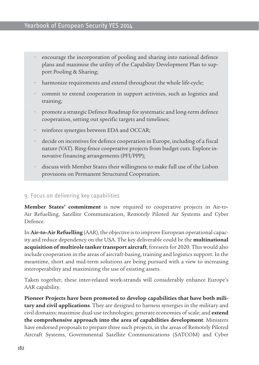- encourage the incorporation of pooling and sharing into national defence plans and maximise the utility of the Capability Development Plan to support Pooling & Sharing;
- harmonize requirements and extend throughout the whole life-cycle;
- commit to extend cooperation in support activities, such as logistics and training;
- promote a strategic Defence Roadmap for systematic and long-term defence cooperation, setting out specific targets and timelines;
- reinforce synergies between EDA and OCCAR;
- decide on incentives for defence cooperation in Europe, including of a fiscal nature (VAT). Ring-fence cooperative projects from budget cuts. Explore innovative financing arrangements (PFI/PPP);
- discuss with Member States their willingness to make full use of the Lisbon provisions on Permanent Structured Cooperation.

#### 9. Focus on delivering key capabilities

**Member States' commitment** is now required to cooperative projects in Air-to-Air Refuelling, Satellite Communication, Remotely Piloted Air Systems and Cyber Defence.

In **Air-to-Air Refuelling** (AAR), the objective is to improve European operational capacity and reduce dependency on the USA. The key deliverable could be the **multinational acquisition of multirole tanker transport aircraft**, foreseen for 2020. This would also include cooperation in the areas of aircraft-basing, training and logistics support. In the meantime, short and mid-term solutions are being pursued with a view to increasing interoperability and maximizing the use of existing assets.

Taken together, these inter-related work-strands will considerably enhance Europe's AAR capability.

**Pioneer Projects have been promoted to develop capabilities that have both military and civil applications**. They are designed to harness synergies in the military and civil domains; maximise dual-use technologies; generate economies of scale; and **extend the comprehensive approach into the area of capabilities development**. Ministers have endorsed proposals to prepare three such projects, in the areas of Remotely Piloted Aircraft Systems, Governmental Satellite Communications (SATCOM) and Cyber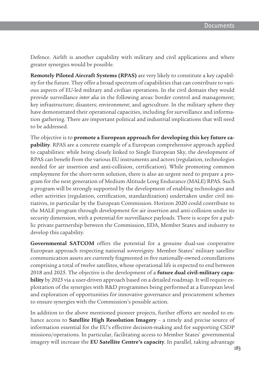Defence. Airlift is another capability with military and civil applications and where greater synergies would be possible.

**Remotely Piloted Aircraft Systems (RPAS)** are very likely to constitute a key capability for the future. They offer a broad spectrum of capabilities that can contribute to various aspects of EU-led military and civilian operations. In the civil domain they would provide surveillance *inter alia* in the following areas: border control and management; key infrastructure; disasters; environment; and agriculture. In the military sphere they have demonstrated their operational capacities, including for surveillance and information gathering. There are important political and industrial implications that will need to be addressed.

The objective is to **promote a European approach for developing this key future capability**. RPAS are a concrete example of a European comprehensive approach applied to capabilities: while being closely linked to Single European Sky, the development of RPAS can benefit from the various EU instruments and actors (regulation, technologies needed for air insertion and anti-collision, certification). While promoting common employment for the short-term solution, there is also an urgent need to prepare a program for the next generation of Medium Altitude Long Endurance (MALE) RPAS. Such a program will be strongly supported by the development of enabling technologies and other activities (regulation, certification, standardization) undertaken under civil initiatives, in particular by the European Commission. Horizon 2020 could contribute to the MALE program through development for air insertion and anti-collision under its security dimension, with a potential for surveillance payloads. There is scope for a public private partnership between the Commission, EDA, Member States and industry to develop this capability.

**Governmental SATCOM** offers the potential for a genuine dual-use cooperative European approach respecting national sovereignty. Member States' military satellite communication assets are currently fragmented in five nationally-owned constellations comprising a total of twelve satellites, whose operational life is expected to end between 2018 and 2025. The objective is the development of a **future dual civil-military capability** by 2025 via a user-driven approach based on a detailed roadmap. It will require exploitation of the synergies with R&D programmes being performed at a European level and exploration of opportunities for innovative governance and procurement schemes to ensure synergies with the Commission's possible action.

In addition to the above mentioned pioneer projects, further efforts are needed to enhance access to **Satellite High Resolution Imagery** – a timely and precise source of information essential for the EU's effective decision-making and for supporting CSDP missions/operations. In particular, facilitating access to Member States' governmental imagery will increase the **EU Satellite Centre's capacity**. In parallel, taking advantage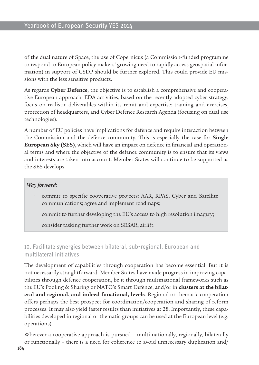of the dual nature of Space, the use of Copernicus (a Commission-funded programme to respond to European policy makers' growing need to rapidly access geospatial information) in support of CSDP should be further explored. This could provide EU missions with the less sensitive products.

As regards **Cyber Defence**, the objective is to establish a comprehensive and cooperative European approach. EDA activities, based on the recently adopted cyber strategy, focus on realistic deliverables within its remit and expertise: training and exercises, protection of headquarters, and Cyber Defence Research Agenda (focusing on dual use technologies).

A number of EU policies have implications for defence and require interaction between the Commission and the defence community. This is especially the case for **Single European Sky (SES)**, which will have an impact on defence in financial and operational terms and where the objective of the defence community is to ensure that its views and interests are taken into account. Member States will continue to be supported as the SES develops.

#### *Way forward:*

- commit to specific cooperative projects: AAR, RPAS, Cyber and Satellite communications; agree and implement roadmaps;
- commit to further developing the EU's access to high resolution imagery;
- consider tasking further work on SESAR, airlift.

## 10. Facilitate synergies between bilateral, sub-regional, European and multilateral initiatives

The development of capabilities through cooperation has become essential. But it is not necessarily straightforward. Member States have made progress in improving capabilities through defence cooperation, be it through multinational frameworks such as the EU's Pooling & Sharing or NATO's Smart Defence, and/or in **clusters at the bilateral and regional, and indeed functional, levels**. Regional or thematic cooperation offers perhaps the best prospect for coordination/cooperation and sharing of reform processes. It may also yield faster results than initiatives at 28. Importantly, these capabilities developed in regional or thematic groups can be used at the European level (e.g. operations).

Wherever a cooperative approach is pursued – multi-nationally, regionally, bilaterally or functionally – there is a need for coherence to avoid unnecessary duplication and/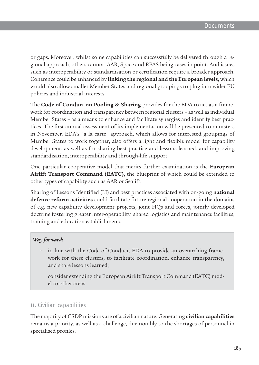or gaps. Moreover, whilst some capabilities can successfully be delivered through a regional approach, others cannot: AAR, Space and RPAS being cases in point. And issues such as interoperability or standardisation or certification require a broader approach. Coherence could be enhanced by **linking the regional and the European levels**, which would also allow smaller Member States and regional groupings to plug into wider EU policies and industrial interests.

The **Code of Conduct on Pooling & Sharing** provides for the EDA to act as a framework for coordination and transparency between regional clusters – as well as individual Member States – as a means to enhance and facilitate synergies and identify best practices. The first annual assessment of its implementation will be presented to ministers in November. EDA's "à la carte" approach, which allows for interested groupings of Member States to work together, also offers a light and flexible model for capability development, as well as for sharing best practice and lessons learned, and improving standardisation, interoperability and through-life support.

One particular cooperative model that merits further examination is the **European Airlift Transport Command (EATC)**, the blueprint of which could be extended to other types of capability such as AAR or Sealift.

Sharing of Lessons Identified (LI) and best practices associated with on-going **national defence reform activities** could facilitate future regional cooperation in the domains of e.g. new capability development projects, joint HQs and forces, jointly developed doctrine fostering greater inter-operability, shared logistics and maintenance facilities, training and education establishments.

#### *Way forward:*

- in line with the Code of Conduct, EDA to provide an overarching framework for these clusters, to facilitate coordination, enhance transparency, and share lessons learned;
- consider extending the European Airlift Transport Command (EATC) model to other areas.

#### 11. Civilian capabilities

The majority of CSDP missions are of a civilian nature. Generating **civilian capabilities** remains a priority, as well as a challenge, due notably to the shortages of personnel in specialised profiles.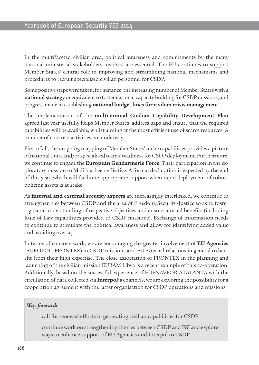In the multifaceted civilian area, political awareness and commitments by the many national ministerial stakeholders involved are essential. The EU continues to support Member States' central role in improving and streamlining national mechanisms and procedures to recruit specialised civilian personnel for CSDP.

Some positive steps were taken, for instance: the increasing number of Member States with a **national strategy** or equivalent to foster national capacity building for CSDP missions; and progress made in establishing **national budget lines for civilian crisis management**.

The implementation of the **multi-annual Civilian Capability Development Plan** agreed last year usefully helps Member States' address gaps and ensure that the required capabilities will be available, whilst aiming at the most efficient use of scarce resources. A number of concrete activities are underway:

First of all, the on-going mapping of Member States' niche capabilities provides a picture of national units and/or specialised teams' readiness for CSDP deployment. Furthermore, we continue to engage the **European Gendarmerie Force**. Their participation in the exploratory mission to Mali has been effective. A formal declaration is expected by the end of this year, which will facilitate appropriate support when rapid deployment of robust policing assets is at stake.

As **internal and external security aspects** are increasingly interlinked, we continue to strengthen ties between CSDP and the area of Freedom/Security/Justice so as to foster a greater understanding of respective objectives and ensure mutual benefits (including Rule of Law capabilities provided to CSDP missions). Exchange of information needs to continue to stimulate the political awareness and allow for identifying added value and avoiding overlap.

In terms of concrete work, we are encouraging the greater involvement of **EU Agencies** (EUROPOL, FRONTEX) in CSDP missions and EU external relations in general to benefit from their high expertise. The close association of FRONTEX in the planning and launching of the civilian mission EUBAM Libya is a recent example of this co-operation. Additionally, based on the successful experience of EUFNAVFOR ATALANTA with the circulation of data collected via **Interpol's** channels, we are exploring the possibility for a cooperation agreement with the latter organisation for CSDP operations and missions.

#### *Way forward:*

- call for renewed efforts in generating civilian capabilities for CSDP;
- continue work on strengthening the ties between CSDP and FSJ and explore ways to enhance support of EU Agencies and Interpol to CSDP.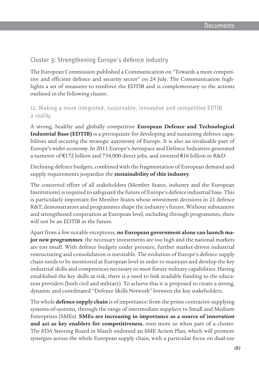#### **Cluster 3: Strengthening Europe's defence industry**

The European Commission published a Communication on "Towards a more competitive and efficient defence and security sector" on 24 July. The Communication highlights a set of measures to reinforce the EDTIB and is complementary to the actions outlined in the following cluster.

### 12. Making a more integrated, sustainable, innovative and competitive EDTIB a reality

A strong, healthy and globally competitive **European Defence and Technological Industrial Base (EDTIB)** is a prerequisite for developing and sustaining defence capabilities and securing the strategic autonomy of Europe. It is also an invaluable part of Europe's wider economy. In 2011 Europe's Aerospace and Defence Industries generated a turnover of €172 billion and 734,000 direct jobs, and invested €16 billion in R&D.

Declining defence budgets, combined with the fragmentation of European demand and supply requirements jeopardise the **sustainability of this industry**.

The concerted effort of all stakeholders (Member States, industry and the European Institutions) is required to safeguard the future of Europe's defence industrial base. This is particularly important for Member States whose investment decisions in 21 defence R&T, demonstrators and programmes shape the industry's future. Without substantive and strengthened cooperation at European level, including through programmes, there will not be an EDTIB in the future.

Apart from a few notable exceptions, **no European government alone can launch major new programmes**: the necessary investments are too high and the national markets are too small. With defence budgets under pressure, further market-driven industrial restructuring and consolidation is inevitable. The evolution of Europe's defence supply chain needs to be monitored at European level in order to maintain and develop the key industrial skills and competences necessary to meet future military capabilities. Having established the key skills at risk, there is a need to link available funding to the education providers (both civil and military). To achieve this it is proposed to create a strong, dynamic and coordinated "Defence Skills Network" between the key stakeholders.

The whole **defence supply chain** is of importance: from the prime contractor supplying systems-of-systems, through the range of intermediate suppliers to Small and Medium Enterprises (SMEs). **SMEs are increasing in importance as a source of innovation and act as key enablers for competitiveness**, even more so when part of a cluster. The EDA Steering Board in March endorsed an SME Action Plan, which will promote synergies across the whole European supply chain, with a particular focus on dual-use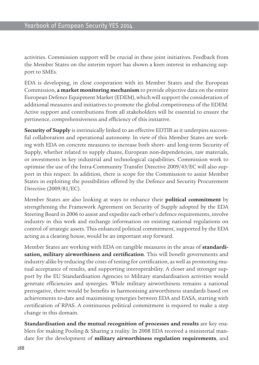activities. Commission support will be crucial in these joint initiatives. Feedback from the Member States on the interim report has shown a keen interest in enhancing support to SMEs.

EDA is developing, in close cooperation with its Member States and the European Commission, **a market monitoring mechanism** to provide objective data on the entire European Defence Equipment Market (EDEM), which will support the consideration of additional measures and initiatives to promote the global competiveness of the EDEM. Active support and contributions from all stakeholders will be essential to ensure the pertinence, comprehensiveness and efficiency of this initiative.

**Security of Supply** is intrinsically linked to an effective EDTIB as it underpins successful collaboration and operational autonomy. In view of this Member States are working with EDA on concrete measures to increase both short- and long-term Security of Supply, whether related to supply chains, European non-dependencies, raw materials, or investments in key industrial and technological capabilities. Commission work to optimise the use of the Intra-Community Transfer Directive 2009/43/EC will also support in this respect. In addition, there is scope for the Commission to assist Member States in exploiting the possibilities offered by the Defence and Security Procurement Directive (2009/81/EC).

Member States are also looking at ways to enhance their **political commitment** by strengthening the Framework Agreement on Security of Supply adopted by the EDA Steering Board in 2006 to assist and expedite each other's defence requirements, involve industry in this work and exchange information on existing national regulations on control of strategic assets. This enhanced political commitment, supported by the EDA acting as a clearing house, would be an important step forward.

Member States are working with EDA on tangible measures in the areas of **standardisation, military airworthiness and certification**. This will benefit governments and industry alike by reducing the costs of testing for certification, as well as promoting mutual acceptance of results, and supporting interoperability. A closer and stronger support by the EU Standardisation Agencies to Military standardisation activities would generate efficiencies and synergies. While military airworthiness remains a national prerogative, there would be benefits in harmonising airworthiness standards based on achievements to-date and maximising synergies between EDA and EASA, starting with certification of RPAS. A continuous political commitment is required to make a step change in this domain.

**Standardisation and the mutual recognition of processes and results** are key enablers for making Pooling & Sharing a reality. In 2008 EDA received a ministerial mandate for the development of **military airworthiness regulation requirements**, and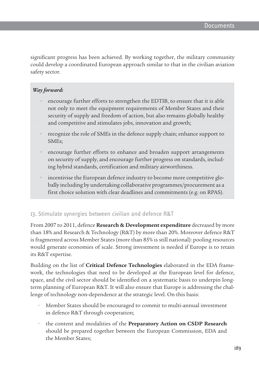significant progress has been achieved. By working together, the military community could develop a coordinated European approach similar to that in the civilian aviation safety sector.

#### *Way forward:*

- encourage further efforts to strengthen the EDTIB, to ensure that it is able not only to meet the equipment requirements of Member States and their security of supply and freedom of action, but also remains globally healthy and competitive and stimulates jobs, innovation and growth;
- recognize the role of SMEs in the defence supply chain; enhance support to SMEs;
- encourage further efforts to enhance and broaden support arrangements on security of supply, and encourage further progress on standards, including hybrid standards, certification and military airworthiness.
- incentivise the European defence industry to become more competitive globally including by undertaking collaborative programmes/procurement as a first choice solution with clear deadlines and commitments (e.g. on RPAS).

#### 13. Stimulate synergies between civilian and defence R&T

From 2007 to 2011, defence **Research & Development expenditure** decreased by more than 18% and Research & Technology (R&T) by more than 20%. Moreover defence R&T is fragmented across Member States (more than 85% is still national): pooling resources would generate economies of scale. Strong investment is needed if Europe is to retain its R&T expertise.

Building on the list of **Critical Defence Technologies** elaborated in the EDA framework, the technologies that need to be developed at the European level for defence, space, and the civil sector should be identified on a systematic basis to underpin longterm planning of European R&T. It will also ensure that Europe is addressing the challenge of technology non-dependence at the strategic level. On this basis:

- Member States should be encouraged to commit to multi-annual investment in defence R&T through cooperation;
- the content and modalities of the **Preparatory Action on CSDP Research** should be prepared together between the European Commission, EDA and the Member States;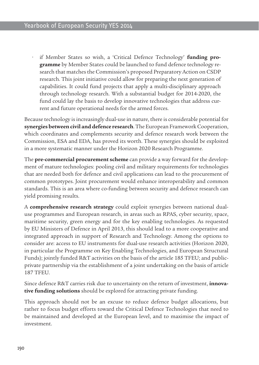• if Member States so wish, a 'Critical Defence Technology' **funding programme** by Member States could be launched to fund defence technology research that matches the Commission's proposed Preparatory Action on CSDP research. This joint initiative could allow for preparing the next generation of capabilities. It could fund projects that apply a multi-disciplinary approach through technology research. With a substantial budget for 2014-2020, the fund could lay the basis to develop innovative technologies that address current and future operational needs for the armed forces.

Because technology is increasingly dual-use in nature, there is considerable potential for **synergies between civil and defence research**. The European Framework Cooperation, which coordinates and complements security and defence research work between the Commission, ESA and EDA, has proved its worth. These synergies should be exploited in a more systematic manner under the Horizon 2020 Research Programme.

The **pre-commercial procurement scheme** can provide a way forward for the development of mature technologies: pooling civil and military requirements for technologies that are needed both for defence and civil applications can lead to the procurement of common prototypes. Joint procurement would enhance interoperability and common standards. This is an area where co-funding between security and defence research can yield promising results.

A **comprehensive research strategy** could exploit synergies between national dualuse programmes and European research, in areas such as RPAS, cyber security, space, maritime security, green energy and for the key enabling technologies. As requested by EU Ministers of Defence in April 2013, this should lead to a more cooperative and integrated approach in support of Research and Technology. Among the options to consider are: access to EU instruments for dual-use research activities (Horizon 2020, in particular the Programme on Key Enabling Technologies, and European Structural Funds); jointly funded R&T activities on the basis of the article 185 TFEU; and publicprivate partnership via the establishment of a joint undertaking on the basis of article 187 TFEU.

Since defence R&T carries risk due to uncertainty on the return of investment, **innovative funding solutions** should be explored for attracting private funding.

This approach should not be an excuse to reduce defence budget allocations, but rather to focus budget efforts toward the Critical Defence Technologies that need to be maintained and developed at the European level, and to maximise the impact of investment.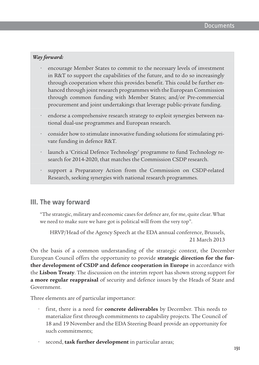#### *Way forward:*

- encourage Member States to commit to the necessary levels of investment in R&T to support the capabilities of the future, and to do so increasingly through cooperation where this provides benefit. This could be further enhanced through joint research programmes with the European Commission through common funding with Member States; and/or Pre-commercial procurement and joint undertakings that leverage public-private funding.
- endorse a comprehensive research strategy to exploit synergies between national dual-use programmes and European research.
- consider how to stimulate innovative funding solutions for stimulating private funding in defence R&T.
- launch a 'Critical Defence Technology' programme to fund Technology research for 2014-2020, that matches the Commission CSDP research.
- support a Preparatory Action from the Commission on CSDP-related Research, seeking synergies with national research programmes.

## **III. The way forward**

"The strategic, military and economic cases for defence are, for me, quite clear. What we need to make sure we have got is political will from the very top".

HRVP/Head of the Agency Speech at the EDA annual conference, Brussels, 21 March 2013

On the basis of a common understanding of the strategic context, the December European Council offers the opportunity to provide **strategic direction for the further development of CSDP and defence cooperation in Europe** in accordance with the **Lisbon Treaty**. The discussion on the interim report has shown strong support for **a more regular reappraisal** of security and defence issues by the Heads of State and Government.

Three elements are of particular importance:

- first, there is a need for **concrete deliverables** by December. This needs to materialize first through commitments to capability projects. The Council of 18 and 19 November and the EDA Steering Board provide an opportunity for such commitments;
- second, task further development in particular areas;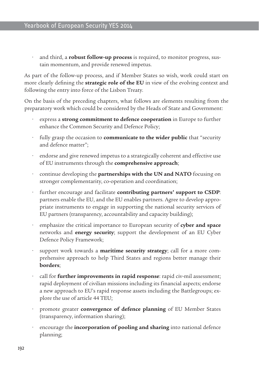• and third, a **robust follow-up process** is required, to monitor progress, sustain momentum, and provide renewed impetus.

As part of the follow-up process, and if Member States so wish, work could start on more clearly defining the **strategic role of the EU** in view of the evolving context and following the entry into force of the Lisbon Treaty.

On the basis of the preceding chapters, what follows are elements resulting from the preparatory work which could be considered by the Heads of State and Government:

- express a **strong commitment to defence cooperation** in Europe to further enhance the Common Security and Defence Policy;
- fully grasp the occasion to **communicate to the wider public** that "security and defence matter";
- endorse and give renewed impetus to a strategically coherent and effective use of EU instruments through the **comprehensive approach**;
- continue developing the **partnerships with the UN and NATO** focusing on stronger complementarity, co-operation and coordination;
- further encourage and facilitate **contributing partners' support to CSDP**: partners enable the EU, and the EU enables partners. Agree to develop appropriate instruments to engage in supporting the national security services of EU partners (transparency, accountability and capacity building);
- emphasize the critical importance to European security of **cyber and space** networks and **energy security**; support the development of an EU Cyber Defence Policy Framework;
- support work towards a **maritime security strategy**; call for a more comprehensive approach to help Third States and regions better manage their **borders**;
- call for **further improvements in rapid response**: rapid civ-mil assessment; rapid deployment of civilian missions including its financial aspects; endorse a new approach to EU's rapid response assets including the Battlegroups; explore the use of article 44 TEU;
- promote greater **convergence of defence planning** of EU Member States (transparency, information sharing);
- encourage the **incorporation of pooling and sharing** into national defence planning;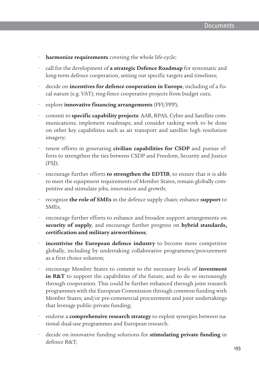- **harmonize requirements** covering the whole life-cycle;
- call for the development of **a strategic Defence Roadmap** for systematic and long-term defence cooperation, setting out specific targets and timelines;
- decide on **incentives for defence cooperation in Europe**, including of a fiscal nature (e.g. VAT); ring-fence cooperative projects from budget cuts;
- explore **innovative financing arrangements** (PFI/PPP);
- commit to **specific capability projects**: AAR, RPAS, Cyber and Satellite communications; implement roadmaps; and consider tasking work to be done on other key capabilities such as air transport and satellite high resolution imagery;
- renew efforts in generating **civilian capabilities for CSDP** and pursue efforts to strengthen the ties between CSDP and Freedom, Security and Justice (FSJ);
- encourage further efforts **to strengthen the EDTIB**, to ensure that it is able to meet the equipment requirements of Member States, remain globally competitive and stimulate jobs, innovation and growth;
- recognize **the role of SMEs** in the defence supply chain; enhance **support** to SMEs;
- encourage further efforts to enhance and broaden support arrangements on **security of supply**, and encourage further progress on **hybrid standards, certification and military airworthiness**;
- **incentivise the European defence industry** to become more competitive globally, including by undertaking collaborative programmes/procurement as a first choice solution;
- encourage Member States to commit to the necessary levels of **investment in R&T** to support the capabilities of the future, and to do so increasingly through cooperation. This could be further enhanced through joint research programmes with the European Commission through common funding with Member States; and/or pre-commercial procurement and joint undertakings that leverage public-private funding;
- endorse a **comprehensive research strategy** to exploit synergies between national dual-use programmes and European research.
- decide on innovative funding solutions for **stimulating private funding** in defence R&T;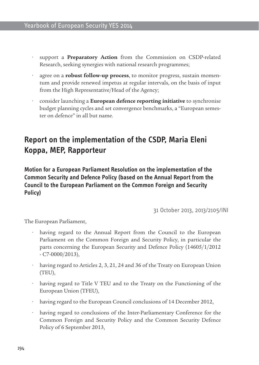- support a **Preparatory Action** from the Commission on CSDP-related Research, seeking synergies with national research programmes;
- agree on a **robust follow-up process**, to monitor progress, sustain momentum and provide renewed impetus at regular intervals, on the basis of input from the High Representative/Head of the Agency;
- consider launching a **European defence reporting initiative** to synchronise budget planning cycles and set convergence benchmarks, a "European semester on defence" in all but name.

# **Report on the implementation of the CSDP, Maria Eleni Koppa, MEP, Rapporteur**

**Motion for a European Parliament Resolution on the implementation of the Common Security and Defence Policy (based on the Annual Report from the Council to the European Parliament on the Common Foreign and Security Policy)** 

31 October 2013, 2013/2105/INI

The European Parliament,

- having regard to the Annual Report from the Council to the European Parliament on the Common Foreign and Security Policy, in particular the parts concerning the European Security and Defence Policy (14605/1/2012 - C7-0000/2013),
- having regard to Articles 2, 3, 21, 24 and 36 of the Treaty on European Union (TEU),
- having regard to Title V TEU and to the Treaty on the Functioning of the European Union (TFEU),
- having regard to the European Council conclusions of 14 December 2012,
- having regard to conclusions of the Inter-Parliamentary Conference for the Common Foreign and Security Policy and the Common Security Defence Policy of 6 September 2013,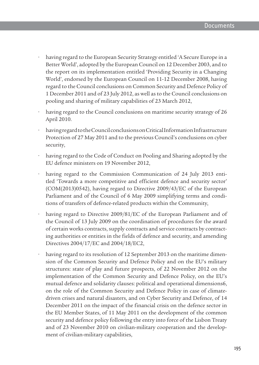- having regard to the European Security Strategy entitled 'A Secure Europe in a Better World', adopted by the European Council on 12 December 2003, and to the report on its implementation entitled 'Providing Security in a Changing World', endorsed by the European Council on 11-12 December 2008, having regard to the Council conclusions on Common Security and Defence Policy of 1 December 2011 and of 23 July 2012, as well as to the Council conclusions on pooling and sharing of military capabilities of 23 March 2012,
- having regard to the Council conclusions on maritime security strategy of 26 April 2010.
- having regard to the Council conclusions on Critical Information Infrastructure Protection of 27 May 2011 and to the previous Council's conclusions on cyber security,
- having regard to the Code of Conduct on Pooling and Sharing adopted by the EU defence ministers on 19 November 2012,
- having regard to the Commission Communication of 24 July 2013 entitled 'Towards a more competitive and efficient defence and security sector' (COM(2013)0542), having regard to Directive 2009/43/EC of the European Parliament and of the Council of 6 May 2009 simplifying terms and conditions of transfers of defence-related products within the Community,
- having regard to Directive 2009/81/EC of the European Parliament and of the Council of 13 July 2009 on the coordination of procedures for the award of certain works contracts, supply contracts and service contracts by contracting authorities or entities in the fields of defence and security, and amending Directives 2004/17/EC and 2004/18/EC2,
- having regard to its resolution of 12 September 2013 on the maritime dimension of the Common Security and Defence Policy and on the EU's military structures: state of play and future prospects, of 22 November 2012 on the implementation of the Common Security and Defence Policy, on the EU's mutual defence and solidarity clauses: political and operational dimensions6, on the role of the Common Security and Defence Policy in case of climatedriven crises and natural disasters, and on Cyber Security and Defence, of 14 December 2011 on the impact of the financial crisis on the defence sector in the EU Member States, of 11 May 2011 on the development of the common security and defence policy following the entry into force of the Lisbon Treaty and of 23 November 2010 on civilian-military cooperation and the development of civilian-military capabilities,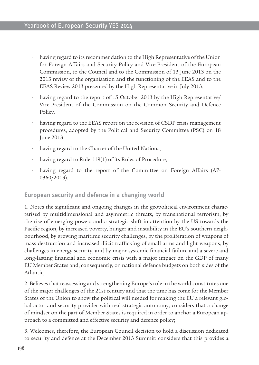having regard to its recommendation to the High Representative of the Union for Foreign Affairs and Security Policy and Vice-President of the European Commission, to the Council and to the Commission of 13 June 2013 on the 2013 review of the organisation and the functioning of the EEAS and to the EEAS Review 2013 presented by the High Representative in July 2013,

- having regard to the report of 15 October 2013 by the High Representative Vice-President of the Commission on the Common Security and Defence Policy,
- having regard to the EEAS report on the revision of CSDP crisis management procedures, adopted by the Political and Security Committee (PSC) on 18 June 2013,
- having regard to the Charter of the United Nations,
- having regard to Rule 119(1) of its Rules of Procedure,
- having regard to the report of the Committee on Foreign Affairs (A7- 0360/2013).

## **European security and defence in a changing world**

1. Notes the significant and ongoing changes in the geopolitical environment characterised by multidimensional and asymmetric threats, by transnational terrorism, by the rise of emerging powers and a strategic shift in attention by the US towards the Pacific region, by increased poverty, hunger and instability in the EU's southern neighbourhood, by growing maritime security challenges, by the proliferation of weapons of mass destruction and increased illicit trafficking of small arms and light weapons, by challenges in energy security, and by major systemic financial failure and a severe and long-lasting financial and economic crisis with a major impact on the GDP of many EU Member States and, consequently, on national defence budgets on both sides of the Atlantic;

2. Believes that reassessing and strengthening Europe's role in the world constitutes one of the major challenges of the 21st century and that the time has come for the Member States of the Union to show the political will needed for making the EU a relevant global actor and security provider with real strategic autonomy; considers that a change of mindset on the part of Member States is required in order to anchor a European approach to a committed and effective security and defence policy;

3. Welcomes, therefore, the European Council decision to hold a discussion dedicated to security and defence at the December 2013 Summit; considers that this provides a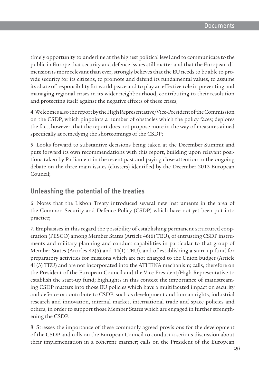timely opportunity to underline at the highest political level and to communicate to the public in Europe that security and defence issues still matter and that the European dimension is more relevant than ever; strongly believes that the EU needs to be able to provide security for its citizens, to promote and defend its fundamental values, to assume its share of responsibility for world peace and to play an effective role in preventing and managing regional crises in its wider neighbourhood, contributing to their resolution and protecting itself against the negative effects of these crises;

4. Welcomes also the report by the High Representative/Vice-President of the Commission on the CSDP, which pinpoints a number of obstacles which the policy faces; deplores the fact, however, that the report does not propose more in the way of measures aimed specifically at remedying the shortcomings of the CSDP;

5. Looks forward to substantive decisions being taken at the December Summit and puts forward its own recommendations with this report, building upon relevant positions taken by Parliament in the recent past and paying close attention to the ongoing debate on the three main issues (clusters) identified by the December 2012 European Council;

## **Unleashing the potential of the treaties**

6. Notes that the Lisbon Treaty introduced several new instruments in the area of the Common Security and Defence Policy (CSDP) which have not yet been put into practice;

7. Emphasises in this regard the possibility of establishing permanent structured cooperation (PESCO) among Member States (Article 46(6) TEU), of entrusting CSDP instruments and military planning and conduct capabilities in particular to that group of Member States (Articles 42(5) and 44(1) TEU), and of establishing a start-up fund for preparatory activities for missions which are not charged to the Union budget (Article 41(3) TEU) and are not incorporated into the ATHENA mechanism; calls, therefore on the President of the European Council and the Vice-President/High Representative to establish the start-up fund; highlights in this context the importance of mainstreaming CSDP matters into those EU policies which have a multifaceted impact on security and defence or contribute to CSDP, such as development and human rights, industrial research and innovation, internal market, international trade and space policies and others, in order to support those Member States which are engaged in further strengthening the CSDP;

8. Stresses the importance of these commonly agreed provisions for the development of the CSDP and calls on the European Council to conduct a serious discussion about their implementation in a coherent manner; calls on the President of the European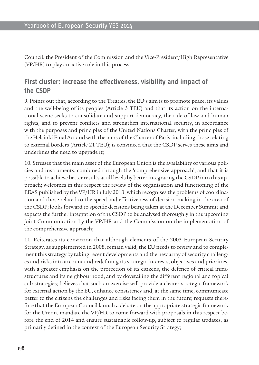Council, the President of the Commission and the Vice-President/High Representative (VP/HR) to play an active role in this process;

## **First cluster: increase the effectiveness, visibility and impact of the CSDP**

9. Points out that, according to the Treaties, the EU's aim is to promote peace, its values and the well-being of its peoples (Article 3 TEU) and that its action on the international scene seeks to consolidate and support democracy, the rule of law and human rights, and to prevent conflicts and strengthen international security, in accordance with the purposes and principles of the United Nations Charter, with the principles of the Helsinki Final Act and with the aims of the Charter of Paris, including those relating to external borders (Article 21 TEU); is convinced that the CSDP serves these aims and underlines the need to upgrade it;

10. Stresses that the main asset of the European Union is the availability of various policies and instruments, combined through the 'comprehensive approach', and that it is possible to achieve better results at all levels by better integrating the CSDP into this approach; welcomes in this respect the review of the organisation and functioning of the EEAS published by the VP/HR in July 2013, which recognises the problems of coordination and those related to the speed and effectiveness of decision-making in the area of the CSDP; looks forward to specific decisions being taken at the December Summit and expects the further integration of the CSDP to be analysed thoroughly in the upcoming joint Communication by the VP/HR and the Commission on the implementation of the comprehensive approach;

11. Reiterates its conviction that although elements of the 2003 European Security Strategy, as supplemented in 2008, remain valid, the EU needs to review and to complement this strategy by taking recent developments and the new array of security challenges and risks into account and redefining its strategic interests, objectives and priorities, with a greater emphasis on the protection of its citizens, the defence of critical infrastructures and its neighbourhood, and by dovetailing the different regional and topical sub-strategies; believes that such an exercise will provide a clearer strategic framework for external action by the EU, enhance consistency and, at the same time, communicate better to the citizens the challenges and risks facing them in the future; requests therefore that the European Council launch a debate on the appropriate strategic framework for the Union, mandate the VP/HR to come forward with proposals in this respect before the end of 2014 and ensure sustainable follow-up, subject to regular updates, as primarily defined in the context of the European Security Strategy;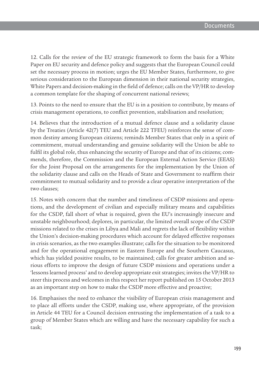12. Calls for the review of the EU strategic framework to form the basis for a White Paper on EU security and defence policy and suggests that the European Council could set the necessary process in motion; urges the EU Member States, furthermore, to give serious consideration to the European dimension in their national security strategies, White Papers and decision-making in the field of defence; calls on the VP/HR to develop a common template for the shaping of concurrent national reviews;

13. Points to the need to ensure that the EU is in a position to contribute, by means of crisis management operations, to conflict prevention, stabilisation and resolution;

14. Believes that the introduction of a mutual defence clause and a solidarity clause by the Treaties (Article 42(7) TEU and Article 222 TFEU) reinforces the sense of common destiny among European citizens; reminds Member States that only in a spirit of commitment, mutual understanding and genuine solidarity will the Union be able to fulfil its global role, thus enhancing the security of Europe and that of its citizens; commends, therefore, the Commission and the European External Action Service (EEAS) for the Joint Proposal on the arrangements for the implementation by the Union of the solidarity clause and calls on the Heads of State and Government to reaffirm their commitment to mutual solidarity and to provide a clear operative interpretation of the two clauses;

15. Notes with concern that the number and timeliness of CSDP missions and operations, and the development of civilian and especially military means and capabilities for the CSDP, fall short of what is required, given the EU's increasingly insecure and unstable neighbourhood; deplores, in particular, the limited overall scope of the CSDP missions related to the crises in Libya and Mali and regrets the lack of flexibility within the Union's decision-making procedures which account for delayed effective responses in crisis scenarios, as the two examples illustrate; calls for the situation to be monitored and for the operational engagement in Eastern Europe and the Southern Caucasus, which has yielded positive results, to be maintained; calls for greater ambition and serious efforts to improve the design of future CSDP missions and operations under a 'lessons learned process' and to develop appropriate exit strategies; invites the VP/HR to steer this process and welcomes in this respect her report published on 15 October 2013 as an important step on how to make the CSDP more effective and proactive;

16. Emphasises the need to enhance the visibility of European crisis management and to place all efforts under the CSDP, making use, where appropriate, of the provision in Article 44 TEU for a Council decision entrusting the implementation of a task to a group of Member States which are willing and have the necessary capability for such a task;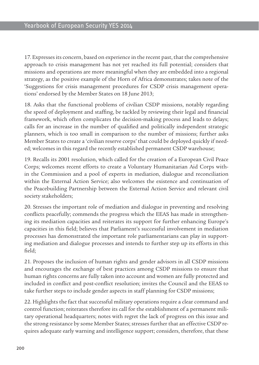17. Expresses its concern, based on experience in the recent past, that the comprehensive approach to crisis management has not yet reached its full potential; considers that missions and operations are more meaningful when they are embedded into a regional strategy, as the positive example of the Horn of Africa demonstrates; takes note of the 'Suggestions for crisis management procedures for CSDP crisis management operations' endorsed by the Member States on 18 June 2013;

18. Asks that the functional problems of civilian CSDP missions, notably regarding the speed of deployment and staffing, be tackled by reviewing their legal and financial framework, which often complicates the decision-making process and leads to delays; calls for an increase in the number of qualified and politically independent strategic planners, which is too small in comparison to the number of missions; further asks Member States to create a 'civilian reserve corps' that could be deployed quickly if needed; welcomes in this regard the recently established permanent CSDP warehouse;

19. Recalls its 2001 resolution, which called for the creation of a European Civil Peace Corps; welcomes recent efforts to create a Voluntary Humanitarian Aid Corps within the Commission and a pool of experts in mediation, dialogue and reconciliation within the External Action Service; also welcomes the existence and continuation of the Peacebuilding Partnership between the External Action Service and relevant civil society stakeholders;

20. Stresses the important role of mediation and dialogue in preventing and resolving conflicts peacefully; commends the progress which the EEAS has made in strengthening its mediation capacities and reiterates its support for further enhancing Europe's capacities in this field; believes that Parliament's successful involvement in mediation processes has demonstrated the important role parliamentarians can play in supporting mediation and dialogue processes and intends to further step up its efforts in this field;

21. Proposes the inclusion of human rights and gender advisors in all CSDP missions and encourages the exchange of best practices among CSDP missions to ensure that human rights concerns are fully taken into account and women are fully protected and included in conflict and post-conflict resolution; invites the Council and the EEAS to take further steps to include gender aspects in staff planning for CSDP missions;

22. Highlights the fact that successful military operations require a clear command and control function; reiterates therefore its call for the establishment of a permanent military operational headquarters; notes with regret the lack of progress on this issue and the strong resistance by some Member States; stresses further that an effective CSDP requires adequate early warning and intelligence support; considers, therefore, that these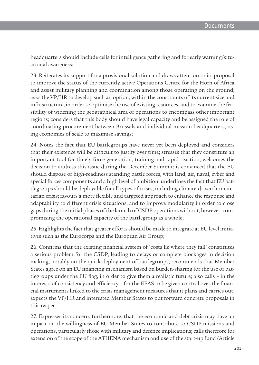headquarters should include cells for intelligence gathering and for early warning/situational awareness;

23. Reiterates its support for a provisional solution and draws attention to its proposal to improve the status of the currently active Operations Centre for the Horn of Africa and assist military planning and coordination among those operating on the ground; asks the VP/HR to develop such an option, within the constraints of its current size and infrastructure, in order to optimise the use of existing resources, and to examine the feasibility of widening the geographical area of operations to encompass other important regions; considers that this body should have legal capacity and be assigned the role of coordinating procurement between Brussels and individual mission headquarters, using economies of scale to maximise savings;

24. Notes the fact that EU battlegroups have never yet been deployed and considers that their existence will be difficult to justify over time; stresses that they constitute an important tool for timely force generation, training and rapid reaction; welcomes the decision to address this issue during the December Summit; is convinced that the EU should dispose of high-readiness standing battle forces, with land, air, naval, cyber and special forces components and a high level of ambition; underlines the fact that EU battlegroups should be deployable for all types of crises, including climate-driven humanitarian crisis; favours a more flexible and targeted approach to enhance the response and adaptability to different crisis situations, and to improve modularity in order to close gaps during the initial phases of the launch of CSDP operations without, however, compromising the operational capacity of the battlegroup as a whole;

25. Highlights the fact that greater efforts should be made to integrate at EU level initiatives such as the Eurocorps and the European Air Group;

26. Confirms that the existing financial system of 'costs lie where they fall' constitutes a serious problem for the CSDP, leading to delays or complete blockages in decision making, notably on the quick deployment of battlegroups; recommends that Member States agree on an EU financing mechanism based on burden-sharing for the use of battlegroups under the EU flag, in order to give them a realistic future; also calls – in the interests of consistency and efficiency – for the EEAS to be given control over the financial instruments linked to the crisis management measures that it plans and carries out; expects the VP/HR and interested Member States to put forward concrete proposals in this respect;

27. Expresses its concern, furthermore, that the economic and debt crisis may have an impact on the willingness of EU Member States to contribute to CSDP missions and operations, particularly those with military and defence implications; calls therefore for extension of the scope of the ATHENA mechanism and use of the start-up fund (Article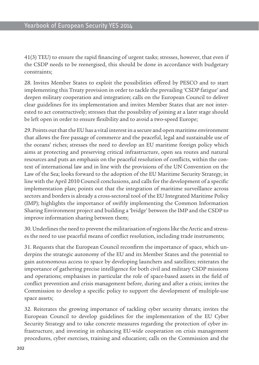41(3) TEU) to ensure the rapid financing of urgent tasks; stresses, however, that even if the CSDP needs to be reenergised, this should be done in accordance with budgetary constraints;

28. Invites Member States to exploit the possibilities offered by PESCO and to start implementing this Treaty provision in order to tackle the prevailing 'CSDP fatigue' and deepen military cooperation and integration; calls on the European Council to deliver clear guidelines for its implementation and invites Member States that are not interested to act constructively; stresses that the possibility of joining at a later stage should be left open in order to ensure flexibility and to avoid a two-speed Europe;

29. Points out that the EU has a vital interest in a secure and open maritime environment that allows the free passage of commerce and the peaceful, legal and sustainable use of the oceans' riches; stresses the need to develop an EU maritime foreign policy which aims at protecting and preserving critical infrastructure, open sea routes and natural resources and puts an emphasis on the peaceful resolution of conflicts, within the context of international law and in line with the provisions of the UN Convention on the Law of the Sea; looks forward to the adoption of the EU Maritime Security Strategy, in line with the April 2010 Council conclusions, and calls for the development of a specific implementation plan; points out that the integration of maritime surveillance across sectors and borders is already a cross-sectoral tool of the EU Integrated Maritime Policy (IMP); highlights the importance of swiftly implementing the Common Information Sharing Environment project and building a 'bridge' between the IMP and the CSDP to improve information sharing between them;

30. Underlines the need to prevent the militarisation of regions like the Arctic and stresses the need to use peaceful means of conflict resolution, including trade instruments;

31. Requests that the European Council reconfirm the importance of space, which underpins the strategic autonomy of the EU and its Member States and the potential to gain autonomous access to space by developing launchers and satellites; reiterates the importance of gathering precise intelligence for both civil and military CSDP missions and operations; emphasises in particular the role of space-based assets in the field of conflict prevention and crisis management before, during and after a crisis; invites the Commission to develop a specific policy to support the development of multiple-use space assets;

32. Reiterates the growing importance of tackling cyber security threats; invites the European Council to develop guidelines for the implementation of the EU Cyber Security Strategy and to take concrete measures regarding the protection of cyber infrastructure, and investing in enhancing EU-wide cooperation on crisis management procedures, cyber exercises, training and education; calls on the Commission and the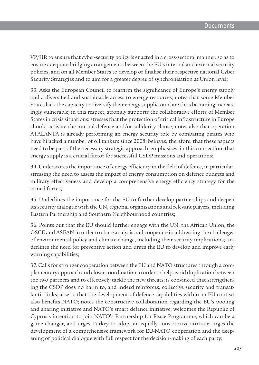VP/HR to ensure that cyber-security policy is enacted in a cross-sectoral manner, so as to ensure adequate bridging arrangements between the EU's internal and external security policies, and on all Member States to develop or finalise their respective national Cyber Security Strategies and to aim for a greater degree of synchronisation at Union level;

33. Asks the European Council to reaffirm the significance of Europe's energy supply and a diversified and sustainable access to energy resources; notes that some Member States lack the capacity to diversify their energy supplies and are thus becoming increasingly vulnerable; in this respect, strongly supports the collaborative efforts of Member States in crisis situations; stresses that the protection of critical infrastructure in Europe should activate the mutual defence and/or solidarity clause; notes also that operation ATALANTA is already performing an energy security role by combating pirates who have hijacked a number of oil tankers since 2008; believes, therefore, that these aspects need to be part of the necessary strategic approach; emphasises, in this connection, that energy supply is a crucial factor for successful CSDP missions and operations;

34. Underscores the importance of energy efficiency in the field of defence, in particular, stressing the need to assess the impact of energy consumption on defence budgets and military effectiveness and develop a comprehensive energy efficiency strategy for the armed forces;

35. Underlines the importance for the EU to further develop partnerships and deepen its security dialogue with the UN, regional organisations and relevant players, including Eastern Partnership and Southern Neighbourhood countries;

36. Points out that the EU should further engage with the UN, the African Union, the OSCE and ASEAN in order to share analysis and cooperate in addressing the challenges of environmental policy and climate change, including their security implications; underlines the need for preventive action and urges the EU to develop and improve early warning capabilities;

37. Calls for stronger cooperation between the EU and NATO structures through a complementary approach and closer coordination in order to help avoid duplication between the two partners and to effectively tackle the new threats; is convinced that strengthening the CSDP does no harm to, and indeed reinforces, collective security and transatlantic links; asserts that the development of defence capabilities within an EU context also benefits NATO; notes the constructive collaboration regarding the EU's pooling and sharing initiative and NATO's smart defence initiative; welcomes the Republic of Cyprus's intention to join NATO's Partnership for Peace Programme, which can be a game changer, and urges Turkey to adopt an equally constructive attitude; urges the development of a comprehensive framework for EU-NATO cooperation and the deepening of political dialogue with full respect for the decision-making of each party;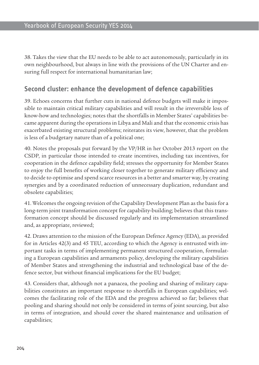38. Takes the view that the EU needs to be able to act autonomously, particularly in its own neighbourhood, but always in line with the provisions of the UN Charter and ensuring full respect for international humanitarian law;

## **Second cluster: enhance the development of defence capabilities**

39. Echoes concerns that further cuts in national defence budgets will make it impossible to maintain critical military capabilities and will result in the irreversible loss of know-how and technologies; notes that the shortfalls in Member States' capabilities became apparent during the operations in Libya and Mali and that the economic crisis has exacerbated existing structural problems; reiterates its view, however, that the problem is less of a budgetary nature than of a political one;

40. Notes the proposals put forward by the VP/HR in her October 2013 report on the CSDP, in particular those intended to create incentives, including tax incentives, for cooperation in the defence capability field; stresses the opportunity for Member States to enjoy the full benefits of working closer together to generate military efficiency and to decide to optimise and spend scarce resources in a better and smarter way, by creating synergies and by a coordinated reduction of unnecessary duplication, redundant and obsolete capabilities;

41. Welcomes the ongoing revision of the Capability Development Plan as the basis for a long-term joint transformation concept for capability-building; believes that this transformation concept should be discussed regularly and its implementation streamlined and, as appropriate, reviewed;

42. Draws attention to the mission of the European Defence Agency (EDA), as provided for in Articles 42(3) and 45 TEU, according to which the Agency is entrusted with important tasks in terms of implementing permanent structured cooperation, formulating a European capabilities and armaments policy, developing the military capabilities of Member States and strengthening the industrial and technological base of the defence sector, but without financial implications for the EU budget;

43. Considers that, although not a panacea, the pooling and sharing of military capabilities constitutes an important response to shortfalls in European capabilities; welcomes the facilitating role of the EDA and the progress achieved so far; believes that pooling and sharing should not only be considered in terms of joint sourcing, but also in terms of integration, and should cover the shared maintenance and utilisation of capabilities;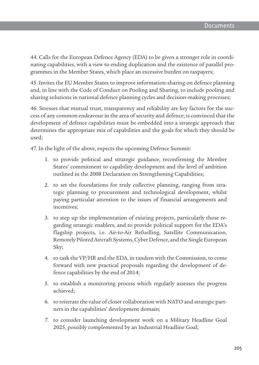44. Calls for the European Defence Agency (EDA) to be given a stronger role in coordinating capabilities, with a view to ending duplication and the existence of parallel programmes in the Member States, which place an excessive burden on taxpayers;

45. Invites the EU Member States to improve information-sharing on defence planning and, in line with the Code of Conduct on Pooling and Sharing, to include pooling and sharing solutions in national defence planning cycles and decision-making processes;

46. Stresses that mutual trust, transparency and reliability are key factors for the success of any common endeavour in the area of security and defence; is convinced that the development of defence capabilities must be embedded into a strategic approach that determines the appropriate mix of capabilities and the goals for which they should be used;

47. In the light of the above, expects the upcoming Defence Summit:

- 1. to provide political and strategic guidance, reconfirming the Member States' commitment to capability development and the level of ambition outlined in the 2008 Declaration on Strengthening Capabilities;
- 2. to set the foundations for truly collective planning, ranging from strategic planning to procurement and technological development, whilst paying particular attention to the issues of financial arrangements and incentives;
- 3. to step up the implementation of existing projects, particularly those regarding strategic enablers, and to provide political support for the EDA's flagship projects, i.e. Air-to-Air Refuelling, Satellite Communication, Remotely Piloted Aircraft Systems, Cyber Defence, and the Single European Sky;
- 4. to task the VP/HR and the EDA, in tandem with the Commission, to come forward with new practical proposals regarding the development of defence capabilities by the end of 2014;
- 5. to establish a monitoring process which regularly assesses the progress achieved;
- 6. to reiterate the value of closer collaboration with NATO and strategic partners in the capabilities' development domain;
- 7. to consider launching development work on a Military Headline Goal 2025, possibly complemented by an Industrial Headline Goal;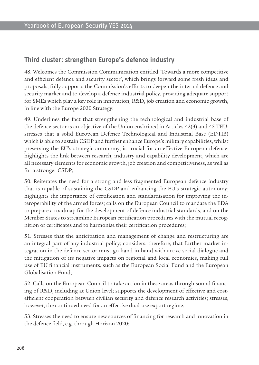## **Third cluster: strengthen Europe's defence industry**

48. Welcomes the Commission Communication entitled 'Towards a more competitive and efficient defence and security sector', which brings forward some fresh ideas and proposals; fully supports the Commission's efforts to deepen the internal defence and security market and to develop a defence industrial policy, providing adequate support for SMEs which play a key role in innovation, R&D, job creation and economic growth, in line with the Europe 2020 Strategy;

49. Underlines the fact that strengthening the technological and industrial base of the defence sector is an objective of the Union enshrined in Articles 42(3) and 45 TEU; stresses that a solid European Defence Technological and Industrial Base (EDTIB) which is able to sustain CSDP and further enhance Europe's military capabilities, whilst preserving the EU's strategic autonomy, is crucial for an effective European defence; highlights the link between research, industry and capability development, which are all necessary elements for economic growth, job creation and competitiveness, as well as for a stronger CSDP;

50. Reiterates the need for a strong and less fragmented European defence industry that is capable of sustaining the CSDP and enhancing the EU's strategic autonomy; highlights the importance of certification and standardisation for improving the interoperability of the armed forces; calls on the European Council to mandate the EDA to prepare a roadmap for the development of defence industrial standards, and on the Member States to streamline European certification procedures with the mutual recognition of certificates and to harmonise their certification procedures;

51. Stresses that the anticipation and management of change and restructuring are an integral part of any industrial policy; considers, therefore, that further market integration in the defence sector must go hand in hand with active social dialogue and the mitigation of its negative impacts on regional and local economies, making full use of EU financial instruments, such as the European Social Fund and the European Globalisation Fund;

52. Calls on the European Council to take action in these areas through sound financing of R&D, including at Union level; supports the development of effective and costefficient cooperation between civilian security and defence research activities; stresses, however, the continued need for an effective dual-use export regime;

53. Stresses the need to ensure new sources of financing for research and innovation in the defence field, e.g. through Horizon 2020;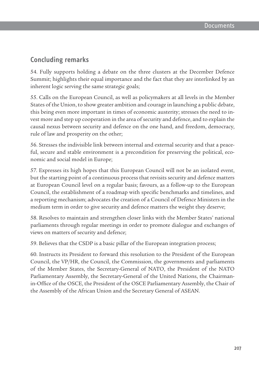## **Concluding remarks**

54. Fully supports holding a debate on the three clusters at the December Defence Summit; highlights their equal importance and the fact that they are interlinked by an inherent logic serving the same strategic goals;

55. Calls on the European Council, as well as policymakers at all levels in the Member States of the Union, to show greater ambition and courage in launching a public debate, this being even more important in times of economic austerity; stresses the need to invest more and step up cooperation in the area of security and defence, and to explain the causal nexus between security and defence on the one hand, and freedom, democracy, rule of law and prosperity on the other;

56. Stresses the indivisible link between internal and external security and that a peaceful, secure and stable environment is a precondition for preserving the political, economic and social model in Europe;

57. Expresses its high hopes that this European Council will not be an isolated event, but the starting point of a continuous process that revisits security and defence matters at European Council level on a regular basis; favours, as a follow-up to the European Council, the establishment of a roadmap with specific benchmarks and timelines, and a reporting mechanism; advocates the creation of a Council of Defence Ministers in the medium term in order to give security and defence matters the weight they deserve;

58. Resolves to maintain and strengthen closer links with the Member States' national parliaments through regular meetings in order to promote dialogue and exchanges of views on matters of security and defence;

59. Believes that the CSDP is a basic pillar of the European integration process;

60. Instructs its President to forward this resolution to the President of the European Council, the VP/HR, the Council, the Commission, the governments and parliaments of the Member States, the Secretary-General of NATO, the President of the NATO Parliamentary Assembly, the Secretary-General of the United Nations, the Chairmanin-Office of the OSCE, the President of the OSCE Parliamentary Assembly, the Chair of the Assembly of the African Union and the Secretary General of ASEAN.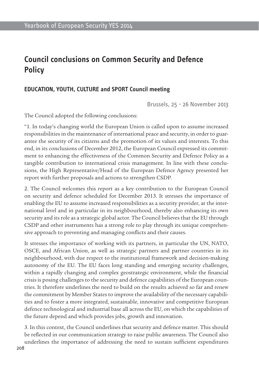# **Council conclusions on Common Security and Defence Policy**

## **EDUCATION, YOUTH, CULTURE and SPORT Council meeting**

Brussels, 25 - 26 November 2013

The Council adopted the following conclusions:

"1. In today's changing world the European Union is called upon to assume increased responsibilities in the maintenance of international peace and security, in order to guarantee the security of its citizens and the promotion of its values and interests. To this end, in its conclusions of December 2012, the European Council expressed its commitment to enhancing the effectiveness of the Common Security and Defence Policy as a tangible contribution to international crisis management. In line with these conclusions, the High Representative/Head of the European Defence Agency presented her report with further proposals and actions to strengthen CSDP.

2. The Council welcomes this report as a key contribution to the European Council on security and defence scheduled for December 2013. It stresses the importance of enabling the EU to assume increased responsibilities as a security provider, at the international level and in particular in its neighbourhood, thereby also enhancing its own security and its role as a strategic global actor. The Council believes that the EU through CSDP and other instruments has a strong role to play through its unique comprehensive approach to preventing and managing conflicts and their causes.

It stresses the importance of working with its partners, in particular the UN, NATO, OSCE, and African Union, as well as strategic partners and partner countries in its neighbourhood, with due respect to the institutional framework and decision-making autonomy of the EU. The EU faces long standing and emerging security challenges, within a rapidly changing and complex geostrategic environment, while the financial crisis is posing challenges to the security and defence capabilities of the European countries. It therefore underlines the need to build on the results achieved so far and renew the commitment by Member States to improve the availability of the necessary capabilities and to foster a more integrated, sustainable, innovative and competitive European defence technological and industrial base all across the EU, on which the capabilities of the future depend and which provides jobs, growth and innovation.

3. In this context, the Council underlines that security and defence matter. This should be reflected in our communication strategy to raise public awareness. The Council also underlines the importance of addressing the need to sustain sufficient expenditures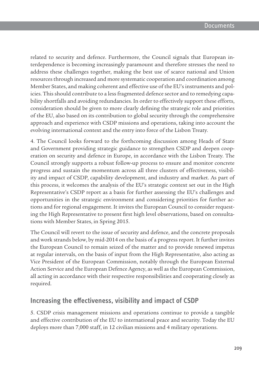related to security and defence. Furthermore, the Council signals that European interdependence is becoming increasingly paramount and therefore stresses the need to address these challenges together, making the best use of scarce national and Union resources through increased and more systematic cooperation and coordination among Member States, and making coherent and effective use of the EU's instruments and policies. This should contribute to a less fragmented defence sector and to remedying capability shortfalls and avoiding redundancies. In order to effectively support these efforts, consideration should be given to more clearly defining the strategic role and priorities of the EU, also based on its contribution to global security through the comprehensive approach and experience with CSDP missions and operations, taking into account the evolving international context and the entry into force of the Lisbon Treaty.

4. The Council looks forward to the forthcoming discussion among Heads of State and Government providing strategic guidance to strengthen CSDP and deepen cooperation on security and defence in Europe, in accordance with the Lisbon Treaty. The Council strongly supports a robust follow-up process to ensure and monitor concrete progress and sustain the momentum across all three clusters of effectiveness, visibility and impact of CSDP, capability development, and industry and market. As part of this process, it welcomes the analysis of the EU's strategic context set out in the High Representative's CSDP report as a basis for further assessing the EU's challenges and opportunities in the strategic environment and considering priorities for further actions and for regional engagement. It invites the European Council to consider requesting the High Representative to present first high level observations, based on consultations with Member States, in Spring 2015.

The Council will revert to the issue of security and defence, and the concrete proposals and work strands below, by mid-2014 on the basis of a progress report. It further invites the European Council to remain seized of the matter and to provide renewed impetus at regular intervals, on the basis of input from the High Representative, also acting as Vice President of the European Commission, notably through the European External Action Service and the European Defence Agency, as well as the European Commission, all acting in accordance with their respective responsibilities and cooperating closely as required.

# **Increasing the effectiveness, visibility and impact of CSDP**

5. CSDP crisis management missions and operations continue to provide a tangible and effective contribution of the EU to international peace and security. Today the EU deploys more than 7,000 staff, in 12 civilian missions and 4 military operations.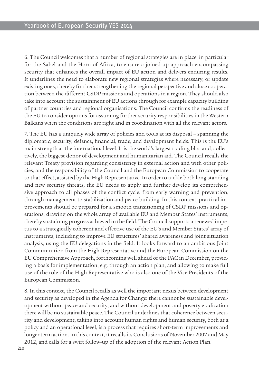6. The Council welcomes that a number of regional strategies are in place, in particular for the Sahel and the Horn of Africa, to ensure a joined-up approach encompassing security that enhances the overall impact of EU action and delivers enduring results. It underlines the need to elaborate new regional strategies where necessary, or update existing ones, thereby further strengthening the regional perspective and close cooperation between the different CSDP missions and operations in a region. They should also take into account the sustainment of EU actions through for example capacity building of partner countries and regional organisations. The Council confirms the readiness of the EU to consider options for assuming further security responsibilities in the Western Balkans when the conditions are right and in coordination with all the relevant actors.

7. The EU has a uniquely wide array of policies and tools at its disposal – spanning the diplomatic, security, defence, financial, trade, and development fields. This is the EU's main strength at the international level. It is the world's largest trading bloc and, collectively, the biggest donor of development and humanitarian aid. The Council recalls the relevant Treaty provision regarding consistency in external action and with other policies, and the responsibility of the Council and the European Commission to cooperate to that effect, assisted by the High Representative. In order to tackle both long standing and new security threats, the EU needs to apply and further develop its comprehensive approach to all phases of the conflict cycle, from early warning and prevention, through management to stabilization and peace-building. In this context, practical improvements should be prepared for a smooth transitioning of CSDP missions and operations, drawing on the whole array of available EU and Member States' instruments, thereby sustaining progress achieved in the field. The Council supports a renewed impetus to a strategically coherent and effective use of the EU's and Member States' array of instruments, including to improve EU structures' shared awareness and joint situation analysis, using the EU delegations in the field. It looks forward to an ambitious Joint Communication from the High Representative and the European Commission on the EU Comprehensive Approach, forthcoming well ahead of the FAC in December, providing a basis for implementation, e.g. through an action plan, and allowing to make full use of the role of the High Representative who is also one of the Vice Presidents of the European Commission.

8. In this context, the Council recalls as well the important nexus between development and security as developed in the Agenda for Change: there cannot be sustainable development without peace and security, and without development and poverty eradication there will be no sustainable peace. The Council underlines that coherence between security and development, taking into account human rights and human security, both at a policy and an operational level, is a process that requires short-term improvements and longer term action. In this context, it recalls its Conclusions of November 2007 and May 2012, and calls for a swift follow-up of the adoption of the relevant Action Plan.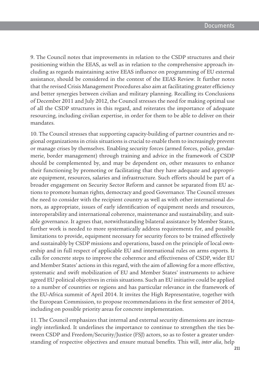9. The Council notes that improvements in relation to the CSDP structures and their positioning within the EEAS, as well as in relation to the comprehensive approach including as regards maintaining active EEAS influence on programming of EU external assistance, should be considered in the context of the EEAS Review. It further notes that the revised Crisis Management Procedures also aim at facilitating greater efficiency and better synergies between civilian and military planning. Recalling its Conclusions of December 2011 and July 2012, the Council stresses the need for making optimal use of all the CSDP structures in this regard, and reiterates the importance of adequate resourcing, including civilian expertise, in order for them to be able to deliver on their mandates.

10. The Council stresses that supporting capacity-building of partner countries and regional organizations in crisis situations is crucial to enable them to increasingly prevent or manage crises by themselves. Enabling security forces (armed forces, police, gendarmerie, border management) through training and advice in the framework of CSDP should be complemented by, and may be dependent on, other measures to enhance their functioning by promoting or facilitating that they have adequate and appropriate equipment, resources, salaries and infrastructure. Such efforts should be part of a broader engagement on Security Sector Reform and cannot be separated from EU actions to promote human rights, democracy and good Governance. The Council stresses the need to consider with the recipient country as well as with other international donors, as appropriate, issues of early identification of equipment needs and resources, interoperability and international coherence, maintenance and sustainability, and suitable governance. It agrees that, notwithstanding bilateral assistance by Member States, further work is needed to more systematically address requirements for, and possible limitations to provide, equipment necessary for security forces to be trained effectively and sustainably by CSDP missions and operations, based on the principle of local ownership and in full respect of applicable EU and international rules on arms exports. It calls for concrete steps to improve the coherence and effectiveness of CSDP, wider EU and Member States' actions in this regard, with the aim of allowing for a more effective, systematic and swift mobilization of EU and Member States' instruments to achieve agreed EU political objectives in crisis situations. Such an EU initiative could be applied to a number of countries or regions and has particular relevance in the framework of the EU-Africa summit of April 2014. It invites the High Representative, together with the European Commission, to propose recommendations in the first semester of 2014, including on possible priority areas for concrete implementation.

11. The Council emphasizes that internal and external security dimensions are increasingly interlinked. It underlines the importance to continue to strengthen the ties between CSDP and Freedom/Security/Justice (FSJ) actors, so as to foster a greater understanding of respective objectives and ensure mutual benefits. This will, *inter alia*, help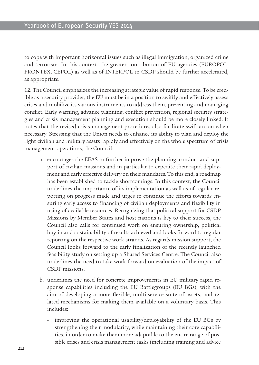to cope with important horizontal issues such as illegal immigration, organized crime and terrorism. In this context, the greater contribution of EU agencies (EUROPOL, FRONTEX, CEPOL) as well as of INTERPOL to CSDP should be further accelerated, as appropriate.

12. The Council emphasizes the increasing strategic value of rapid response. To be credible as a security provider, the EU must be in a position to swiftly and effectively assess crises and mobilize its various instruments to address them, preventing and managing conflict. Early warning, advance planning, conflict prevention, regional security strategies and crisis management planning and execution should be more closely linked. It notes that the revised crisis management procedures also facilitate swift action when necessary. Stressing that the Union needs to enhance its ability to plan and deploy the right civilian and military assets rapidly and effectively on the whole spectrum of crisis management operations, the Council:

- a. encourages the EEAS to further improve the planning, conduct and support of civilian missions and in particular to expedite their rapid deployment and early effective delivery on their mandates. To this end, a roadmap has been established to tackle shortcomings. In this context, the Council underlines the importance of its implementation as well as of regular reporting on progress made and urges to continue the efforts towards ensuring early access to financing of civilian deployments and flexibility in using of available resources. Recognizing that political support for CSDP Missions by Member States and host nations is key to their success, the Council also calls for continued work on ensuring ownership, political buy-in and sustainability of results achieved and looks forward to regular reporting on the respective work strands. As regards mission support, the Council looks forward to the early finalization of the recently launched feasibility study on setting up a Shared Services Centre. The Council also underlines the need to take work forward on evaluation of the impact of CSDP missions.
- b. underlines the need for concrete improvements in EU military rapid response capabilities including the EU Battlegroups (EU BGs), with the aim of developing a more flexible, multi-service suite of assets, and related mechanisms for making them available on a voluntary basis. This includes:
	- improving the operational usability/deployability of the EU BGs by strengthening their modularity, while maintaining their core capabilities, in order to make them more adaptable to the entire range of possible crises and crisis management tasks (including training and advice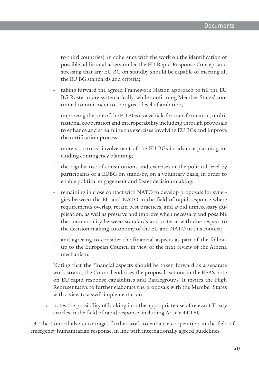to third countries), in coherence with the work on the identification of possible additional assets under the EU Rapid Response Concept and stressing that any EU BG on standby should be capable of meeting all the EU BG standards and criteria;

- taking forward the agreed Framework Nation approach to fill the EU BG Roster more systematically, while confirming Member States' continued commitment to the agreed level of ambition;
- improving the role of the EU BGs as a vehicle for transformation, multinational cooperation and interoperability including through proposals to enhance and streamline the exercises involving EU BGs and improve the certification process;
- more structured involvement of the EU BGs in advance planning including contingency planning;
- the regular use of consultations and exercises at the political level by participants of a EUBG on stand-by, on a voluntary basis, in order to enable political engagement and faster decision-making;
- remaining in close contact with NATO to develop proposals for synergies between the EU and NATO in the field of rapid response where requirements overlap, retain best practices, and avoid unnecessary duplication, as well as preserve and improve when necessary and possible the commonality between standards and criteria, with due respect to the decision-making autonomy of the EU and NATO in this context;
- and agreeing to consider the financial aspects as part of the followup to the European Council in view of the next review of the Athena mechanism.

Noting that the financial aspects should be taken forward as a separate work strand, the Council endorses the proposals set out in the EEAS note on EU rapid response capabilities and Battlegroups. It invites the High Representative to further elaborate the proposals with the Member States with a view to a swift implementation.

c. notes the possibility of looking into the appropriate use of relevant Treaty articles in the field of rapid response, including Article 44 TEU.

13. The Council also encourages further work to enhance cooperation in the field of emergency humanitarian response, in line with internationally agreed guidelines.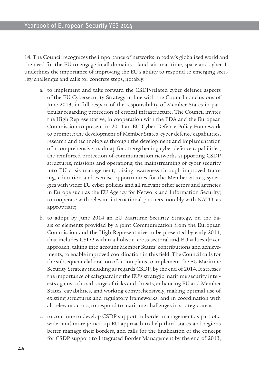14. The Council recognizes the importance of networks in today's globalized world and the need for the EU to engage in all domains – land, air, maritime, space and cyber. It underlines the importance of improving the EU's ability to respond to emerging security challenges and calls for concrete steps, notably:

- a. to implement and take forward the CSDP-related cyber defence aspects of the EU Cybersecurity Strategy in line with the Council conclusions of June 2013, in full respect of the responsibility of Member States in particular regarding protection of critical infrastructure. The Council invites the High Representative, in cooperation with the EDA and the European Commission to present in 2014 an EU Cyber Defence Policy Framework to promote: the development of Member States' cyber defence capabilities, research and technologies through the development and implementation of a comprehensive roadmap for strengthening cyber defence capabilities; the reinforced protection of communication networks supporting CSDP structures, missions and operations; the mainstreaming of cyber security into EU crisis management; raising awareness through improved training, education and exercise opportunities for the Member States; synergies with wider EU cyber policies and all relevant other actors and agencies in Europe such as the EU Agency for Network and Information Security; to cooperate with relevant international partners, notably with NATO, as appropriate;
- b. to adopt by June 2014 an EU Maritime Security Strategy, on the basis of elements provided by a joint Communication from the European Commission and the High Representative to be presented by early 2014, that includes CSDP within a holistic, cross-sectoral and EU values-driven approach, taking into account Member States' contributions and achievements, to enable improved coordination in this field. The Council calls for the subsequent elaboration of action plans to implement the EU Maritime Security Strategy including as regards CSDP, by the end of 2014. It stresses the importance of safeguarding the EU's strategic maritime security interests against a broad range of risks and threats, enhancing EU and Member States' capabilities, and working comprehensively, making optimal use of existing structures and regulatory frameworks, and in coordination with all relevant actors, to respond to maritime challenges in strategic areas;
- c. to continue to develop CSDP support to border management as part of a wider and more joined-up EU approach to help third states and regions better manage their borders, and calls for the finalization of the concept for CSDP support to Integrated Border Management by the end of 2013,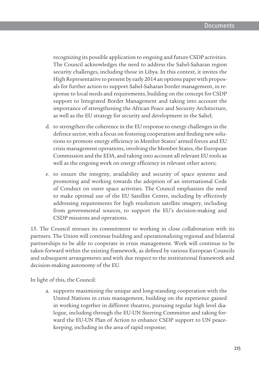recognizing its possible application to ongoing and future CSDP activities. The Council acknowledges the need to address the Sahel-Saharan region security challenges, including those in Libya. In this context, it invites the High Representative to present by early 2014 an options paper with proposals for further action to support Sahel-Saharan border management, in response to local needs and requirements, building on the concept for CSDP support to Integrated Border Management and taking into account the importance of strengthening the African Peace and Security Architecture, as well as the EU strategy for security and development in the Sahel;

- d. to strengthen the coherence in the EU response to energy challenges in the defence sector, with a focus on fostering cooperation and finding new solutions to promote energy efficiency in Member States' armed forces and EU crisis management operations, involving the Member States, the European Commission and the EDA, and taking into account all relevant EU tools as well as the ongoing work on energy efficiency in relevant other actors;
- e. to ensure the integrity, availability and security of space systems and promoting and working towards the adoption of an international Code of Conduct on outer space activities. The Council emphasizes the need to make optimal use of the EU Satellite Centre, including by effectively addressing requirements for high resolution satellite imagery, including from governmental sources, to support the EU's decision-making and CSDP missions and operations.

15. The Council stresses its commitment to working in close collaboration with its partners. The Union will continue building and operationalizing regional and bilateral partnerships to be able to cooperate in crisis management. Work will continue to be taken forward within the existing framework, as defined by various European Councils and subsequent arrangements and with due respect to the institutional framework and decision-making autonomy of the EU.

In light of this, the Council:

a. supports maximizing the unique and long-standing cooperation with the United Nations in crisis management, building on the experience gained in working together in different theatres, pursuing regular high level dialogue, including through the EU-UN Steering Committee and taking forward the EU-UN Plan of Action to enhance CSDP support to UN peacekeeping, including in the area of rapid response;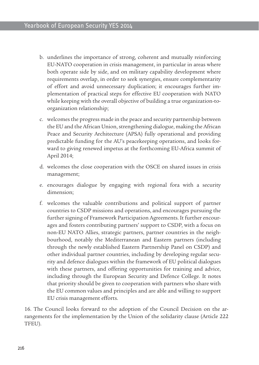- b. underlines the importance of strong, coherent and mutually reinforcing EU-NATO cooperation in crisis management, in particular in areas where both operate side by side, and on military capability development where requirements overlap, in order to seek synergies, ensure complementarity of effort and avoid unnecessary duplication; it encourages further implementation of practical steps for effective EU cooperation with NATO while keeping with the overall objective of building a true organization-toorganization relationship;
- c. welcomes the progress made in the peace and security partnership between the EU and the African Union, strengthening dialogue, making the African Peace and Security Architecture (APSA) fully operational and providing predictable funding for the AU's peacekeeping operations, and looks forward to giving renewed impetus at the forthcoming EU-Africa summit of April 2014;
- d. welcomes the close cooperation with the OSCE on shared issues in crisis management;
- e. encourages dialogue by engaging with regional fora with a security dimension;
- f. welcomes the valuable contributions and political support of partner countries to CSDP missions and operations, and encourages pursuing the further signing of Framework Participation Agreements. It further encourages and fosters contributing partners' support to CSDP, with a focus on non-EU NATO Allies, strategic partners, partner countries in the neighbourhood, notably the Mediterranean and Eastern partners (including through the newly established Eastern Partnership Panel on CSDP) and other individual partner countries, including by developing regular security and defence dialogues within the framework of EU political dialogues with these partners, and offering opportunities for training and advice, including through the European Security and Defence College. It notes that priority should be given to cooperation with partners who share with the EU common values and principles and are able and willing to support EU crisis management efforts.

16. The Council looks forward to the adoption of the Council Decision on the arrangements for the implementation by the Union of the solidarity clause (Article 222 TFEU).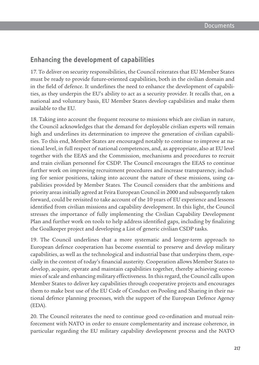## **Enhancing the development of capabilities**

17. To deliver on security responsibilities, the Council reiterates that EU Member States must be ready to provide future-oriented capabilities, both in the civilian domain and in the field of defence. It underlines the need to enhance the development of capabilities, as they underpin the EU's ability to act as a security provider. It recalls that, on a national and voluntary basis, EU Member States develop capabilities and make them available to the EU.

18. Taking into account the frequent recourse to missions which are civilian in nature, the Council acknowledges that the demand for deployable civilian experts will remain high and underlines its determination to improve the generation of civilian capabilities. To this end, Member States are encouraged notably to continue to improve at national level, in full respect of national competences, and, as appropriate, also at EU level together with the EEAS and the Commission, mechanisms and procedures to recruit and train civilian personnel for CSDP. The Council encourages the EEAS to continue further work on improving recruitment procedures and increase transparency, including for senior positions, taking into account the nature of these missions, using capabilities provided by Member States. The Council considers that the ambitions and priority areas initially agreed at Feira European Council in 2000 and subsequently taken forward, could be revisited to take account of the 10 years of EU experience and lessons identified from civilian missions and capability development. In this light, the Council stresses the importance of fully implementing the Civilian Capability Development Plan and further work on tools to help address identified gaps, including by finalizing the Goalkeeper project and developing a List of generic civilian CSDP tasks.

19. The Council underlines that a more systematic and longer-term approach to European defence cooperation has become essential to preserve and develop military capabilities, as well as the technological and industrial base that underpins them, especially in the context of today's financial austerity. Cooperation allows Member States to develop, acquire, operate and maintain capabilities together, thereby achieving economies of scale and enhancing military effectiveness. In this regard, the Council calls upon Member States to deliver key capabilities through cooperative projects and encourages them to make best use of the EU Code of Conduct on Pooling and Sharing in their national defence planning processes, with the support of the European Defence Agency (EDA).

20. The Council reiterates the need to continue good co-ordination and mutual reinforcement with NATO in order to ensure complementarity and increase coherence, in particular regarding the EU military capability development process and the NATO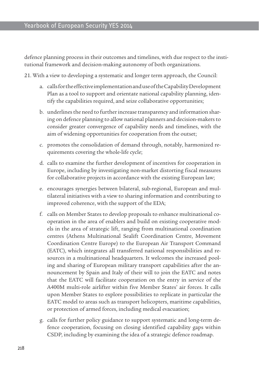defence planning process in their outcomes and timelines, with due respect to the institutional framework and decision-making autonomy of both organizations.

21. With a view to developing a systematic and longer term approach, the Council:

- a. calls for the effective implementation and use of the Capability Development Plan as a tool to support and orientate national capability planning, identify the capabilities required, and seize collaborative opportunities;
- b. underlines the need to further increase transparency and information sharing on defence planning to allow national planners and decision-makers to consider greater convergence of capability needs and timelines, with the aim of widening opportunities for cooperation from the outset;
- c. promotes the consolidation of demand through, notably, harmonized requirements covering the whole-life cycle;
- d. calls to examine the further development of incentives for cooperation in Europe, including by investigating non-market distorting fiscal measures for collaborative projects in accordance with the existing European law;
- e. encourages synergies between bilateral, sub-regional, European and multilateral initiatives with a view to sharing information and contributing to improved coherence, with the support of the EDA;
- f. calls on Member States to develop proposals to enhance multinational cooperation in the area of enablers and build on existing cooperative models in the area of strategic lift, ranging from multinational coordination centres (Athens Multinational Sealift Coordination Centre, Movement Coordination Centre Europe) to the European Air Transport Command (EATC), which integrates all transferred national responsibilities and resources in a multinational headquarters. It welcomes the increased pooling and sharing of European military transport capabilities after the announcement by Spain and Italy of their will to join the EATC and notes that the EATC will facilitate cooperation on the entry in service of the A400M multi-role airlifter within five Member States' air forces. It calls upon Member States to explore possibilities to replicate in particular the EATC model to areas such as transport helicopters, maritime capabilities, or protection of armed forces, including medical evacuation;
- g. calls for further policy guidance to support systematic and long-term defence cooperation, focusing on closing identified capability gaps within CSDP, including by examining the idea of a strategic defence roadmap.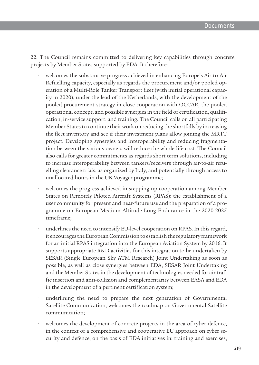22. The Council remains committed to delivering key capabilities through concrete projects by Member States supported by EDA. It therefore:

- welcomes the substantive progress achieved in enhancing Europe's Air-to-Air Refuelling capacity, especially as regards the procurement and/or pooled operation of a Multi-Role Tanker Transport fleet (with initial operational capacity in 2020), under the lead of the Netherlands, with the development of the pooled procurement strategy in close cooperation with OCCAR, the pooled operational concept, and possible synergies in the field of certification, qualification, in-service support, and training. The Council calls on all participating Member States to continue their work on reducing the shortfalls by increasing the fleet inventory and see if their investment plans allow joining the MRTT project. Developing synergies and interoperability and reducing fragmentation between the various owners will reduce the whole-life cost. The Council also calls for greater commitments as regards short term solutions, including to increase interoperability between tankers/receivers through air-to-air refuelling clearance trials, as organized by Italy, and potentially through access to unallocated hours in the UK Voyager programme;
- welcomes the progress achieved in stepping up cooperation among Member States on Remotely Piloted Aircraft Systems (RPAS): the establishment of a user community for present and near-future use and the preparation of a programme on European Medium Altitude Long Endurance in the 2020-2025 timeframe;
- underlines the need to intensify EU-level cooperation on RPAS. In this regard, it encourages the European Commission to establish the regulatory framework for an initial RPAS integration into the European Aviation System by 2016. It supports appropriate R&D activities for this integration to be undertaken by SESAR (Single European Sky ATM Research) Joint Undertaking as soon as possible, as well as close synergies between EDA, SESAR Joint Undertaking and the Member States in the development of technologies needed for air traffic insertion and anti-collision and complementarity between EASA and EDA in the development of a pertinent certification system;
- underlining the need to prepare the next generation of Governmental Satellite Communication, welcomes the roadmap on Governmental Satellite communication;
- welcomes the development of concrete projects in the area of cyber defence, in the context of a comprehensive and cooperative EU approach on cyber security and defence, on the basis of EDA initiatives in: training and exercises,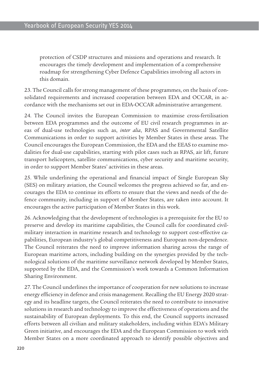protection of CSDP structures and missions and operations and research. It encourages the timely development and implementation of a comprehensive roadmap for strengthening Cyber Defence Capabilities involving all actors in this domain.

23. The Council calls for strong management of these programmes, on the basis of consolidated requirements and increased cooperation between EDA and OCCAR, in accordance with the mechanisms set out in EDA-OCCAR administrative arrangement.

24. The Council invites the European Commission to maximise cross-fertilisation between EDA programmes and the outcome of EU civil research programmes in areas of dual-use technologies such as, *inter alia*, RPAS and Governmental Satellite Communications in order to support activities by Member States in these areas. The Council encourages the European Commission, the EDA and the EEAS to examine modalities for dual-use capabilities, starting with pilot cases such as RPAS, air lift, future transport helicopters, satellite communications, cyber security and maritime security, in order to support Member States' activities in these areas.

25. While underlining the operational and financial impact of Single European Sky (SES) on military aviation, the Council welcomes the progress achieved so far, and encourages the EDA to continue its efforts to ensure that the views and needs of the defence community, including in support of Member States, are taken into account. It encourages the active participation of Member States in this work.

26. Acknowledging that the development of technologies is a prerequisite for the EU to preserve and develop its maritime capabilities, the Council calls for coordinated civilmilitary interaction in maritime research and technology to support cost-effective capabilities, European industry's global competitiveness and European non-dependence. The Council reiterates the need to improve information sharing across the range of European maritime actors, including building on the synergies provided by the technological solutions of the maritime surveillance network developed by Member States, supported by the EDA, and the Commission's work towards a Common Information Sharing Environment.

27. The Council underlines the importance of cooperation for new solutions to increase energy efficiency in defence and crisis management. Recalling the EU Energy 2020 strategy and its headline targets, the Council reiterates the need to contribute to innovative solutions in research and technology to improve the effectiveness of operations and the sustainability of European deployments. To this end, the Council supports increased efforts between all civilian and military stakeholders, including within EDA's Military Green initiative, and encourages the EDA and the European Commission to work with Member States on a more coordinated approach to identify possible objectives and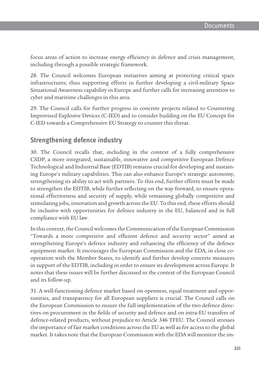focus areas of action to increase energy efficiency in defence and crisis management, including through a possible strategic framework.

28. The Council welcomes European initiatives aiming at protecting critical space infrastructures; thus supporting efforts in further developing a civil-military Space Situational Awareness capability in Europe and further calls for increasing attention to cyber and maritime challenges in this area.

29. The Council calls for further progress in concrete projects related to Countering Improvised Explosive Devices (C-IED) and to consider building on the EU Concept for C-IED towards a Comprehensive EU Strategy to counter this threat.

# **Strengthening defence industry**

30. The Council recalls that, including in the context of a fully comprehensive CSDP, a more integrated, sustainable, innovative and competitive European Defence Technological and Industrial Base (EDTIB) remains crucial for developing and sustaining Europe's military capabilities. This can also enhance Europe's strategic autonomy, strengthening its ability to act with partners. To this end, further efforts must be made to strengthen the EDTIB, while further reflecting on the way forward, to ensure operational effectiveness and security of supply, while remaining globally competitive and stimulating jobs, innovation and growth across the EU. To this end, these efforts should be inclusive with opportunities for defence industry in the EU, balanced and in full compliance with EU law.

In this context, the Council welcomes the Communication of the European Commission "Towards a more competitive and efficient defence and security sector" aimed at strengthening Europe's defence industry and enhancing the efficiency of the defence equipment market. It encourages the European Commission and the EDA, in close cooperation with the Member States, to identify and further develop concrete measures in support of the EDTIB, including in order to ensure its development across Europe. It notes that these issues will be further discussed in the context of the European Council and its follow-up.

31. A well-functioning defence market based on openness, equal treatment and opportunities, and transparency for all European suppliers is crucial. The Council calls on the European Commission to ensure the full implementation of the two defence directives on procurement in the fields of security and defence and on intra-EU transfers of defence-related products, without prejudice to Article 346 TFEU. The Council stresses the importance of fair market conditions across the EU as well as for access to the global market. It takes note that the European Commission with the EDA will monitor the im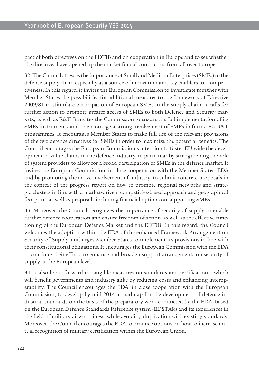pact of both directives on the EDTIB and on cooperation in Europe and to see whether the directives have opened up the market for subcontractors from all over Europe.

32. The Council stresses the importance of Small and Medium Enterprises (SMEs) in the defence supply chain especially as a source of innovation and key enablers for competitiveness. In this regard, it invites the European Commission to investigate together with Member States the possibilities for additional measures to the framework of Directive 2009/81 to stimulate participation of European SMEs in the supply chain. It calls for further action to promote greater access of SMEs to both Defence and Security markets, as well as R&T. It invites the Commission to ensure the full implementation of its SMEs instruments and to encourage a strong involvement of SMEs in future EU R&T programmes. It encourages Member States to make full use of the relevant provisions of the two defence directives for SMEs in order to maximize the potential benefits. The Council encourages the European Commission's intention to foster EU-wide the development of value chains in the defence industry, in particular by strengthening the role of system providers to allow for a broad participation of SMEs in the defence market. It invites the European Commission, in close cooperation with the Member States, EDA and by promoting the active involvement of industry, to submit concrete proposals in the context of the progress report on how to promote regional networks and strategic clusters in line with a market-driven, competitive-based approach and geographical footprint, as well as proposals including financial options on supporting SMEs.

33. Moreover, the Council recognizes the importance of security of supply to enable further defence cooperation and ensure freedom of action, as well as the effective functioning of the European Defence Market and the EDTIB. In this regard, the Council welcomes the adoption within the EDA of the enhanced Framework Arrangement on Security of Supply, and urges Member States to implement its provisions in line with their constitutional obligations. It encourages the European Commission with the EDA to continue their efforts to enhance and broaden support arrangements on security of supply at the European level.

34. It also looks forward to tangible measures on standards and certification – which will benefit governments and industry alike by reducing costs and enhancing interoperability. The Council encourages the EDA, in close cooperation with the European Commission, to develop by mid-2014 a roadmap for the development of defence industrial standards on the basis of the preparatory work conducted by the EDA, based on the European Defence Standards Reference system (EDSTAR) and its experiences in the field of military airworthiness, while avoiding duplication with existing standards. Moreover, the Council encourages the EDA to produce options on how to increase mutual recognition of military certification within the European Union.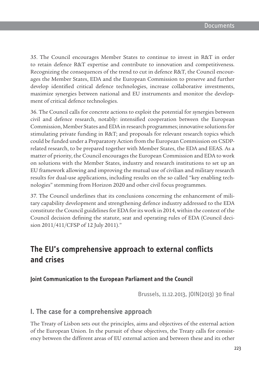35. The Council encourages Member States to continue to invest in R&T in order to retain defence R&T expertise and contribute to innovation and competitiveness. Recognizing the consequences of the trend to cut in defence R&T, the Council encourages the Member States, EDA and the European Commission to preserve and further develop identified critical defence technologies, increase collaborative investments, maximize synergies between national and EU instruments and monitor the development of critical defence technologies.

36. The Council calls for concrete actions to exploit the potential for synergies between civil and defence research, notably: intensified cooperation between the European Commission, Member States and EDA in research programmes; innovative solutions for stimulating private funding in R&T; and proposals for relevant research topics which could be funded under a Preparatory Action from the European Commission on CSDPrelated research, to be prepared together with Member States, the EDA and EEAS. As a matter of priority, the Council encourages the European Commission and EDA to work on solutions with the Member States, industry and research institutions to set up an EU framework allowing and improving the mutual use of civilian and military research results for dual-use applications, including results on the so called "key enabling technologies" stemming from Horizon 2020 and other civil focus programmes.

37. The Council underlines that its conclusions concerning the enhancement of military capability development and strengthening defence industry addressed to the EDA constitute the Council guidelines for EDA for its work in 2014, within the context of the Council decision defining the statute, seat and operating rules of EDA (Council decision 2011/411/CFSP of 12 July 2011)."

# **The EU's comprehensive approach to external conflicts and crises**

#### **Joint Communication to the European Parliament and the Council**

Brussels, 11.12.2013, JOIN(2013) 30 final

## **I. The case for a comprehensive approach**

The Treaty of Lisbon sets out the principles, aims and objectives of the external action of the European Union. In the pursuit of these objectives, the Treaty calls for consistency between the different areas of EU external action and between these and its other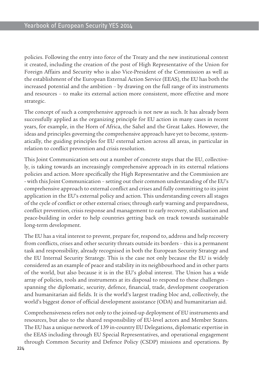policies. Following the entry into force of the Treaty and the new institutional context it created, including the creation of the post of High Representative of the Union for Foreign Affairs and Security who is also Vice-President of the Commission as well as the establishment of the European External Action Service (EEAS), the EU has both the increased potential and the ambition – by drawing on the full range of its instruments and resources – to make its external action more consistent, more effective and more strategic.

The concept of such a comprehensive approach is not new as such. It has already been successfully applied as the organizing principle for EU action in many cases in recent years, for example, in the Horn of Africa, the Sahel and the Great Lakes. However, the ideas and principles governing the comprehensive approach have yet to become, systematically, the guiding principles for EU external action across all areas, in particular in relation to conflict prevention and crisis resolution.

This Joint Communication sets out a number of concrete steps that the EU, collectively, is taking towards an increasingly comprehensive approach in its external relations policies and action. More specifically the High Representative and the Commission are - with this Joint Communication – setting out their common understanding of the EU's comprehensive approach to external conflict and crises and fully committing to its joint application in the EU's external policy and action. This understanding covers all stages of the cycle of conflict or other external crises; through early warning and preparedness, conflict prevention, crisis response and management to early recovery, stabilisation and peace-building in order to help countries getting back on track towards sustainable long-term development.

The EU has a vital interest to prevent, prepare for, respond to, address and help recovery from conflicts, crises and other security threats outside its borders – this is a permanent task and responsibility, already recognised in both the European Security Strategy and the EU Internal Security Strategy. This is the case not only because the EU is widely considered as an example of peace and stability in its neighbourhood and in other parts of the world, but also because it is in the EU's global interest. The Union has a wide array of policies, tools and instruments at its disposal to respond to these challenges – spanning the diplomatic, security, defence, financial, trade, development cooperation and humanitarian aid fields. It is the world's largest trading bloc and, collectively, the world's biggest donor of official development assistance (ODA) and humanitarian aid.

Comprehensiveness refers not only to the joined-up deployment of EU instruments and resources, but also to the shared responsibility of EU-level actors and Member States. The EU has a unique network of 139 in-country EU Delegations, diplomatic expertise in the EEAS including through EU Special Representatives, and operational engagement through Common Security and Defence Policy (CSDP) missions and operations. By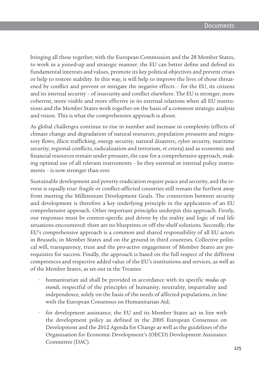bringing all these together, with the European Commission and the 28 Member States, to work in a joined-up and strategic manner, the EU can better define and defend its fundamental interests and values, promote its key political objectives and prevent crises or help to restore stability. In this way, it will help to improve the lives of those threatened by conflict and prevent or mitigate the negative effects – for the EU, its citizens and its internal security – of insecurity and conflict elsewhere. The EU is stronger, more coherent, more visible and more effective in its external relations when all EU institutions and the Member States work together on the basis of a common strategic analysis and vision. This is what the comprehensive approach is about.

As global challenges continue to rise in number and increase in complexity (effects of climate change and degradation of natural resources, population pressures and migratory flows, illicit trafficking, energy security, natural disasters, cyber security, maritime security, regional conflicts, radicalisation and terrorism, et cetera) and as economic and financial resources remain under pressure, the case for a comprehensive approach, making optimal use of all relevant instruments – be they external or internal policy instruments – is now stronger than ever.

Sustainable development and poverty eradication require peace and security, and the reverse is equally true: fragile or conflict-affected countries still remain the furthest away from meeting the Millennium Development Goals. The connection between security and development is therefore a key underlying principle in the application of an EU comprehensive approach. Other important principles underpin this approach. Firstly, our responses must be context-specific and driven by the reality and logic of real life situations encountered: there are no blueprints or off-the-shelf solutions. Secondly, the EU's comprehensive approach is a common and shared responsibility of all EU actors in Brussels, in Member States and on the ground in third countries. Collective political will, transparency, trust and the pro-active engagement of Member States are prerequisites for success. Finally, the approach is based on the full respect of the different competences and respective added value of the EU's institutions and services, as well as of the Member States, as set out in the Treaties:

- humanitarian aid shall be provided in accordance with its specific *modus operandi*, respectful of the principles of humanity, neutrality, impartiality and independence, solely on the basis of the needs of affected populations, in line with the European Consensus on Humanitarian Aid;
- for development assistance, the EU and its Member States act in line with the development policy as defined in the 2005 European Consensus on Development and the 2012 Agenda for Change as well as the guidelines of the Organisation for Economic Development's (OECD) Development Assistance Committee (DAC).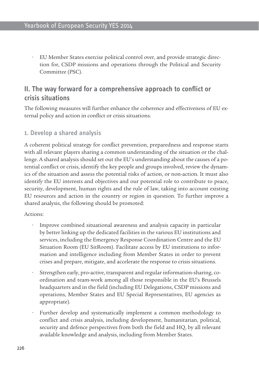• EU Member States exercise political control over, and provide strategic direction for, CSDP missions and operations through the Political and Security Committee (PSC).

# **II. The way forward for a comprehensive approach to conflict or crisis situations**

The following measures will further enhance the coherence and effectiveness of EU external policy and action in conflict or crisis situations.

## **1. Develop a shared analysis**

A coherent political strategy for conflict prevention, preparedness and response starts with all relevant players sharing a common understanding of the situation or the challenge. A shared analysis should set out the EU's understanding about the causes of a potential conflict or crisis, identify the key people and groups involved, review the dynamics of the situation and assess the potential risks of action, or non-action. It must also identify the EU interests and objectives and our potential role to contribute to peace, security, development, human rights and the rule of law, taking into account existing EU resources and action in the country or region in question. To further improve a shared analysis, the following should be promoted:

#### Actions:

- Improve combined situational awareness and analysis capacity in particular by better linking up the dedicated facilities in the various EU institutions and services, including the Emergency Response Coordination Centre and the EU Situation Room (EU SitRoom). Facilitate access by EU institutions to information and intelligence including from Member States in order to prevent crises and prepare, mitigate, and accelerate the response to crisis situations.
- Strengthen early, pro-active, transparent and regular information-sharing, coordination and team-work among all those responsible in the EU's Brussels headquarters and in the field (including EU Delegations, CSDP missions and operations, Member States and EU Special Representatives, EU agencies as appropriate).
- Further develop and systematically implement a common methodology to conflict and crisis analysis, including development, humanitarian, political, security and defence perspectives from both the field and HQ, by all relevant available knowledge and analysis, including from Member States.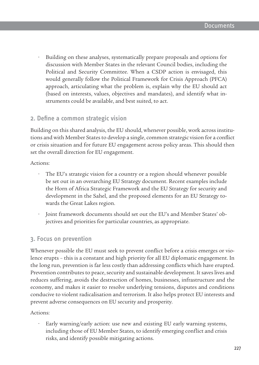• Building on these analyses, systematically prepare proposals and options for discussion with Member States in the relevant Council bodies, including the Political and Security Committee. When a CSDP action is envisaged, this would generally follow the Political Framework for Crisis Approach (PFCA) approach, articulating what the problem is, explain why the EU should act (based on interests, values, objectives and mandates), and identify what instruments could be available, and best suited, to act.

## **2. Define a common strategic vision**

Building on this shared analysis, the EU should, whenever possible, work across institutions and with Member States to develop a single, common strategic vision for a conflict or crisis situation and for future EU engagement across policy areas. This should then set the overall direction for EU engagement.

Actions:

- The EU's strategic vision for a country or a region should whenever possible be set out in an overarching EU Strategy document. Recent examples include the Horn of Africa Strategic Framework and the EU Strategy for security and development in the Sahel, and the proposed elements for an EU Strategy towards the Great Lakes region.
- Joint framework documents should set out the EU's and Member States' objectives and priorities for particular countries, as appropriate.

## **3. Focus on prevention**

Whenever possible the EU must seek to prevent conflict before a crisis emerges or violence erupts – this is a constant and high priority for all EU diplomatic engagement. In the long run, prevention is far less costly than addressing conflicts which have erupted. Prevention contributes to peace, security and sustainable development. It saves lives and reduces suffering, avoids the destruction of homes, businesses, infrastructure and the economy, and makes it easier to resolve underlying tensions, disputes and conditions conducive to violent radicalisation and terrorism. It also helps protect EU interests and prevent adverse consequences on EU security and prosperity.

#### Actions:

Early warning/early action: use new and existing EU early warning systems, including those of EU Member States, to identify emerging conflict and crisis risks, and identify possible mitigating actions.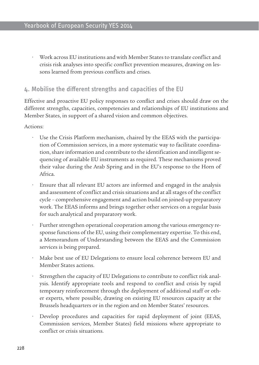• Work across EU institutions and with Member States to translate conflict and crisis risk analyses into specific conflict prevention measures, drawing on lessons learned from previous conflicts and crises.

## **4. Mobilise the different strengths and capacities of the EU**

Effective and proactive EU policy responses to conflict and crises should draw on the different strengths, capacities, competencies and relationships of EU institutions and Member States, in support of a shared vision and common objectives.

Actions:

- Use the Crisis Platform mechanism, chaired by the EEAS with the participation of Commission services, in a more systematic way to facilitate coordination, share information and contribute to the identification and intelligent sequencing of available EU instruments as required. These mechanisms proved their value during the Arab Spring and in the EU's response to the Horn of Africa.
- Ensure that all relevant EU actors are informed and engaged in the analysis and assessment of conflict and crisis situations and at all stages of the conflict cycle – comprehensive engagement and action build on joined-up preparatory work. The EEAS informs and brings together other services on a regular basis for such analytical and preparatory work.
- Further strengthen operational cooperation among the various emergency response functions of the EU, using their complementary expertise. To this end, a Memorandum of Understanding between the EEAS and the Commission services is being prepared.
- Make best use of EU Delegations to ensure local coherence between EU and Member States actions.
- Strengthen the capacity of EU Delegations to contribute to conflict risk analysis. Identify appropriate tools and respond to conflict and crisis by rapid temporary reinforcement through the deployment of additional staff or other experts, where possible, drawing on existing EU resources capacity at the Brussels headquarters or in the region and on Member States' resources.
- Develop procedures and capacities for rapid deployment of joint (EEAS, Commission services, Member States) field missions where appropriate to conflict or crisis situations.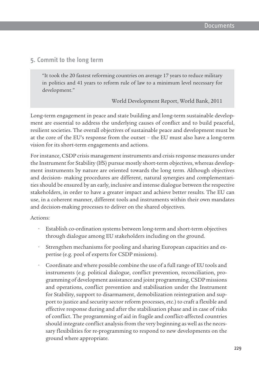## **5. Commit to the long term**

"It took the 20 fastest reforming countries on average 17 years to reduce military in politics and 41 years to reform rule of law to a minimum level necessary for development."

World Development Report, World Bank, 2011

Long-term engagement in peace and state building and long-term sustainable development are essential to address the underlying causes of conflict and to build peaceful, resilient societies. The overall objectives of sustainable peace and development must be at the core of the EU's response from the outset – the EU must also have a long-term vision for its short-term engagements and actions.

For instance, CSDP crisis management instruments and crisis response measures under the Instrument for Stability (IfS) pursue mostly short-term objectives, whereas development instruments by nature are oriented towards the long term. Although objectives and decision- making procedures are different, natural synergies and complementarities should be ensured by an early, inclusive and intense dialogue between the respective stakeholders, in order to have a greater impact and achieve better results. The EU can use, in a coherent manner, different tools and instruments within their own mandates and decision-making processes to deliver on the shared objectives.

Actions:

- Establish co-ordination systems between long-term and short-term objectives through dialogue among EU stakeholders including on the ground.
- Strengthen mechanisms for pooling and sharing European capacities and expertise (e.g. pool of experts for CSDP missions).
- Coordinate and where possible combine the use of a full range of EU tools and instruments (e.g. political dialogue, conflict prevention, reconciliation, programming of development assistance and joint programming, CSDP missions and operations, conflict prevention and stabilisation under the Instrument for Stability, support to disarmament, demobilization reintegration and support to justice and security sector reform processes, etc.) to craft a flexible and effective response during and after the stabilisation phase and in case of risks of conflict. The programming of aid in fragile and conflict-affected countries should integrate conflict analysis from the very beginning as well as the necessary flexibilities for re-programming to respond to new developments on the ground where appropriate.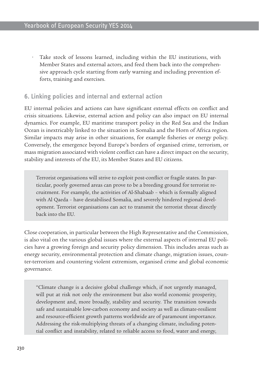Take stock of lessons learned, including within the EU institutions, with Member States and external actors, and feed them back into the comprehensive approach cycle starting from early warning and including prevention efforts, training and exercises.

## **6. Linking policies and internal and external action**

EU internal policies and actions can have significant external effects on conflict and crisis situations. Likewise, external action and policy can also impact on EU internal dynamics. For example, EU maritime transport policy in the Red Sea and the Indian Ocean is inextricably linked to the situation in Somalia and the Horn of Africa region. Similar impacts may arise in other situations, for example fisheries or energy policy. Conversely, the emergence beyond Europe's borders of organised crime, terrorism, or mass migration associated with violent conflict can have a direct impact on the security, stability and interests of the EU, its Member States and EU citizens.

Terrorist organisations will strive to exploit post-conflict or fragile states. In particular, poorly governed areas can prove to be a breeding ground for terrorist recruitment. For example, the activities of Al-Shabaab – which is formally aligned with Al Qaeda – have destabilised Somalia, and severely hindered regional development. Terrorist organisations can act to transmit the terrorist threat directly back into the EU.

Close cooperation, in particular between the High Representative and the Commission, is also vital on the various global issues where the external aspects of internal EU policies have a growing foreign and security policy dimension. This includes areas such as energy security, environmental protection and climate change, migration issues, counter-terrorism and countering violent extremism, organised crime and global economic governance.

"Climate change is a decisive global challenge which, if not urgently managed, will put at risk not only the environment but also world economic prosperity, development and, more broadly, stability and security. The transition towards safe and sustainable low-carbon economy and society as well as climate-resilient and resource-efficient growth patterns worldwide are of paramount importance. Addressing the risk-multiplying threats of a changing climate, including potential conflict and instability, related to reliable access to food, water and energy,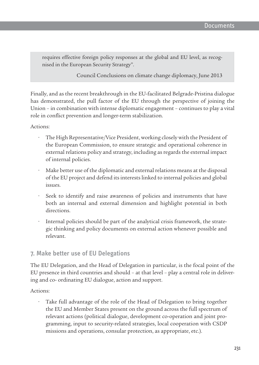requires effective foreign policy responses at the global and EU level, as recognised in the European Security Strategy".

Council Conclusions on climate change diplomacy, June 2013

Finally, and as the recent breakthrough in the EU-facilitated Belgrade-Pristina dialogue has demonstrated, the pull factor of the EU through the perspective of joining the Union – in combination with intense diplomatic engagement – continues to play a vital role in conflict prevention and longer-term stabilization.

Actions:

- The High Representative/Vice President, working closely with the President of the European Commission, to ensure strategic and operational coherence in external relations policy and strategy, including as regards the external impact of internal policies.
- Make better use of the diplomatic and external relations means at the disposal of the EU project and defend its interests linked to internal policies and global issues.
- Seek to identify and raise awareness of policies and instruments that have both an internal and external dimension and highlight potential in both directions.
- Internal policies should be part of the analytical crisis framework, the strategic thinking and policy documents on external action whenever possible and relevant.

## **7. Make better use of EU Delegations**

The EU Delegation, and the Head of Delegation in particular, is the focal point of the EU presence in third countries and should – at that level – play a central role in delivering and co- ordinating EU dialogue, action and support.

Actions:

Take full advantage of the role of the Head of Delegation to bring together the EU and Member States present on the ground across the full spectrum of relevant actions (political dialogue, development co-operation and joint programming, input to security-related strategies, local cooperation with CSDP missions and operations, consular protection, as appropriate, etc.).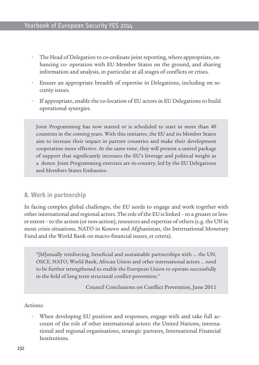- The Head of Delegation to co-ordinate joint reporting, where appropriate, enhancing co- operation with EU Member States on the ground, and sharing information and analysis, in particular at all stages of conflicts or crises.
- Ensure an appropriate breadth of expertise in Delegations, including on security issues.
- If appropriate, enable the co-location of EU actors in EU Delegations to build operational synergies.

Joint Programming has now started or is scheduled to start in more than 40 countries in the coming years. With this initiative, the EU and its Member States aim to increase their impact in partner countries and make their development cooperation more effective. At the same time, they will present a united package of support that significantly increases the EU's leverage and political weight as a donor. Joint Programming exercises are in-country, led by the EU Delegations and Members States Embassies.

## **8. Work in partnership**

In facing complex global challenges, the EU needs to engage and work together with other international and regional actors. The role of the EU is linked – to a greater or lesser extent – to the action (or non-action), resources and expertise of others (e.g. the UN in most crisis situations, NATO in Kosovo and Afghanistan, the International Monetary Fund and the World Bank on macro-financial issues, et cetera).

"[M]utually reinforcing, beneficial and sustainable partnerships with … the UN, OSCE, NATO, World Bank, African Union and other international actors … need to be further strengthened to enable the European Union to operate successfully in the field of long term structural conflict prevention."

Council Conclusions on Conflict Prevention, June 2011

#### Actions:

When developing EU position and responses, engage with and take full account of the role of other international actors: the United Nations, international and regional organisations, strategic partners, International Financial Institutions.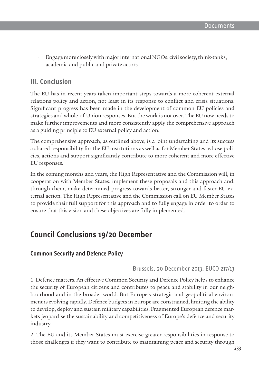• Engage more closely with major international NGOs, civil society, think-tanks, academia and public and private actors.

# **III. Conclusion**

The EU has in recent years taken important steps towards a more coherent external relations policy and action, not least in its response to conflict and crisis situations. Significant progress has been made in the development of common EU policies and strategies and whole-of-Union responses. But the work is not over. The EU now needs to make further improvements and more consistently apply the comprehensive approach as a guiding principle to EU external policy and action.

The comprehensive approach, as outlined above, is a joint undertaking and its success a shared responsibility for the EU institutions as well as for Member States, whose policies, actions and support significantly contribute to more coherent and more effective EU responses.

In the coming months and years, the High Representative and the Commission will, in cooperation with Member States, implement these proposals and this approach and, through them, make determined progress towards better, stronger and faster EU external action. The High Representative and the Commission call on EU Member States to provide their full support for this approach and to fully engage in order to order to ensure that this vision and these objectives are fully implemented.

# **Council Conclusions 19/20 December**

## **Common Security and Defence Policy**

#### Brussels, 20 December 2013, EUCO 217/13

1. Defence matters. An effective Common Security and Defence Policy helps to enhance the security of European citizens and contributes to peace and stability in our neighbourhood and in the broader world. But Europe's strategic and geopolitical environment is evolving rapidly. Defence budgets in Europe are constrained, limiting the ability to develop, deploy and sustain military capabilities. Fragmented European defence markets jeopardise the sustainability and competitiveness of Europe's defence and security industry.

2. The EU and its Member States must exercise greater responsibilities in response to those challenges if they want to contribute to maintaining peace and security through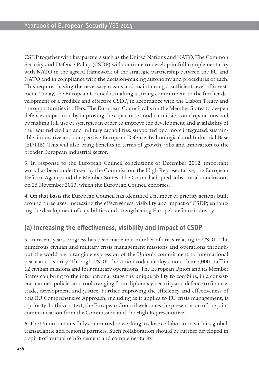CSDP together with key partners such as the United Nations and NATO. The Common Security and Defence Policy (CSDP) will continue to develop in full complementarity with NATO in the agreed framework of the strategic partnership between the EU and NATO and in compliance with the decision-making autonomy and procedures of each. This requires having the necessary means and maintaining a sufficient level of investment. Today, the European Council is making a strong commitment to the further development of a credible and effective CSDP, in accordance with the Lisbon Treaty and the opportunities it offers. The European Council calls on the Member States to deepen defence cooperation by improving the capacity to conduct missions and operations and by making full use of synergies in order to improve the development and availability of the required civilian and military capabilities, supported by a more integrated, sustainable, innovative and competitive European Defence Technological and Industrial Base (EDTIB). This will also bring benefits in terms of growth, jobs and innovation to the broader European industrial sector.

3. In response to the European Council conclusions of December 2012, important work has been undertaken by the Commission, the High Representative, the European Defence Agency and the Member States. The Council adopted substantial conclusions on 25 November 2013, which the European Council endorses.

4. On that basis the European Council has identified a number of priority actions built around three axes: increasing the effectiveness, visibility and impact of CSDP; enhancing the development of capabilities and strengthening Europe's defence industry.

# **(a) Increasing the effectiveness, visibility and impact of CSDP**

5. In recent years progress has been made in a number of areas relating to CSDP. The numerous civilian and military crisis management missions and operations throughout the world are a tangible expression of the Union's commitment to international peace and security. Through CSDP, the Union today deploys more than 7,000 staff in 12 civilian missions and four military operations. The European Union and its Member States can bring to the international stage the unique ability to combine, in a consistent manner, policies and tools ranging from diplomacy, security and defence to finance, trade, development and justice. Further improving the efficiency and effectiveness of this EU Comprehensive Approach, including as it applies to EU crisis management, is a priority. In this context, the European Council welcomes the presentation of the joint communication from the Commission and the High Representative.

6. The Union remains fully committed to working in close collaboration with its global, transatlantic and regional partners. Such collaboration should be further developed in a spirit of mutual reinforcement and complementarity.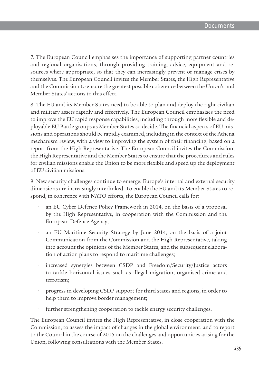7. The European Council emphasises the importance of supporting partner countries and regional organisations, through providing training, advice, equipment and resources where appropriate, so that they can increasingly prevent or manage crises by themselves. The European Council invites the Member States, the High Representative and the Commission to ensure the greatest possible coherence between the Union's and Member States' actions to this effect.

8. The EU and its Member States need to be able to plan and deploy the right civilian and military assets rapidly and effectively. The European Council emphasises the need to improve the EU rapid response capabilities, including through more flexible and deployable EU Battle groups as Member States so decide. The financial aspects of EU missions and operations should be rapidly examined, including in the context of the Athena mechanism review, with a view to improving the system of their financing, based on a report from the High Representative. The European Council invites the Commission, the High Representative and the Member States to ensure that the procedures and rules for civilian missions enable the Union to be more flexible and speed up the deployment of EU civilian missions.

9. New security challenges continue to emerge. Europe's internal and external security dimensions are increasingly interlinked. To enable the EU and its Member States to respond, in coherence with NATO efforts, the European Council calls for:

- an EU Cyber Defence Policy Framework in 2014, on the basis of a proposal by the High Representative, in cooperation with the Commission and the European Defence Agency;
- an EU Maritime Security Strategy by June 2014, on the basis of a joint Communication from the Commission and the High Representative, taking into account the opinions of the Member States, and the subsequent elaboration of action plans to respond to maritime challenges;
- increased synergies between CSDP and Freedom/Security/Justice actors to tackle horizontal issues such as illegal migration, organised crime and terrorism;
- progress in developing CSDP support for third states and regions, in order to help them to improve border management;
- further strengthening cooperation to tackle energy security challenges.

The European Council invites the High Representative, in close cooperation with the Commission, to assess the impact of changes in the global environment, and to report to the Council in the course of 2015 on the challenges and opportunities arising for the Union, following consultations with the Member States.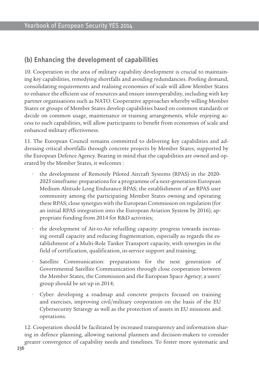# **(b) Enhancing the development of capabilities**

10. Cooperation in the area of military capability development is crucial to maintaining key capabilities, remedying shortfalls and avoiding redundancies. Pooling demand, consolidating requirements and realising economies of scale will allow Member States to enhance the efficient use of resources and ensure interoperability, including with key partner organisations such as NATO. Cooperative approaches whereby willing Member States or groups of Member States develop capabilities based on common standards or decide on common usage, maintenance or training arrangements, while enjoying access to such capabilities, will allow participants to benefit from economies of scale and enhanced military effectiveness.

11. The European Council remains committed to delivering key capabilities and addressing critical shortfalls through concrete projects by Member States, supported by the European Defence Agency. Bearing in mind that the capabilities are owned and operated by the Member States, it welcomes :

- the development of Remotely Piloted Aircraft Systems (RPAS) in the 2020- 2025 timeframe: preparations for a programme of a next-generation European Medium Altitude Long Endurance RPAS; the establishment of an RPAS user community among the participating Member States owning and operating these RPAS; close synergies with the European Commission on regulation (for an initial RPAS integration into the European Aviation System by 2016); appropriate funding from 2014 for R&D activities;
- the development of Air-to-Air refuelling capacity: progress towards increasing overall capacity and reducing fragmentation, especially as regards the establishment of a Multi-Role Tanker Transport capacity, with synergies in the field of certification, qualification, in-service support and training;
- Satellite Communication: preparations for the next generation of Governmental Satellite Communication through close cooperation between the Member States, the Commission and the European Space Agency; a users' group should be set up in 2014;
- Cyber: developing a roadmap and concrete projects focused on training and exercises, improving civil/military cooperation on the basis of the EU Cybersecurity Strategy as well as the protection of assets in EU missions and operations.

12. Cooperation should be facilitated by increased transparency and information sharing in defence planning, allowing national planners and decision-makers to consider greater convergence of capability needs and timelines. To foster more systematic and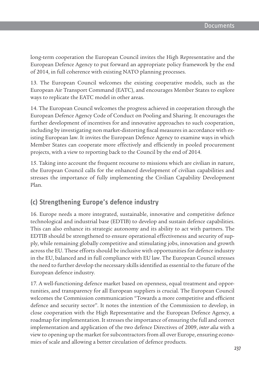long-term cooperation the European Council invites the High Representative and the European Defence Agency to put forward an appropriate policy framework by the end of 2014, in full coherence with existing NATO planning processes.

13. The European Council welcomes the existing cooperative models, such as the European Air Transport Command (EATC), and encourages Member States to explore ways to replicate the EATC model in other areas.

14. The European Council welcomes the progress achieved in cooperation through the European Defence Agency Code of Conduct on Pooling and Sharing. It encourages the further development of incentives for and innovative approaches to such cooperation, including by investigating non market-distorting fiscal measures in accordance with existing European law. It invites the European Defence Agency to examine ways in which Member States can cooperate more effectively and efficiently in pooled procurement projects, with a view to reporting back to the Council by the end of 2014.

15. Taking into account the frequent recourse to missions which are civilian in nature, the European Council calls for the enhanced development of civilian capabilities and stresses the importance of fully implementing the Civilian Capability Development Plan.

# **(c) Strengthening Europe's defence industry**

16. Europe needs a more integrated, sustainable, innovative and competitive defence technological and industrial base (EDTIB) to develop and sustain defence capabilities. This can also enhance its strategic autonomy and its ability to act with partners. The EDTIB should be strengthened to ensure operational effectiveness and security of supply, while remaining globally competitive and stimulating jobs, innovation and growth across the EU. These efforts should be inclusive with opportunities for defence industry in the EU, balanced and in full compliance with EU law. The European Council stresses the need to further develop the necessary skills identified as essential to the future of the European defence industry.

17. A well-functioning defence market based on openness, equal treatment and opportunities, and transparency for all European suppliers is crucial. The European Council welcomes the Commission communication "Towards a more competitive and efficient defence and security sector". It notes the intention of the Commission to develop, in close cooperation with the High Representative and the European Defence Agency, a roadmap for implementation. It stresses the importance of ensuring the full and correct implementation and application of the two defence Directives of 2009, *inter alia* with a view to opening up the market for subcontractors from all over Europe, ensuring economies of scale and allowing a better circulation of defence products.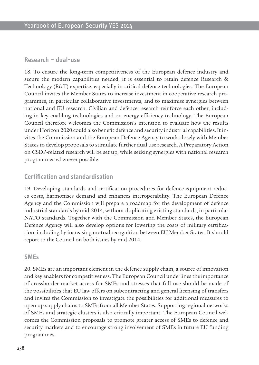#### **Research – dual-use**

18. To ensure the long-term competitiveness of the European defence industry and secure the modern capabilities needed, it is essential to retain defence Research & Technology (R&T) expertise, especially in critical defence technologies. The European Council invites the Member States to increase investment in cooperative research programmes, in particular collaborative investments, and to maximise synergies between national and EU research. Civilian and defence research reinforce each other, including in key enabling technologies and on energy efficiency technology. The European Council therefore welcomes the Commission's intention to evaluate how the results under Horizon 2020 could also benefit defence and security industrial capabilities. It invites the Commission and the European Defence Agency to work closely with Member States to develop proposals to stimulate further dual use research. A Preparatory Action on CSDP-related research will be set up, while seeking synergies with national research programmes whenever possible.

## **Certification and standardisation**

19. Developing standards and certification procedures for defence equipment reduces costs, harmonises demand and enhances interoperability. The European Defence Agency and the Commission will prepare a roadmap for the development of defence industrial standards by mid-2014, without duplicating existing standards, in particular NATO standards. Together with the Commission and Member States, the European Defence Agency will also develop options for lowering the costs of military certification, including by increasing mutual recognition between EU Member States. It should report to the Council on both issues by mid 2014.

## **SMEs**

20. SMEs are an important element in the defence supply chain, a source of innovation and key enablers for competitiveness. The European Council underlines the importance of crossborder market access for SMEs and stresses that full use should be made of the possibilities that EU law offers on subcontracting and general licensing of transfers and invites the Commission to investigate the possibilities for additional measures to open up supply chains to SMEs from all Member States. Supporting regional networks of SMEs and strategic clusters is also critically important. The European Council welcomes the Commission proposals to promote greater access of SMEs to defence and security markets and to encourage strong involvement of SMEs in future EU funding programmes.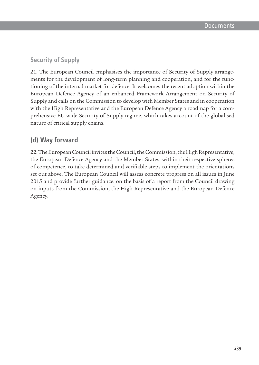## **Security of Supply**

21. The European Council emphasises the importance of Security of Supply arrangements for the development of long-term planning and cooperation, and for the functioning of the internal market for defence. It welcomes the recent adoption within the European Defence Agency of an enhanced Framework Arrangement on Security of Supply and calls on the Commission to develop with Member States and in cooperation with the High Representative and the European Defence Agency a roadmap for a comprehensive EU-wide Security of Supply regime, which takes account of the globalised nature of critical supply chains.

# **(d) Way forward**

22. The European Council invites the Council, the Commission, the High Representative, the European Defence Agency and the Member States, within their respective spheres of competence, to take determined and verifiable steps to implement the orientations set out above. The European Council will assess concrete progress on all issues in June 2015 and provide further guidance, on the basis of a report from the Council drawing on inputs from the Commission, the High Representative and the European Defence Agency.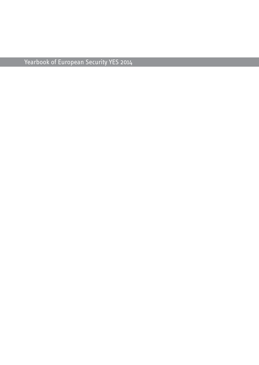Yearbook of European Security YES 2014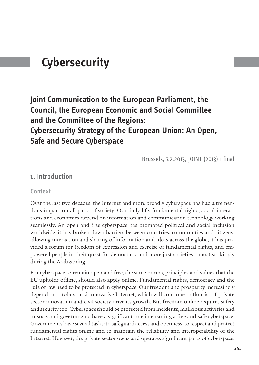# **Cybersecurity**

**Joint Communication to the European Parliament, the Council, the European Economic and Social Committee and the Committee of the Regions: Cybersecurity Strategy of the European Union: An Open, Safe and Secure Cyberspace**

Brussels, 7.2.2013, JOINT (2013) 1 final

## **1. Introduction**

#### **Context**

Over the last two decades, the Internet and more broadly cyberspace has had a tremendous impact on all parts of society. Our daily life, fundamental rights, social interactions and economies depend on information and communication technology working seamlessly. An open and free cyberspace has promoted political and social inclusion worldwide; it has broken down barriers between countries, communities and citizens, allowing interaction and sharing of information and ideas across the globe; it has provided a forum for freedom of expression and exercise of fundamental rights, and empowered people in their quest for democratic and more just societies – most strikingly during the Arab Spring.

For cyberspace to remain open and free, the same norms, principles and values that the EU upholds offline, should also apply online. Fundamental rights, democracy and the rule of law need to be protected in cyberspace. Our freedom and prosperity increasingly depend on a robust and innovative Internet, which will continue to flourish if private sector innovation and civil society drive its growth. But freedom online requires safety and security too. Cyberspace should be protected from incidents, malicious activities and misuse; and governments have a significant role in ensuring a free and safe cyberspace. Governments have several tasks: to safeguard access and openness, to respect and protect fundamental rights online and to maintain the reliability and interoperability of the Internet. However, the private sector owns and operates significant parts of cyberspace,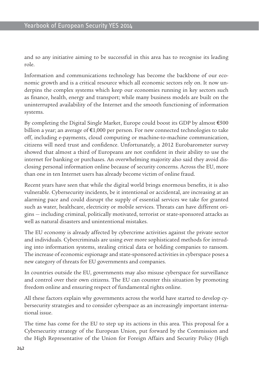and so any initiative aiming to be successful in this area has to recognise its leading role.

Information and communications technology has become the backbone of our economic growth and is a critical resource which all economic sectors rely on. It now underpins the complex systems which keep our economies running in key sectors such as finance, health, energy and transport; while many business models are built on the uninterrupted availability of the Internet and the smooth functioning of information systems.

By completing the Digital Single Market, Europe could boost its GDP by almost  $\epsilon$ 500 billion a year; an average of €1,000 per person. For new connected technologies to take off, including e-payments, cloud computing or machine-to-machine communication, citizens will need trust and confidence. Unfortunately, a 2012 Eurobarometer survey showed that almost a third of Europeans are not confident in their ability to use the internet for banking or purchases. An overwhelming majority also said they avoid disclosing personal information online because of security concerns. Across the EU, more than one in ten Internet users has already become victim of online fraud.

Recent years have seen that while the digital world brings enormous benefits, it is also vulnerable. Cybersecurity incidents, be it intentional or accidental, are increasing at an alarming pace and could disrupt the supply of essential services we take for granted such as water, healthcare, electricity or mobile services. Threats can have different origins — including criminal, politically motivated, terrorist or state-sponsored attacks as well as natural disasters and unintentional mistakes.

The EU economy is already affected by cybercrime activities against the private sector and individuals. Cybercriminals are using ever more sophisticated methods for intruding into information systems, stealing critical data or holding companies to ransom. The increase of economic espionage and state-sponsored activities in cyberspace poses a new category of threats for EU governments and companies.

In countries outside the EU, governments may also misuse cyberspace for surveillance and control over their own citizens. The EU can counter this situation by promoting freedom online and ensuring respect of fundamental rights online.

All these factors explain why governments across the world have started to develop cybersecurity strategies and to consider cyberspace as an increasingly important international issue.

The time has come for the EU to step up its actions in this area. This proposal for a Cybersecurity strategy of the European Union, put forward by the Commission and the High Representative of the Union for Foreign Affairs and Security Policy (High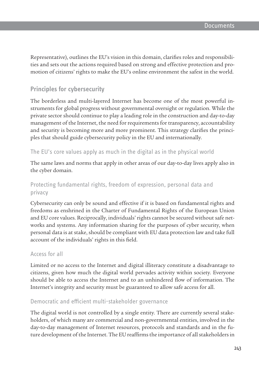Representative), outlines the EU's vision in this domain, clarifies roles and responsibilities and sets out the actions required based on strong and effective protection and promotion of citizens' rights to make the EU's online environment the safest in the world.

## **Principles for cybersecurity**

The borderless and multi-layered Internet has become one of the most powerful instruments for global progress without governmental oversight or regulation. While the private sector should continue to play a leading role in the construction and day-to-day management of the Internet, the need for requirements for transparency, accountability and security is becoming more and more prominent. This strategy clarifies the principles that should guide cybersecurity policy in the EU and internationally.

## The EU's core values apply as much in the digital as in the physical world

The same laws and norms that apply in other areas of our day-to-day lives apply also in the cyber domain.

## Protecting fundamental rights, freedom of expression, personal data and privacy

Cybersecurity can only be sound and effective if it is based on fundamental rights and freedoms as enshrined in the Charter of Fundamental Rights of the European Union and EU core values. Reciprocally, individuals' rights cannot be secured without safe networks and systems. Any information sharing for the purposes of cyber security, when personal data is at stake, should be compliant with EU data protection law and take full account of the individuals' rights in this field.

#### Access for all

Limited or no access to the Internet and digital illiteracy constitute a disadvantage to citizens, given how much the digital world pervades activity within society. Everyone should be able to access the Internet and to an unhindered flow of information. The Internet's integrity and security must be guaranteed to allow safe access for all.

#### Democratic and efficient multi-stakeholder governance

The digital world is not controlled by a single entity. There are currently several stakeholders, of which many are commercial and non-governmental entities, involved in the day-to-day management of Internet resources, protocols and standards and in the future development of the Internet. The EU reaffirms the importance of all stakeholders in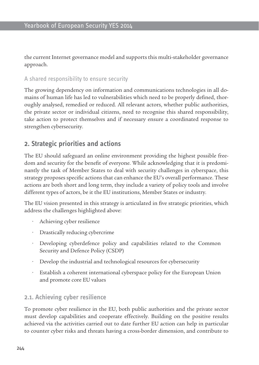the current Internet governance model and supports this multi-stakeholder governance approach.

## A shared responsibility to ensure security

The growing dependency on information and communications technologies in all domains of human life has led to vulnerabilities which need to be properly defined, thoroughly analysed, remedied or reduced. All relevant actors, whether public authorities, the private sector or individual citizens, need to recognise this shared responsibility, take action to protect themselves and if necessary ensure a coordinated response to strengthen cybersecurity.

# **2. Strategic priorities and actions**

The EU should safeguard an online environment providing the highest possible freedom and security for the benefit of everyone. While acknowledging that it is predominantly the task of Member States to deal with security challenges in cyberspace, this strategy proposes specific actions that can enhance the EU's overall performance. These actions are both short and long term, they include a variety of policy tools and involve different types of actors, be it the EU institutions, Member States or industry.

The EU vision presented in this strategy is articulated in five strategic priorities, which address the challenges highlighted above:

- Achieving cyber resilience
- Drastically reducing cybercrime
- Developing cyberdefence policy and capabilities related to the Common Security and Defence Policy (CSDP)
- Develop the industrial and technological resources for cybersecurity
- Establish a coherent international cyberspace policy for the European Union and promote core EU values

# **2.1. Achieving cyber resilience**

To promote cyber resilience in the EU, both public authorities and the private sector must develop capabilities and cooperate effectively. Building on the positive results achieved via the activities carried out to date further EU action can help in particular to counter cyber risks and threats having a cross-border dimension, and contribute to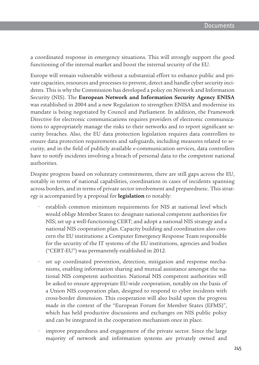a coordinated response in emergency situations. This will strongly support the good functioning of the internal market and boost the internal security of the EU.

Europe will remain vulnerable without a substantial effort to enhance public and private capacities, resources and processes to prevent, detect and handle cyber security incidents. This is why the Commission has developed a policy on Network and Information Security (NIS). The **European Network and Information Security Agency ENISA**  was established in 2004 and a new Regulation to strengthen ENISA and modernise its mandate is being negotiated by Council and Parliament. In addition, the Framework Directive for electronic communications requires providers of electronic communications to appropriately manage the risks to their networks and to report significant security breaches. Also, the EU data protection legislation requires data controllers to ensure data protection requirements and safeguards, including measures related to security, and in the field of publicly available e-communication services, data controllers have to notify incidents involving a breach of personal data to the competent national authorities.

Despite progress based on voluntary commitments, there are still gaps across the EU, notably in terms of national capabilities, coordination in cases of incidents spanning across borders, and in terms of private sector involvement and preparedness:. This strategy is accompanied by a proposal for **legislation** to notably:

- establish common minimum requirements for NIS at national level which would oblige Member States to: designate national competent authorities for NIS; set up a well-functioning CERT; and adopt a national NIS strategy and a national NIS cooperation plan. Capacity building and coordination also concern the EU institutions: a Computer Emergency Response Team responsible for the security of the IT systems of the EU institutions, agencies and bodies ("CERT-EU") was permanently established in 2012.
- set up coordinated prevention, detection, mitigation and response mechanisms, enabling information sharing and mutual assistance amongst the national NIS competent authorities. National NIS competent authorities will be asked to ensure appropriate EU-wide cooperation, notably on the basis of a Union NIS cooperation plan, designed to respond to cyber incidents with cross-border dimension. This cooperation will also build upon the progress made in the context of the "European Forum for Member States (EFMS)", which has held productive discussions and exchanges on NIS public policy and can be integrated in the cooperation mechanism once in place.
- improve preparedness and engagement of the private sector. Since the large majority of network and information systems are privately owned and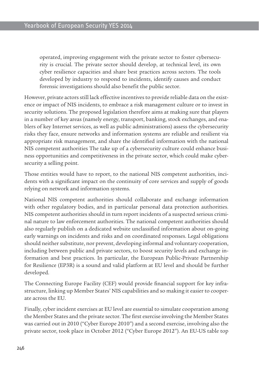operated, improving engagement with the private sector to foster cybersecurity is crucial. The private sector should develop, at technical level, its own cyber resilience capacities and share best practices across sectors. The tools developed by industry to respond to incidents, identify causes and conduct forensic investigations should also benefit the public sector.

However, private actors still lack effective incentives to provide reliable data on the existence or impact of NIS incidents, to embrace a risk management culture or to invest in security solutions. The proposed legislation therefore aims at making sure that players in a number of key areas (namely energy, transport, banking, stock exchanges, and enablers of key Internet services, as well as public administrations) assess the cybersecurity risks they face, ensure networks and information systems are reliable and resilient via appropriate risk management, and share the identified information with the national NIS competent authorities The take up of a cybersecurity culture could enhance business opportunities and competitiveness in the private sector, which could make cybersecurity a selling point.

Those entities would have to report, to the national NIS competent authorities, incidents with a significant impact on the continuity of core services and supply of goods relying on network and information systems.

National NIS competent authorities should collaborate and exchange information with other regulatory bodies, and in particular personal data protection authorities. NIS competent authorities should in turn report incidents of a suspected serious criminal nature to law enforcement authorities. The national competent authorities should also regularly publish on a dedicated website unclassified information about on-going early warnings on incidents and risks and on coordinated responses. Legal obligations should neither substitute, nor prevent, developing informal and voluntary cooperation, including between public and private sectors, to boost security levels and exchange information and best practices. In particular, the European Public-Private Partnership for Resilience (EP3R) is a sound and valid platform at EU level and should be further developed.

The Connecting Europe Facility (CEF) would provide financial support for key infrastructure, linking up Member States' NIS capabilities and so making it easier to cooperate across the EU.

Finally, cyber incident exercises at EU level are essential to simulate cooperation among the Member States and the private sector. The first exercise involving the Member States was carried out in 2010 ("Cyber Europe 2010") and a second exercise, involving also the private sector, took place in October 2012 ("Cyber Europe 2012"). An EU-US table top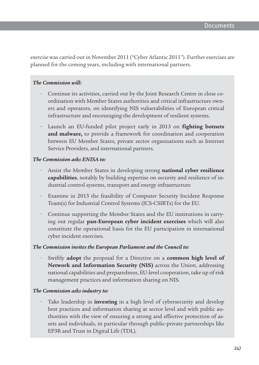exercise was carried out in November 2011 ("Cyber Atlantic 2011"). Further exercises are planned for the coming years, including with international partners.

### *The Commission will:*

- Continue its activities, carried out by the Joint Research Centre in close coordination with Member States authorities and critical infrastructure owners and operators, on identifying NIS vulnerabilities of European critical infrastructure and encouraging the development of resilient systems.
- Launch an EU-funded pilot project early in 2013 on **fighting botnets and malware,** to provide a framework for coordination and cooperation between EU Member States, private sector organisations such as Internet Service Providers, and international partners.

#### *The Commission asks ENISA to:*

- Assist the Member States in developing strong **national cyber resilience capabilities**, notably by building expertise on security and resilience of industrial control systems, transport and energy infrastructure
- Examine in 2013 the feasibility of Computer Security Incident Response Team(s) for Industrial Control Systems (ICS-CSIRTs) for the EU.
- Continue supporting the Member States and the EU institutions in carrying out regular **pan-European cyber incident exercises** which will also constitute the operational basis for the EU participation in international cyber incident exercises.

#### *The Commission invites the European Parliament and the Council to:*

• Swiftly **adopt** the proposal for a Directive on a **common high level of Network and Information Security (NIS)** across the Union, addressing national capabilities and preparedness, EU-level cooperation, take up of risk management practices and information sharing on NIS.

#### *The Commission asks industry to:*

• Take leadership in **investing** in a high level of cybersecurity and develop best practices and information sharing at sector level and with public authorities with the view of ensuring a strong and effective protection of assets and individuals, in particular through public-private partnerships like EP3R and Trust in Digital Life (TDL).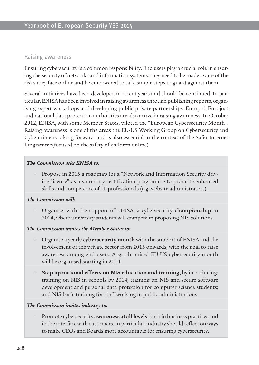# Raising awareness

Ensuring cybersecurity is a common responsibility. End users play a crucial role in ensuring the security of networks and information systems: they need to be made aware of the risks they face online and be empowered to take simple steps to guard against them.

Several initiatives have been developed in recent years and should be continued. In particular, ENISA has been involved in raising awareness through publishing reports, organising expert workshops and developing public-private partnerships. Europol, Eurojust and national data protection authorities are also active in raising awareness. In October 2012, ENISA, with some Member States, piloted the "European Cybersecurity Month". Raising awareness is one of the areas the EU-US Working Group on Cybersecurity and Cybercrime is taking forward, and is also essential in the context of the Safer Internet Programme(focused on the safety of children online).

### *The Commission asks ENISA to:*

• Propose in 2013 a roadmap for a "Network and Information Security driving licence" as a voluntary certification programme to promote enhanced skills and competence of IT professionals (e.g. website administrators).

### *The Commission will:*

• Organise, with the support of ENISA, a cybersecurity **championship** in 2014, where university students will compete in proposing NIS solutions.

# *The Commission invites the Member States to:*

- Organise a yearly **cybersecurity month** with the support of ENISA and the involvement of the private sector from 2013 onwards, with the goal to raise awareness among end users. A synchronised EU-US cybersecurity month will be organised starting in 2014.
- **Step up national efforts on NIS education and training,** by introducing: training on NIS in schools by 2014; training on NIS and secure software development and personal data protection for computer science students; and NIS basic training for staff working in public administrations.

### *The Commission invites industry to:*

• Promote cybersecurity **awareness at all levels**, both in business practices and in the interface with customers. In particular, industry should reflect on ways to make CEOs and Boards more accountable for ensuring cybersecurity.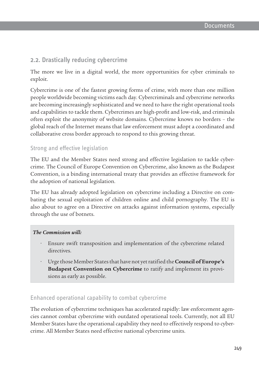# **2.2. Drastically reducing cybercrime**

The more we live in a digital world, the more opportunities for cyber criminals to exploit.

Cybercrime is one of the fastest growing forms of crime, with more than one million people worldwide becoming victims each day. Cybercriminals and cybercrime networks are becoming increasingly sophisticated and we need to have the right operational tools and capabilities to tackle them. Cybercrimes are high-profit and low-risk, and criminals often exploit the anonymity of website domains. Cybercrime knows no borders – the global reach of the Internet means that law enforcement must adopt a coordinated and collaborative cross border approach to respond to this growing threat.

# Strong and effective legislation

The EU and the Member States need strong and effective legislation to tackle cybercrime. The Council of Europe Convention on Cybercrime, also known as the Budapest Convention, is a binding international treaty that provides an effective framework for the adoption of national legislation.

The EU has already adopted legislation on cybercrime including a Directive on combating the sexual exploitation of children online and child pornography. The EU is also about to agree on a Directive on attacks against information systems, especially through the use of botnets.

### *The Commission will:*

- Ensure swift transposition and implementation of the cybercrime related directives.
- Urge those Member States that have not yet ratified the **Council of Europe's Budapest Convention on Cybercrime** to ratify and implement its provisions as early as possible.

# Enhanced operational capability to combat cybercrime

The evolution of cybercrime techniques has accelerated rapidly: law enforcement agencies cannot combat cybercrime with outdated operational tools. Currently, not all EU Member States have the operational capability they need to effectively respond to cybercrime. All Member States need effective national cybercrime units.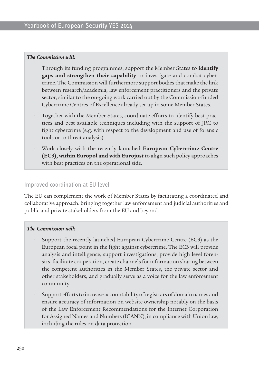### *The Commission will:*

- Through its funding programmes, support the Member States to **identify gaps and strengthen their capability** to investigate and combat cybercrime. The Commission will furthermore support bodies that make the link between research/academia, law enforcement practitioners and the private sector, similar to the on-going work carried out by the Commission-funded Cybercrime Centres of Excellence already set up in some Member States.
- Together with the Member States, coordinate efforts to identify best practices and best available techniques including with the support of JRC to fight cybercrime (e.g. with respect to the development and use of forensic tools or to threat analysis)
- Work closely with the recently launched **European Cybercrime Centre (EC3), within Europol and with Eurojust** to align such policy approaches with best practices on the operational side.

# Improved coordination at EU level

The EU can complement the work of Member States by facilitating a coordinated and collaborative approach, bringing together law enforcement and judicial authorities and public and private stakeholders from the EU and beyond.

### *The Commission will:*

- Support the recently launched European Cybercrime Centre (EC3) as the European focal point in the fight against cybercrime. The EC3 will provide analysis and intelligence, support investigations, provide high level forensics, facilitate cooperation, create channels for information sharing between the competent authorities in the Member States, the private sector and other stakeholders, and gradually serve as a voice for the law enforcement community.
- Support efforts to increase accountability of registrars of domain names and ensure accuracy of information on website ownership notably on the basis of the Law Enforcement Recommendations for the Internet Corporation for Assigned Names and Numbers (ICANN), in compliance with Union law, including the rules on data protection.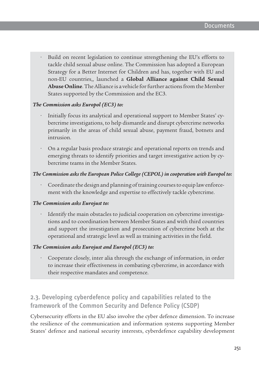Build on recent legislation to continue strengthening the EU's efforts to tackle child sexual abuse online. The Commission has adopted a European Strategy for a Better Internet for Children and has, together with EU and non-EU countries,, launched a **Global Alliance against Child Sexual Abuse Online**. The Alliance is a vehicle for further actions from the Member States supported by the Commission and the EC3.

### *The Commission asks Europol (EC3) to:*

- Initially focus its analytical and operational support to Member States' cybercrime investigations, to help dismantle and disrupt cybercrime networks primarily in the areas of child sexual abuse, payment fraud, botnets and intrusion.
- On a regular basis produce strategic and operational reports on trends and emerging threats to identify priorities and target investigative action by cybercrime teams in the Member States.

### *The Commission asks the European Police College (CEPOL) in cooperation with Europol to:*

• Coordinate the design and planning of training courses to equip law enforcement with the knowledge and expertise to effectively tackle cybercrime.

### *The Commission asks Eurojust to:*

Identify the main obstacles to judicial cooperation on cybercrime investigations and to coordination between Member States and with third countries and support the investigation and prosecution of cybercrime both at the operational and strategic level as well as training activities in the field.

### *The Commission asks Eurojust and Europol (EC3) to:*

• Cooperate closely, inter alia through the exchange of information, in order to increase their effectiveness in combating cybercrime, in accordance with their respective mandates and competence.

# **2.3. Developing cyberdefence policy and capabilities related to the framework of the Common Security and Defence Policy (CSDP)**

Cybersecurity efforts in the EU also involve the cyber defence dimension. To increase the resilience of the communication and information systems supporting Member States' defence and national security interests, cyberdefence capability development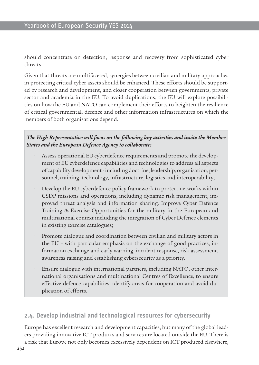should concentrate on detection, response and recovery from sophisticated cyber threats.

Given that threats are multifaceted, synergies between civilian and military approaches in protecting critical cyber assets should be enhanced. These efforts should be supported by research and development, and closer cooperation between governments, private sector and academia in the EU. To avoid duplications, the EU will explore possibilities on how the EU and NATO can complement their efforts to heighten the resilience of critical governmental, defence and other information infrastructures on which the members of both organisations depend.

*The High Representative will focus on the following key activities and invite the Member States and the European Defence Agency to collaborate:*

- Assess operational EU cyberdefence requirements and promote the development of EU cyberdefence capabilities and technologies to address all aspects of capability development - including doctrine, leadership, organisation, personnel, training, technology, infrastructure, logistics and interoperability;
- Develop the EU cyberdefence policy framework to protect networks within CSDP missions and operations, including dynamic risk management, improved threat analysis and information sharing. Improve Cyber Defence Training & Exercise Opportunities for the military in the European and multinational context including the integration of Cyber Defence elements in existing exercise catalogues;
- Promote dialogue and coordination between civilian and military actors in the EU – with particular emphasis on the exchange of good practices, information exchange and early warning, incident response, risk assessment, awareness raising and establishing cybersecurity as a priority.
- Ensure dialogue with international partners, including NATO, other international organisations and multinational Centres of Excellence, to ensure effective defence capabilities, identify areas for cooperation and avoid duplication of efforts.

# **2.4. Develop industrial and technological resources for cybersecurity**

Europe has excellent research and development capacities, but many of the global leaders providing innovative ICT products and services are located outside the EU. There is a risk that Europe not only becomes excessively dependent on ICT produced elsewhere,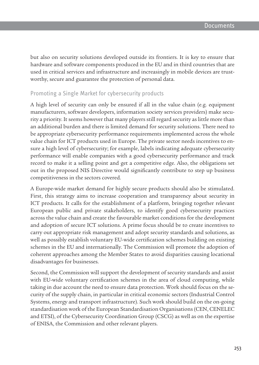but also on security solutions developed outside its frontiers. It is key to ensure that hardware and software components produced in the EU and in third countries that are used in critical services and infrastructure and increasingly in mobile devices are trustworthy, secure and guarantee the protection of personal data.

### Promoting a Single Market for cybersecurity products

A high level of security can only be ensured if all in the value chain (e.g. equipment manufacturers, software developers, information society services providers) make security a priority. It seems however that many players still regard security as little more than an additional burden and there is limited demand for security solutions. There need to be appropriate cybersecurity performance requirements implemented across the whole value chain for ICT products used in Europe. The private sector needs incentives to ensure a high level of cybersecurity; for example, labels indicating adequate cybersecurity performance will enable companies with a good cybersecurity performance and track record to make it a selling point and get a competitive edge. Also, the obligations set out in the proposed NIS Directive would significantly contribute to step up business competitiveness in the sectors covered.

A Europe-wide market demand for highly secure products should also be stimulated. First, this strategy aims to increase cooperation and transparency about security in ICT products. It calls for the establishment of a platform, bringing together relevant European public and private stakeholders, to identify good cybersecurity practices across the value chain and create the favourable market conditions for the development and adoption of secure ICT solutions. A prime focus should be to create incentives to carry out appropriate risk management and adopt security standards and solutions, as well as possibly establish voluntary EU-wide certification schemes building on existing schemes in the EU and internationally. The Commission will promote the adoption of coherent approaches among the Member States to avoid disparities causing locational disadvantages for businesses.

Second, the Commission will support the development of security standards and assist with EU-wide voluntary certification schemes in the area of cloud computing, while taking in due account the need to ensure data protection. Work should focus on the security of the supply chain, in particular in critical economic sectors (Industrial Control Systems, energy and transport infrastructure). Such work should build on the on-going standardisation work of the European Standardisation Organisations (CEN, CENELEC and ETSI), of the Cybersecurity Coordination Group (CSCG) as well as on the expertise of ENISA, the Commission and other relevant players.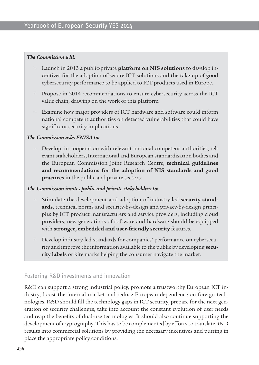### *The Commission will:*

- Launch in 2013 a public-private **platform on NIS solutions** to develop incentives for the adoption of secure ICT solutions and the take-up of good cybersecurity performance to be applied to ICT products used in Europe.
- Propose in 2014 recommendations to ensure cybersecurity across the ICT value chain, drawing on the work of this platform
- Examine how major providers of ICT hardware and software could inform national competent authorities on detected vulnerabilities that could have significant security-implications.

### *The Commission asks ENISA to:*

• Develop, in cooperation with relevant national competent authorities, relevant stakeholders, International and European standardisation bodies and the European Commission Joint Research Centre, **technical guidelines and recommendations for the adoption of NIS standards and good practices** in the public and private sectors.

### *The Commission invites public and private stakeholders to:*

- Stimulate the development and adoption of industry-led **security standards**, technical norms and security-by-design and privacy-by-design principles by ICT product manufacturers and service providers, including cloud providers; new generations of software and hardware should be equipped with **stronger, embedded and user-friendly security** features.
- Develop industry-led standards for companies' performance on cybersecurity and improve the information available to the public by developing **security labels** or kite marks helping the consumer navigate the market.

# Fostering R&D investments and innovation

R&D can support a strong industrial policy, promote a trustworthy European ICT industry, boost the internal market and reduce European dependence on foreign technologies. R&D should fill the technology gaps in ICT security, prepare for the next generation of security challenges, take into account the constant evolution of user needs and reap the benefits of dual-use technologies. It should also continue supporting the development of cryptography. This has to be complemented by efforts to translate R&D results into commercial solutions by providing the necessary incentives and putting in place the appropriate policy conditions.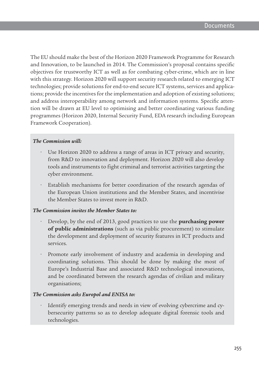The EU should make the best of the Horizon 2020 Framework Programme for Research and Innovation, to be launched in 2014. The Commission's proposal contains specific objectives for trustworthy ICT as well as for combating cyber-crime, which are in line with this strategy. Horizon 2020 will support security research related to emerging ICT technologies; provide solutions for end-to-end secure ICT systems, services and applications; provide the incentives for the implementation and adoption of existing solutions; and address interoperability among network and information systems. Specific attention will be drawn at EU level to optimising and better coordinating various funding programmes (Horizon 2020, Internal Security Fund, EDA research including European Framework Cooperation).

#### *The Commission will:*

- Use Horizon 2020 to address a range of areas in ICT privacy and security, from R&D to innovation and deployment. Horizon 2020 will also develop tools and instruments to fight criminal and terrorist activities targeting the cyber environment.
- Establish mechanisms for better coordination of the research agendas of the European Union institutions and the Member States, and incentivise the Member States to invest more in R&D.

#### *The Commission invites the Member States to:*

- Develop, by the end of 2013, good practices to use the **purchasing power of public administrations** (such as via public procurement) to stimulate the development and deployment of security features in ICT products and services.
- Promote early involvement of industry and academia in developing and coordinating solutions. This should be done by making the most of Europe's Industrial Base and associated R&D technological innovations, and be coordinated between the research agendas of civilian and military organisations;

#### *The Commission asks Europol and ENISA to:*

Identify emerging trends and needs in view of evolving cybercrime and cybersecurity patterns so as to develop adequate digital forensic tools and technologies.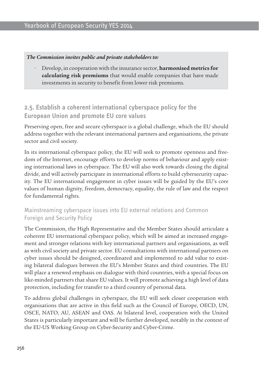### *The Commission invites public and private stakeholders to:*

• Develop, in cooperation with the insurance sector, **harmonised metrics for calculating risk premiums** that would enable companies that have made investments in security to benefit from lower risk premiums.

# **2.5. Establish a coherent international cyberspace policy for the European Union and promote EU core values**

Preserving open, free and secure cyberspace is a global challenge, which the EU should address together with the relevant international partners and organisations, the private sector and civil society.

In its international cyberspace policy, the EU will seek to promote openness and freedom of the Internet, encourage efforts to develop norms of behaviour and apply existing international laws in cyberspace. The EU will also work towards closing the digital divide, and will actively participate in international efforts to build cybersecurity capacity. The EU international engagement in cyber issues will be guided by the EU's core values of human dignity, freedom, democracy, equality, the rule of law and the respect for fundamental rights.

# Mainstreaming cyberspace issues into EU external relations and Common Foreign and Security Policy

The Commission, the High Representative and the Member States should articulate a coherent EU international cyberspace policy, which will be aimed at increased engagement and stronger relations with key international partners and organisations, as well as with civil society and private sector. EU consultations with international partners on cyber issues should be designed, coordinated and implemented to add value to existing bilateral dialogues between the EU's Member States and third countries. The EU will place a renewed emphasis on dialogue with third countries, with a special focus on like-minded partners that share EU values. It will promote achieving a high level of data protection, including for transfer to a third country of personal data.

To address global challenges in cyberspace, the EU will seek closer cooperation with organisations that are active in this field such as the Council of Europe, OECD, UN, OSCE, NATO, AU, ASEAN and OAS. At bilateral level, cooperation with the United States is particularly important and will be further developed, notably in the context of the EU-US Working Group on Cyber-Security and Cyber-Crime.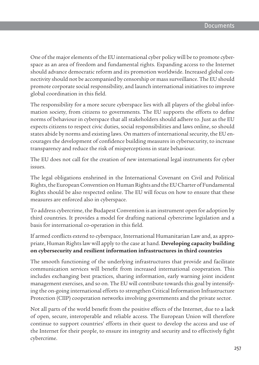One of the major elements of the EU international cyber policy will be to promote cyberspace as an area of freedom and fundamental rights. Expanding access to the Internet should advance democratic reform and its promotion worldwide. Increased global connectivity should not be accompanied by censorship or mass surveillance. The EU should promote corporate social responsibility, and launch international initiatives to improve global coordination in this field.

The responsibility for a more secure cyberspace lies with all players of the global information society, from citizens to governments. The EU supports the efforts to define norms of behaviour in cyberspace that all stakeholders should adhere to. Just as the EU expects citizens to respect civic duties, social responsibilities and laws online, so should states abide by norms and existing laws. On matters of international security, the EU encourages the development of confidence building measures in cybersecurity, to increase transparency and reduce the risk of misperceptions in state behaviour.

The EU does not call for the creation of new international legal instruments for cyber issues.

The legal obligations enshrined in the International Covenant on Civil and Political Rights, the European Convention on Human Rights and the EU Charter of Fundamental Rights should be also respected online. The EU will focus on how to ensure that these measures are enforced also in cyberspace.

To address cybercrime, the Budapest Convention is an instrument open for adoption by third countries. It provides a model for drafting national cybercrime legislation and a basis for international co-operation in this field.

If armed conflicts extend to cyberspace, International Humanitarian Law and, as appropriate, Human Rights law will apply to the case at hand. **Developing capacity building on cybersecurity and resilient information infrastructures in third countries**

The smooth functioning of the underlying infrastructures that provide and facilitate communication services will benefit from increased international cooperation. This includes exchanging best practices, sharing information, early warning joint incident management exercises, and so on. The EU will contribute towards this goal by intensifying the on-going international efforts to strengthen Critical Information Infrastructure Protection (CIIP) cooperation networks involving governments and the private sector.

Not all parts of the world benefit from the positive effects of the Internet, due to a lack of open, secure, interoperable and reliable access. The European Union will therefore continue to support countries' efforts in their quest to develop the access and use of the Internet for their people, to ensure its integrity and security and to effectively fight cybercrime.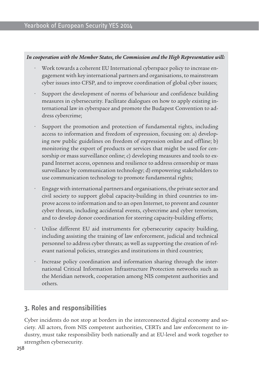### *In cooperation with the Member States, the Commission and the High Representative will:*

- Work towards a coherent EU International cyberspace policy to increase engagement with key international partners and organisations, to mainstream cyber issues into CFSP, and to improve coordination of global cyber issues;
- Support the development of norms of behaviour and confidence building measures in cybersecurity. Facilitate dialogues on how to apply existing international law in cyberspace and promote the Budapest Convention to address cybercrime;
- Support the promotion and protection of fundamental rights, including access to information and freedom of expression, focusing on: a) developing new public guidelines on freedom of expression online and offline; b) monitoring the export of products or services that might be used for censorship or mass surveillance online; c) developing measures and tools to expand Internet access, openness and resilience to address censorship or mass surveillance by communication technology; d) empowering stakeholders to use communication technology to promote fundamental rights;
- Engage with international partners and organisations, the private sector and civil society to support global capacity-building in third countries to improve access to information and to an open Internet, to prevent and counter cyber threats, including accidental events, cybercrime and cyber terrorism, and to develop donor coordination for steering capacity-building efforts;
- Utilise different EU aid instruments for cybersecurity capacity building, including assisting the training of law enforcement, judicial and technical personnel to address cyber threats; as well as supporting the creation of relevant national policies, strategies and institutions in third countries;
- Increase policy coordination and information sharing through the international Critical Information Infrastructure Protection networks such as the Meridian network, cooperation among NIS competent authorities and others.

# **3. Roles and responsibilities**

Cyber incidents do not stop at borders in the interconnected digital economy and society. All actors, from NIS competent authorities, CERTs and law enforcement to industry, must take responsibility both nationally and at EU-level and work together to strengthen cybersecurity.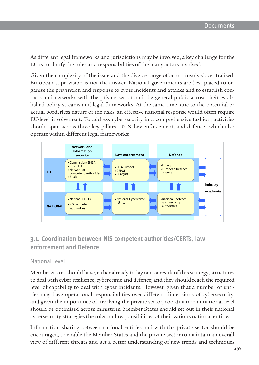As different legal frameworks and jurisdictions may be involved, a key challenge for the EU is to clarify the roles and responsibilities of the many actors involved. to clarify the roles and responsibilities of the many actors involved.

Given the complexity of the issue and the diverse range of actors involved, centralised, European supervision is not the answer. National governments are best placed to organise the prevention and response to cyber incidents and attacks and to establish contacts and networks with the private sector and the general public across their established policy streams and legal frameworks. At the same time, due to the potential or actual borderless nature of the risks, an effective national response would often require EU-level involvement. To address cybersecurity in a comprehensive fashion, activities should span across three key pillars— NIS, law enforcement, and defence—which also operate within different legal frameworks: The complexity of the issue and the diverse range of actors involved, centralis



# *<u>Enforcement and Defence</u>* **3.1. Coordination between NIS competent authorities/CERTs, law**

# National level **Extending Community Community** Dag General Association of the Human Doctor Dag West Dag West Dag W

Member States should have, either already today or as a result of this strategy, structures  $R_{\text{H}}$  (1 m)  $R_{\text{H}}$  (1 m)  $R_{\text{H}}$  and  $R_{\text{H}}$  and  $R_{\text{H}}$  and  $R_{\text{H}}$  and  $R_{\text{H}}$  and  $R_{\text{H}}$  and  $R_{\text{H}}$  and  $R_{\text{H}}$  and  $R_{\text{H}}$  and  $R_{\text{H}}$  and  $R_{\text{H}}$  and  $R_{\text{H}}$  and  $R_{\text{H}}$  and  $R_{\text{H$ to deal with cyber resilience, cybercrime and defence; and they should reach the required level of capability to deal with cyber incidents. However, given that a number of entities may have operational responsibilities over different dimensions of cybersecurity,  $\frac{1}{10}$  have operational responsibilities over afficient afficients of operational and given the importance of involving the private sector, coordination at national level should be optimised across ministries. Member States should set out in their national  $\alpha$  curity strategies the roles and responsibilities of their various national entities  $\epsilon$ ybersecurity strategies the roles and responsibilities of their various national entities.

view of different threats and get a better understanding of new trends and techniques<br>259 Information sharing between national entities and with the private sector should be encouraged, to enable the Member States and the private sector to maintain an overall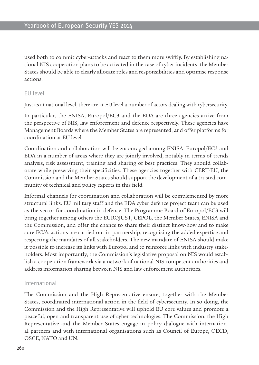used both to commit cyber-attacks and react to them more swiftly. By establishing national NIS cooperation plans to be activated in the case of cyber incidents, the Member States should be able to clearly allocate roles and responsibilities and optimise response actions.

# EU level

Just as at national level, there are at EU level a number of actors dealing with cybersecurity.

In particular, the ENISA, Europol/EC3 and the EDA are three agencies active from the perspective of NIS, law enforcement and defence respectively. These agencies have Management Boards where the Member States are represented, and offer platforms for coordination at EU level.

Coordination and collaboration will be encouraged among ENISA, Europol/EC3 and EDA in a number of areas where they are jointly involved, notably in terms of trends analysis, risk assessment, training and sharing of best practices. They should collaborate while preserving their specificities. These agencies together with CERT-EU, the Commission and the Member States should support the development of a trusted community of technical and policy experts in this field.

Informal channels for coordination and collaboration will be complemented by more structural links. EU military staff and the EDA cyber defence project team can be used as the vector for coordination in defence. The Programme Board of Europol/EC3 will bring together among others the EUROJUST, CEPOL, the Member States, ENISA and the Commission, and offer the chance to share their distinct know-how and to make sure EC3's actions are carried out in partnership, recognising the added expertise and respecting the mandates of all stakeholders. The new mandate of ENISA should make it possible to increase its links with Europol and to reinforce links with industry stakeholders. Most importantly, the Commission's legislative proposal on NIS would establish a cooperation framework via a network of national NIS competent authorities and address information sharing between NIS and law enforcement authorities.

# International

The Commission and the High Representative ensure, together with the Member States, coordinated international action in the field of cybersecurity. In so doing, the Commission and the High Representative will uphold EU core values and promote a peaceful, open and transparent use of cyber technologies. The Commission, the High Representative and the Member States engage in policy dialogue with international partners and with international organisations such as Council of Europe, OECD, OSCE, NATO and UN.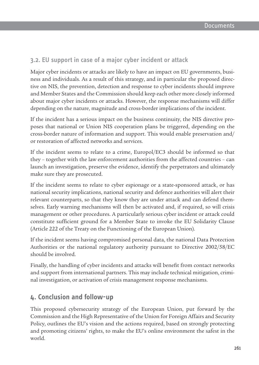# **3.2. EU support in case of a major cyber incident or attack**

Major cyber incidents or attacks are likely to have an impact on EU governments, business and individuals. As a result of this strategy, and in particular the proposed directive on NIS, the prevention, detection and response to cyber incidents should improve and Member States and the Commission should keep each other more closely informed about major cyber incidents or attacks. However, the response mechanisms will differ depending on the nature, magnitude and cross-border implications of the incident.

If the incident has a serious impact on the business continuity, the NIS directive proposes that national or Union NIS cooperation plans be triggered, depending on the cross-border nature of information and support. This would enable preservation and/ or restoration of affected networks and services.

If the incident seems to relate to a crime, Europol/EC3 should be informed so that they – together with the law enforcement authorities from the affected countries – can launch an investigation, preserve the evidence, identify the perpetrators and ultimately make sure they are prosecuted.

If the incident seems to relate to cyber espionage or a state-sponsored attack, or has national security implications, national security and defence authorities will alert their relevant counterparts, so that they know they are under attack and can defend themselves. Early warning mechanisms will then be activated and, if required, so will crisis management or other procedures. A particularly serious cyber incident or attack could constitute sufficient ground for a Member State to invoke the EU Solidarity Clause (Article 222 of the Treaty on the Functioning of the European Union).

If the incident seems having compromised personal data, the national Data Protection Authorities or the national regulatory authority pursuant to Directive 2002/58/EC should be involved.

Finally, the handling of cyber incidents and attacks will benefit from contact networks and support from international partners. This may include technical mitigation, criminal investigation, or activation of crisis management response mechanisms.

# **4. Conclusion and follow-up**

This proposed cybersecurity strategy of the European Union, put forward by the Commission and the High Representative of the Union for Foreign Affairs and Security Policy, outlines the EU's vision and the actions required, based on strongly protecting and promoting citizens' rights, to make the EU's online environment the safest in the world.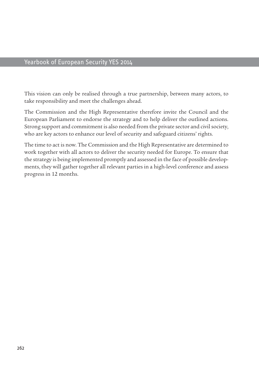# Yearbook of European Security YES 2014

This vision can only be realised through a true partnership, between many actors, to take responsibility and meet the challenges ahead.

The Commission and the High Representative therefore invite the Council and the European Parliament to endorse the strategy and to help deliver the outlined actions. Strong support and commitment is also needed from the private sector and civil society, who are key actors to enhance our level of security and safeguard citizens' rights.

The time to act is now. The Commission and the High Representative are determined to work together with all actors to deliver the security needed for Europe. To ensure that the strategy is being implemented promptly and assessed in the face of possible developments, they will gather together all relevant parties in a high-level conference and assess progress in 12 months.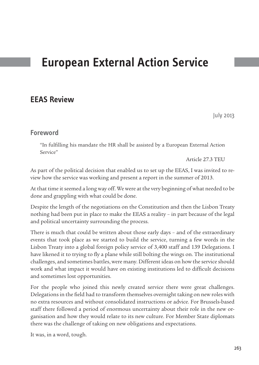# **European External Action Service**

# **EEAS Review**

July 2013

# **Foreword**

"In fulfilling his mandate the HR shall be assisted by a European External Action Service"

Article 27.3 TEU

As part of the political decision that enabled us to set up the EEAS, I was invited to review how the service was working and present a report in the summer of 2013.

At that time it seemed a long way off. We were at the very beginning of what needed to be done and grappling with what could be done.

Despite the length of the negotiations on the Constitution and then the Lisbon Treaty nothing had been put in place to make the EEAS a reality – in part because of the legal and political uncertainty surrounding the process.

There is much that could be written about those early days – and of the extraordinary events that took place as we started to build the service, turning a few words in the Lisbon Treaty into a global foreign policy service of 3,400 staff and 139 Delegations. I have likened it to trying to fly a plane while still bolting the wings on. The institutional challenges, and sometimes battles, were many. Different ideas on how the service should work and what impact it would have on existing institutions led to difficult decisions and sometimes lost opportunities.

For the people who joined this newly created service there were great challenges. Delegations in the field had to transform themselves overnight taking on new roles with no extra resources and without consolidated instructions or advice. For Brussels-based staff there followed a period of enormous uncertainty about their role in the new organisation and how they would relate to its new culture. For Member State diplomats there was the challenge of taking on new obligations and expectations.

It was, in a word, tough.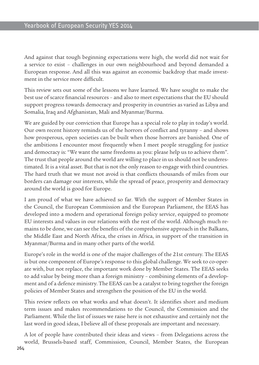And against that tough beginning expectations were high, the world did not wait for a service to exist – challenges in our own neighbourhood and beyond demanded a European response. And all this was against an economic backdrop that made investment in the service more difficult.

This review sets out some of the lessons we have learned. We have sought to make the best use of scarce financial resources – and also to meet expectations that the EU should support progress towards democracy and prosperity in countries as varied as Libya and Somalia, Iraq and Afghanistan, Mali and Myanmar/Burma.

We are guided by our conviction that Europe has a special role to play in today's world. Our own recent history reminds us of the horrors of conflict and tyranny – and shows how prosperous, open societies can be built when those horrors are banished. One of the ambitions I encounter most frequently when I meet people struggling for justice and democracy is: "We want the same freedoms as you: please help us to achieve them". The trust that people around the world are willing to place in us should not be underestimated. It is a vital asset. But that is not the only reason to engage with third countries. The hard truth that we must not avoid is that conflicts thousands of miles from our borders can damage our interests, while the spread of peace, prosperity and democracy around the world is good for Europe.

I am proud of what we have achieved so far. With the support of Member States in the Council, the European Commission and the European Parliament, the EEAS has developed into a modern and operational foreign policy service, equipped to promote EU interests and values in our relations with the rest of the world. Although much remains to be done, we can see the benefits of the comprehensive approach in the Balkans, the Middle East and North Africa, the crises in Africa, in support of the transition in Myanmar/Burma and in many other parts of the world.

Europe's role in the world is one of the major challenges of the 21st century. The EEAS is but one component of Europe's response to this global challenge. We seek to co-operate with, but not replace, the important work done by Member States. The EEAS seeks to add value by being more than a foreign ministry – combining elements of a development and of a defence ministry. The EEAS can be a catalyst to bring together the foreign policies of Member States and strengthen the position of the EU in the world.

This review reflects on what works and what doesn't. It identifies short and medium term issues and makes recommendations to the Council, the Commission and the Parliament. While the list of issues we raise here is not exhaustive and certainly not the last word in good ideas, I believe all of these proposals are important and necessary.

264 A lot of people have contributed their ideas and views – from Delegations across the world, Brussels-based staff, Commission, Council, Member States, the European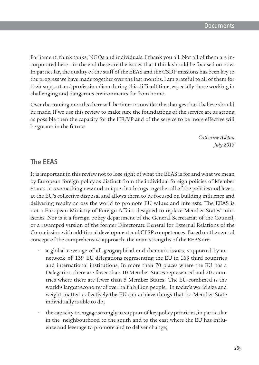Parliament, think tanks, NGOs and individuals. I thank you all. Not all of them are incorporated here – in the end these are the issues that I think should be focused on now. In particular, the quality of the staff of the EEAS and the CSDP missions has been key to the progress we have made together over the last months. I am grateful to all of them for their support and professionalism during this difficult time, especially those working in challenging and dangerous environments far from home.

Over the coming months there will be time to consider the changes that I believe should be made. If we use this review to make sure the foundations of the service are as strong as possible then the capacity for the HR/VP and of the service to be more effective will be greater in the future.

> *Catherine Ashton July 2013*

# **The EEAS**

It is important in this review not to lose sight of what the EEAS is for and what we mean by European foreign policy as distinct from the individual foreign policies of Member States. It is something new and unique that brings together all of the policies and levers at the EU's collective disposal and allows them to be focused on building influence and delivering results across the world to promote EU values and interests. The EEAS is not a European Ministry of Foreign Affairs designed to replace Member States' ministries. Nor is it a foreign policy department of the General Secretariat of the Council, or a revamped version of the former Directorate General for External Relations of the Commission with additional development and CFSP competences. Based on the central concept of the comprehensive approach, the main strengths of the EEAS are:

- a global coverage of all geographical and thematic issues, supported by an network of 139 EU delegations representing the EU in 163 third countries and international institutions. In more than 70 places where the EU has a Delegation there are fewer than 10 Member States represented and 50 countries where there are fewer than 5 Member States. The EU combined is the world's largest economy of over half a billion people. In today's world size and weight matter: collectively the EU can achieve things that no Member State individually is able to do;
- the capacity to engage strongly in support of key policy priorities, in particular in the neighbourhood to the south and to the east where the EU has influence and leverage to promote and to deliver change;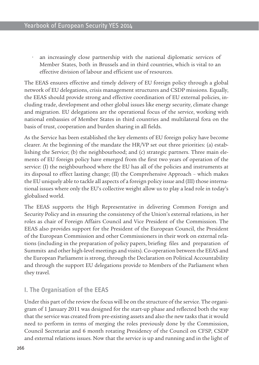an increasingly close partnership with the national diplomatic services of Member States, both in Brussels and in third countries, which is vital to an effective division of labour and efficient use of resources.

The EEAS ensures effective and timely delivery of EU foreign policy through a global network of EU delegations, crisis management structures and CSDP missions. Equally, the EEAS should provide strong and effective coordination of EU external policies, including trade, development and other global issues like energy security, climate change and migration. EU delegations are the operational focus of the service, working with national embassies of Member States in third countries and multilateral fora on the basis of trust, cooperation and burden sharing in all fields.

As the Service has been established the key elements of EU foreign policy have become clearer. At the beginning of the mandate the HR/VP set out three priorities: (a) establishing the Service; (b) the neighbourhood; and (c) strategic partners. Three main elements of EU foreign policy have emerged from the first two years of operation of the service: (I) the neighbourhood where the EU has all of the policies and instruments at its disposal to effect lasting change; (II) the Comprehensive Approach – which makes the EU uniquely able to tackle all aspects of a foreign policy issue and (III) those international issues where only the EU's collective weight allow us to play a lead role in today's globalised world.

The EEAS supports the High Representative in delivering Common Foreign and Security Policy and in ensuring the consistency of the Union's external relations, in her roles as chair of Foreign Affairs Council and Vice President of the Commission. The EEAS also provides support for the President of the European Council, the President of the European Commission and other Commissioners in their work on external relations (including in the preparation of policy papers, briefing files and preparation of Summits and other high-level meetings and visits). Co-operation between the EEAS and the European Parliament is strong, through the Declaration on Political Accountability and through the support EU delegations provide to Members of the Parliament when they travel.

# **I. The Organisation of the EEAS**

Under this part of the review the focus will be on the structure of the service. The organigram of 1 January 2011 was designed for the start-up phase and reflected both the way that the service was created from pre-existing assets and also the new tasks that it would need to perform in terms of merging the roles previously done by the Commission, Council Secretariat and 6 month rotating Presidency of the Council on CFSP, CSDP and external relations issues. Now that the service is up and running and in the light of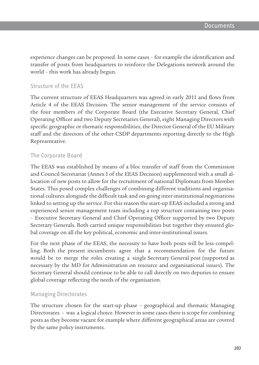experience changes can be proposed. In some cases – for example the identification and transfer of posts from headquarters to reinforce the Delegations network around the world – this work has already begun.

### Structure of the EEAS

The current structure of EEAS Headquarters was agreed in early 2011 and flows from Article 4 of the EEAS Decision. The senior management of the service consists of the four members of the Corporate Board (the Executive Secretary General, Chief Operating Officer and two Deputy Secretaries General), eight Managing Directors with specific geographic or thematic responsibilities, the Director General of the EU Military staff and the directors of the other CSDP departments reporting directly to the High Representative.

### The Corporate Board

The EEAS was established by means of a bloc transfer of staff from the Commission and Council Secretariat (Annex I of the EEAS Decision) supplemented with a small allocation of new posts to allow for the recruitment of national Diplomats from Member States. This posed complex challenges of combining different traditions and organisational cultures alongside the difficult task and on-going inter-institutional negotiations linked to setting up the service. For this reason the start-up EEAS included a strong and experienced senior management team including a top structure containing two posts – Executive Secretary General and Chief Operating Officer supported by two Deputy Secretary Generals. Both carried unique responsibilities but together they ensured global coverage on all the key political, economic and inter-institutional issues.

For the next phase of the EEAS, the necessity to have both posts will be less compelling. Both the present incumbents agree that a recommendation for the future would be to merge the roles creating a single Secretary General post (supported as necessary by the MD for Administration on resource and organisational issues). The Secretary General should continue to be able to call directly on two deputies to ensure global coverage reflecting the needs of the organisation.

#### Managing Directorates

The structure chosen for the start-up phase – geographical and thematic Managing Directorates – was a logical choice. However in some cases there is scope for combining posts as they become vacant for example where different geographical areas are covered by the same policy instruments.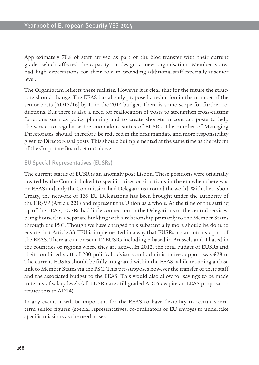Approximately 70% of staff arrived as part of the bloc transfer with their current grades which affected the capacity to design a new organisation. Member states had high expectations for their role in providing additional staff especially at senior level.

The Organigram reflects these realities. However it is clear that for the future the structure should change. The EEAS has already proposed a reduction in the number of the senior posts [AD15/16] by 11 in the 2014 budget. There is some scope for further reductions. But there is also a need for reallocation of posts to strengthen cross-cutting functions such as policy planning and to create short-term contract posts to help the service to regularise the anomalous status of EUSRs. The number of Managing Directorates should therefore be reduced in the next mandate and more responsibility given to Director-level posts This should be implemented at the same time as the reform of the Corporate Board set out above.

# EU Special Representatives (EUSRs)

The current status of EUSR is an anomaly post Lisbon. These positions were originally created by the Council linked to specific crises or situations in the era when there was no EEAS and only the Commission had Delegations around the world. With the Lisbon Treaty, the network of 139 EU Delegations has been brought under the authority of the HR/VP (Article 221) and represent the Union as a whole. At the time of the setting up of the EEAS, EUSRs had little connection to the Delegations or the central services, being housed in a separate building with a relationship primarily to the Member States through the PSC. Though we have changed this substantially more should be done to ensure that Article 33 TEU is implemented in a way that EUSRs are an intrinsic part of the EEAS. There are at present 12 EUSRs including 8 based in Brussels and 4 based in the countries or regions where they are active. In 2012, the total budget of EUSRs and their combined staff of 200 political advisors and administrative support was €28m. The current EUSRs should be fully integrated within the EEAS, while retaining a close link to Member States via the PSC. This pre-supposes however the transfer of their staff and the associated budget to the EEAS. This would also allow for savings to be made in terms of salary levels (all EUSRS are still graded AD16 despite an EEAS proposal to reduce this to AD14).

In any event, it will be important for the EEAS to have flexibility to recruit shortterm senior figures (special representatives, co-ordinators or EU envoys) to undertake specific missions as the need arises.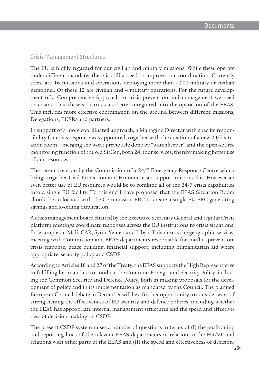### Crisis Management Structures

The EU is highly regarded for our civilian and military missions. While these operate under different mandates there is still a need to improve our coordination. Currently there are 16 missions and operations deploying more than 7,000 military or civilian personnel. Of these 12 are civilian and 4 military operations. For the future development of a Comprehensive Approach to crisis prevention and management we need to ensure that these structures are better integrated into the operation of the EEAS. This includes more effective coordination on the ground between different missions, Delegations, EUSRs and partners.

In support of a more coordinated approach, a Managing Director with specific responsibility for crisis response was appointed, together with the creation of a new 24/7 situation room – merging the work previously done by "watchkeeper" and the open-source monitoring function of the old SitCen, both 24 hour services, thereby making better use of our resources.

The recent creation by the Commission of a 24/7 Emergency Response Centre which brings together Civil Protection and Humanitarian support mirrors this. However an even better use of EU resources would be to combine all of the 24/7 crisis capabilities into a single EU facility. To this end I have proposed that the EEAS Situation Room should be co-located with the Commission ERC to create a single EU ERC generating savings and avoiding duplication.

A crisis management board chaired by the Executive Secretary General and regular Crisis platform meetings coordinate responses across the EU institutions to crisis situations, for example on Mali, CAR, Syria, Yemen and Libya. This means the geographic services meeting with Commission and EEAS departments responsible for conflict prevention, crisis response, peace building, financial support, including humanitarian aid where appropriate, security policy and CSDP.

According to Articles 18 and 27 of the Treaty, the EEAS supports the High Representative in fulfilling her mandate to conduct the Common Foreign and Security Policy, including the Common Security and Defence Policy, both in making proposals for the development of policy and in its implementation as mandated by the Council. The planned European Council debate in December will be a further opportunity to consider ways of strengthening the effectiveness of EU security and defence policies, including whether the EEAS has appropriate internal management structures and the speed and effectiveness of decision-making on CSDP.

The present CSDP system raises a number of questions in terms of (I) the positioning and reporting lines of the relevant EEAS departments in relation to the HR/VP and relations with other parts of the EEAS and (II) the speed and effectiveness of decision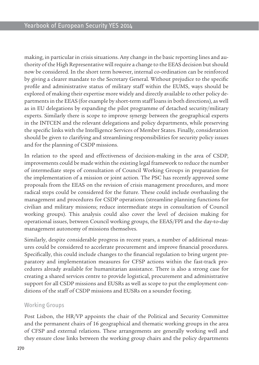making, in particular in crisis situations. Any change in the basic reporting lines and authority of the High Representative will require a change to the EEAS decision but should now be considered. In the short term however, internal co-ordination can be reinforced by giving a clearer mandate to the Secretary General. Without prejudice to the specific profile and administrative status of military staff within the EUMS, ways should be explored of making their expertise more widely and directly available to other policy departments in the EEAS (for example by short-term staff loans in both directions), as well as in EU delegations by expanding the pilot programme of detached security/military experts. Similarly there is scope to improve synergy between the geographical experts in the INTCEN and the relevant delegations and policy departments, while preserving the specific links with the Intelligence Services of Member States. Finally, consideration should be given to clarifying and streamlining responsibilities for security policy issues and for the planning of CSDP missions.

In relation to the speed and effectiveness of decision-making in the area of CSDP, improvements could be made within the existing legal framework to reduce the number of intermediate steps of consultation of Council Working Groups in preparation for the implementation of a mission or joint action. The PSC has recently approved some proposals from the EEAS on the revision of crisis management procedures, and more radical steps could be considered for the future. These could include overhauling the management and procedures for CSDP operations (streamline planning functions for civilian and military missions; reduce intermediate steps in consultation of Council working groups). This analysis could also cover the level of decision making for operational issues, between Council working groups, the EEAS/FPI and the day-to-day management autonomy of missions themselves.

Similarly, despite considerable progress in recent years, a number of additional measures could be considered to accelerate procurement and improve financial procedures. Specifically, this could include changes to the financial regulation to bring urgent preparatory and implementation measures for CFSP actions within the fast-track procedures already available for humanitarian assistance. There is also a strong case for creating a shared services centre to provide logistical, procurement and administrative support for all CSDP missions and EUSRs as well as scope to put the employment conditions of the staff of CSDP missions and EUSRs on a sounder footing.

### Working Groups

Post Lisbon, the HR/VP appoints the chair of the Political and Security Committee and the permanent chairs of 16 geographical and thematic working groups in the area of CFSP and external relations. These arrangements are generally working well and they ensure close links between the working group chairs and the policy departments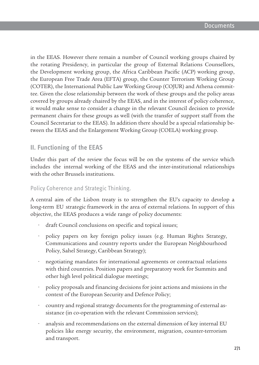in the EEAS. However there remain a number of Council working groups chaired by the rotating Presidency, in particular the group of External Relations Counsellors, the Development working group, the Africa Caribbean Pacific (ACP) working group, the European Free Trade Area (EFTA) group, the Counter Terrorism Working Group (COTER), the International Public Law Working Group (COJUR) and Athena committee. Given the close relationship between the work of these groups and the policy areas covered by groups already chaired by the EEAS, and in the interest of policy coherence, it would make sense to consider a change in the relevant Council decision to provide permanent chairs for these groups as well (with the transfer of support staff from the Council Secretariat to the EEAS). In addition there should be a special relationship between the EEAS and the Enlargement Working Group (COELA) working group.

# **II. Functioning of the EEAS**

Under this part of the review the focus will be on the systems of the service which includes the internal working of the EEAS and the inter-institutional relationships with the other Brussels institutions.

# Policy Coherence and Strategic Thinking.

A central aim of the Lisbon treaty is to strengthen the EU's capacity to develop a long-term EU strategic framework in the area of external relations. In support of this objective, the EEAS produces a wide range of policy documents:

- draft Council conclusions on specific and topical issues;
- policy papers on key foreign policy issues (e.g. Human Rights Strategy, Communications and country reports under the European Neighbourhood Policy, Sahel Strategy, Caribbean Strategy);
- negotiating mandates for international agreements or contractual relations with third countries. Position papers and preparatory work for Summits and other high level political dialogue meetings;
- policy proposals and financing decisions for joint actions and missions in the context of the European Security and Defence Policy;
- country and regional strategy documents for the programming of external assistance (in co-operation with the relevant Commission services);
- analysis and recommendations on the external dimension of key internal EU policies like energy security, the environment, migration, counter-terrorism and transport.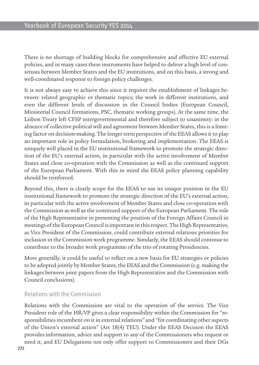There is no shortage of building blocks for comprehensive and effective EU external policies, and in many cases these instruments have helped to deliver a high level of consensus between Member States and the EU institutions, and on this basis, a strong and well-coordinated response to foreign policy challenges.

It is not always easy to achieve this since it requires the establishment of linkages between: related geographic or thematic topics; the work in different institutions, and even the different levels of discussion in the Council bodies (European Council, Ministerial Council formations, PSC, thematic working groups). At the same time, the Lisbon Treaty left CFSP intergovernmental and therefore subject to unanimity: in the absence of collective political will and agreement between Member States, this is a limiting factor on decision-making. The longer term perspective of the EEAS allows it to play an important role in policy formulation, brokering and implementation. The EEAS is uniquely well placed in the EU institutional framework to promote the strategic direction of the EU's external action, in particular with the active involvement of Member States and close co-operation with the Commission as well as the continued support of the European Parliament. With this in mind the EEAS policy planning capability should be reinforced.

Beyond this, there is clearly scope for the EEAS to use its unique position in the EU institutional framework to promote the strategic direction of the EU's external action, in particular with the active involvement of Member States and close co-operation with the Commission as well as the continued support of the European Parliament. The role of the High Representative in presenting the position of the Foreign Affairs Council in meetings of the European Council is important in this respect. The High Representative, as Vice President of the Commission, could contribute external relations priorities for inclusion in the Commission work programme. Similarly, the EEAS should continue to contribute to the broader work programme of the trio of rotating Presidencies.

More generally, it could be useful to reflect on a new basis for EU strategies or policies to be adopted jointly by Member States, the EEAS and the Commission (e.g. making the linkages between joint papers from the High Representative and the Commission with Council conclusions).

# Relations with the Commission

Relations with the Commission are vital to the operation of the service. The Vice President role of the HR/VP gives a clear responsibility within the Commission for "responsibilities incumbent on it in external relations" and "for coordinating other aspects of the Union's external action" (Art 18(4) TEU). Under the EEAS Decision the EEAS provides information, advice and support to any of the Commissioners who request or need it, and EU Delegations not only offer support to Commissioners and their DGs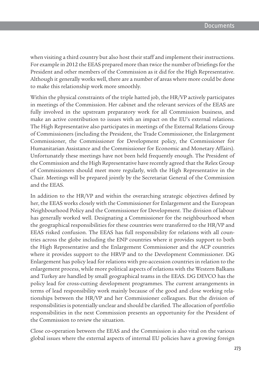when visiting a third country but also host their staff and implement their instructions. For example in 2012 the EEAS prepared more than twice the number of briefings for the President and other members of the Commission as it did for the High Representative. Although it generally works well, there are a number of areas where more could be done to make this relationship work more smoothly.

Within the physical constraints of the triple hatted job, the HR/VP actively participates in meetings of the Commission. Her cabinet and the relevant services of the EEAS are fully involved in the upstream preparatory work for all Commission business, and make an active contribution to issues with an impact on the EU's external relations. The High Representative also participates in meetings of the External Relations Group of Commissioners (including the President, the Trade Commissioner, the Enlargement Commissioner, the Commissioner for Development policy, the Commissioner for Humanitarian Assistance and the Commissioner for Economic and Monetary Affairs). Unfortunately these meetings have not been held frequently enough. The President of the Commission and the High Representative have recently agreed that the Relex Group of Commissioners should meet more regularly, with the High Representative in the Chair. Meetings will be prepared jointly by the Secretariat General of the Commission and the EEAS.

In addition to the HR/VP and within the overarching strategic objectives defined by her, the EEAS works closely with the Commissioner for Enlargement and the European Neighbourhood Policy and the Commissioner for Development. The division of labour has generally worked well. Designating a Commissioner for the neighbourhood when the geographical responsibilities for these countries were transferred to the HR/VP and EEAS risked confusion. The EEAS has full responsibility for relations with all countries across the globe including the ENP countries where it provides support to both the High Representative and the Enlargement Commissioner and the ACP countries where it provides support to the HRVP and to the Development Commissioner. DG Enlargement has policy lead for relations with pre-accession countries in relation to the enlargement process, while more political aspects of relations with the Western Balkans and Turkey are handled by small geographical teams in the EEAS. DG DEVCO has the policy lead for cross-cutting development programmes. The current arrangements in terms of lead responsibility work mainly because of the good and close working relationships between the HR/VP and her Commissioner colleagues. But the division of responsibilities is potentially unclear and should be clarified. The allocation of portfolio responsibilities in the next Commission presents an opportunity for the President of the Commission to review the situation.

Close co-operation between the EEAS and the Commission is also vital on the various global issues where the external aspects of internal EU policies have a growing foreign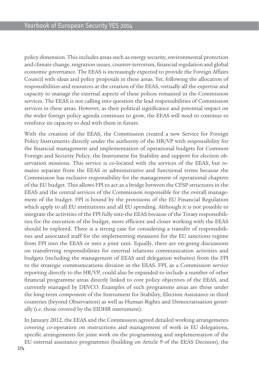policy dimension. This includes areas such as energy security, environmental protection and climate change, migration issues, counter-terrorism, financial regulation and global economic governance. The EEAS is increasingly expected to provide the Foreign Affairs Council with ideas and policy proposals in these areas. Yet, following the allocation of responsibilities and resources at the creation of the EEAS, virtually all the expertise and capacity to manage the external aspects of these polices remained in the Commission services. The EEAS is not calling into question the lead responsibilities of Commission services in these areas. However, as their political significance and potential impact on the wider foreign policy agenda continues to grow, the EEAS will need to continue to reinforce its capacity to deal with them in future.

With the creation of the EEAS, the Commission created a new Service for Foreign Policy Instruments directly under the authority of the HR/VP with responsibility for the financial management and implementation of operational budgets for Common Foreign and Security Policy, the Instrument for Stability and support for election observation missions. This service is co-located with the services of the EEAS, but remains separate from the EEAS in administrative and functional terms because the Commission has exclusive responsibility for the management of operational chapters of the EU budget. This allows FPI to act as a bridge between the CFSP structures in the EEAS and the central services of the Commission responsible for the overall management of the budget. FPI is bound by the provisions of the EU Financial Regulation which apply to all EU institutions and all EU spending. Although it is not possible to integrate the activities of the FPI fully into the EEAS because of the Treaty responsibilities for the execution of the budget, more efficient and closer working with the EEAS should be explored. There is a strong case for considering a transfer of responsibilities and associated staff for the implementing measures for the EU sanctions regime from FPI into the EEAS or into a joint unit. Equally, there are on-going discussions on transferring responsibilities for external relations communication activities and budgets (including the management of EEAS and delegation websites) from the FPI to the strategic communications division in the EEAS. FPI, as a Commission service reporting directly to the HR/VP, could also be expanded to include a number of other financial programme areas directly linked to core policy objectives of the EEAS, and currently managed by DEVCO. Examples of such programme areas are those under the long-term component of the Instrument for Stability, Election Assistance in third countries (beyond Observation) as well as Human Rights and Democratisation generally (i.e. those covered by the EIDHR instrument).

In January 2012, the EEAS and the Commission agreed detailed working arrangements covering co-operation on instructions and management of work in EU delegations, specific arrangements for joint work on the programming and implementation of the EU external assistance programmes (building on Article 9 of the EEAS Decision), the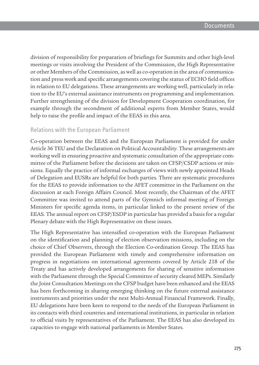division of responsibility for preparation of briefings for Summits and other high-level meetings or visits involving the President of the Commission, the High Representative or other Members of the Commission, as well as co-operation in the area of communication and press work and specific arrangements covering the status of ECHO field offices in relation to EU delegations. These arrangements are working well, particularly in relation to the EU's external assistance instruments on programming and implementation. Further strengthening of the division for Development Cooperation coordination, for example through the secondment of additional experts from Member States, would help to raise the profile and impact of the EEAS in this area.

#### Relations with the European Parliament

Co-operation between the EEAS and the European Parliament is provided for under Article 36 TEU and the Declaration on Political Accountability. These arrangements are working well in ensuring proactive and systematic consultation of the appropriate committee of the Parliament before the decisions are taken on CFSP/CSDP actions or missions. Equally the practice of informal exchanges of views with newly appointed Heads of Delegation and EUSRs are helpful for both parties. There are systematic procedures for the EEAS to provide information to the AFET committee in the Parliament on the discussion at each Foreign Affairs Council. Most recently, the Chairman of the AFET Committee was invited to attend parts of the Gymnich informal meeting of Foreign Ministers for specific agenda items, in particular linked to the present review of the EEAS. The annual report on CFSP/ESDP in particular has provided a basis for a regular Plenary debate with the High Representative on these issues.

The High Representative has intensified co-operation with the European Parliament on the identification and planning of election observation missions, including on the choice of Chief Observers, through the Election Co-ordination Group. The EEAS has provided the European Parliament with timely and comprehensive information on progress in negotiations on international agreements covered by Article 218 of the Treaty and has actively developed arrangements for sharing of sensitive information with the Parliament through the Special Committee of security cleared MEPs. Similarly the Joint Consultation Meetings on the CFSP budget have been enhanced and the EEAS has been forthcoming in sharing emerging thinking on the future external assistance instruments and priorities under the next Multi-Annual Financial Framework. Finally, EU delegations have been keen to respond to the needs of the European Parliament in its contacts with third countries and international institutions, in particular in relation to official visits by representatives of the Parliament. The EEAS has also developed its capacities to engage with national parliaments in Member States.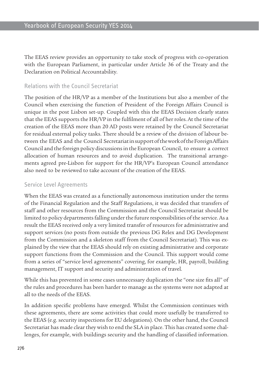The EEAS review provides an opportunity to take stock of progress with co-operation with the European Parliament, in particular under Article 36 of the Treaty and the Declaration on Political Accountability.

# Relations with the Council Secretariat

The position of the HR/VP as a member of the Institutions but also a member of the Council when exercising the function of President of the Foreign Affairs Council is unique in the post Lisbon set-up. Coupled with this the EEAS Decision clearly states that the EEAS supports the HR/VP in the fulfilment of all of her roles. At the time of the creation of the EEAS more than 20 AD posts were retained by the Council Secretariat for residual external policy tasks. There should be a review of the division of labour between the EEAS and the Council Secretariat in support of the work of the Foreign Affairs Council and the foreign policy discussions in the European Council, to ensure a correct allocation of human resources and to avoid duplication. The transitional arrangements agreed pre-Lisbon for support for the HR/VP's European Council attendance also need to be reviewed to take account of the creation of the EEAS.

### Service Level Agreements

When the EEAS was created as a functionally autonomous institution under the terms of the Financial Regulation and the Staff Regulations, it was decided that transfers of staff and other resources from the Commission and the Council Secretariat should be limited to policy departments falling under the future responsibilities of the service. As a result the EEAS received only a very limited transfer of resources for administrative and support services (no posts from outside the previous DG Relex and DG Development from the Commission and a skeleton staff from the Council Secretariat). This was explained by the view that the EEAS should rely on existing administrative and corporate support functions from the Commission and the Council. This support would come from a series of "service level agreements" covering, for example, HR, payroll, building management, IT support and security and administration of travel.

While this has prevented in some cases unnecessary duplication the "one size fits all" of the rules and procedures has been harder to manage as the systems were not adapted at all to the needs of the EEAS.

In addition specific problems have emerged. Whilst the Commission continues with these agreements, there are some activities that could more usefully be transferred to the EEAS (e.g. security inspections for EU delegations). On the other hand, the Council Secretariat has made clear they wish to end the SLA in place. This has created some challenges, for example, with buildings security and the handling of classified information.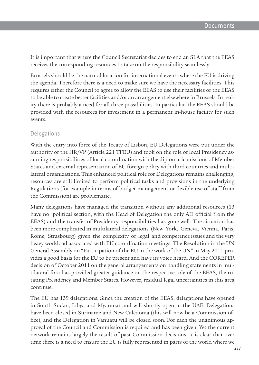It is important that where the Council Secretariat decides to end an SLA that the EEAS receives the corresponding resources to take on the responsibility seamlessly.

Brussels should be the natural location for international events where the EU is driving the agenda. Therefore there is a need to make sure we have the necessary facilities. This requires either the Council to agree to allow the EEAS to use their facilities or the EEAS to be able to create better facilities and/or an arrangement elsewhere in Brussels. In reality there is probably a need for all three possibilities. In particular, the EEAS should be provided with the resources for investment in a permanent in-house facility for such events.

### Delegations

With the entry into force of the Treaty of Lisbon, EU Delegations were put under the authority of the HR/VP (Article 221 TFEU) and took on the role of local Presidency assuming responsibilities of local co-ordination with the diplomatic missions of Member States and external representation of EU foreign policy with third countries and multilateral organizations. This enhanced political role for Delegations remains challenging, resources are still limited to perform political tasks and provisions in the underlying Regulations (for example in terms of budget management or flexible use of staff from the Commission) are problematic.

Many delegations have managed the transition without any additional resources (13 have no political section, with the Head of Delegation the only AD official from the EEAS) and the transfer of Presidency responsibilities has gone well. The situation has been more complicated in multilateral delegations (New York, Geneva, Vienna, Paris, Rome, Strasbourg) given the complexity of legal and competence issues and the very heavy workload associated with EU co-ordination meetings. The Resolution in the UN General Assembly on "Participation of the EU in the work of the UN" in May 2011 provides a good basis for the EU to be present and have its voice heard. And the COREPER decision of October 2011 on the general arrangements on handling statements in multilateral fora has provided greater guidance on the respective role of the EEAS, the rotating Presidency and Member States. However, residual legal uncertainties in this area continue.

The EU has 139 delegations. Since the creation of the EEAS, delegations have opened in South Sudan, Libya and Myanmar and will shortly open in the UAE. Delegations have been closed in Suriname and New Caledonia (this will now be a Commission office), and the Delegation in Vanuatu will be closed soon. For each the unanimous approval of the Council and Commission is required and has been given. Yet the current network remains largely the result of past Commission decisions. It is clear that over time there is a need to ensure the EU is fully represented in parts of the world where we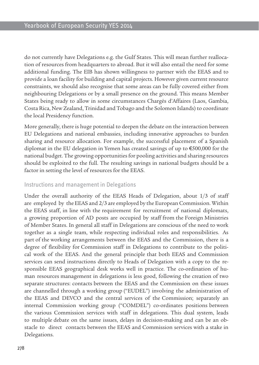do not currently have Delegations e.g. the Gulf States. This will mean further reallocation of resources from headquarters to abroad. But it will also entail the need for some additional funding. The EIB has shown willingness to partner with the EEAS and to provide a loan facility for building and capital projects. However given current resource constraints, we should also recognise that some areas can be fully covered either from neighbouring Delegations or by a small presence on the ground. This means Member States being ready to allow in some circumstances Chargés d'Affaires (Laos, Gambia, Costa Rica, New Zealand, Trinidad and Tobago and the Solomon Islands) to coordinate the local Presidency function.

More generally, there is huge potential to deepen the debate on the interaction between EU Delegations and national embassies, including innovative approaches to burden sharing and resource allocation. For example, the successful placement of a Spanish diplomat in the EU delegation in Yemen has created savings of up to €500,000 for the national budget. The growing opportunities for pooling activities and sharing resources should be exploited to the full. The resulting savings in national budgets should be a factor in setting the level of resources for the EEAS.

### Instructions and management in Delegations

Under the overall authority of the EEAS Heads of Delegation, about 1/3 of staff are employed by the EEAS and 2/3 are employed by the European Commission. Within the EEAS staff, in line with the requirement for recruitment of national diplomats, a growing proportion of AD posts are occupied by staff from the Foreign Ministries of Member States. In general all staff in Delegations are conscious of the need to work together as a single team, while respecting individual roles and responsibilities. As part of the working arrangements between the EEAS and the Commission, there is a degree of flexibility for Commission staff in Delegations to contribute to the political work of the EEAS. And the general principle that both EEAS and Commission services can send instructions directly to Heads of Delegation with a copy to the responsible EEAS geographical desk works well in practice. The co-ordination of human resources management in delegations is less good, following the creation of two separate structures: contacts between the EEAS and the Commission on these issues are channelled through a working group ("EUDEL") involving the administration of the EEAS and DEVCO and the central services of the Commission; separately an internal Commission working group ("COMDEL") co-ordinates positions between the various Commission services with staff in delegations. This dual system, leads to multiple debate on the same issues, delays in decision-making and can be an obstacle to direct contacts between the EEAS and Commission services with a stake in Delegations.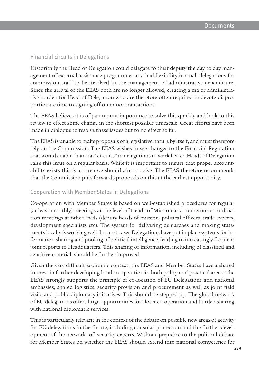# Financial circuits in Delegations

Historically the Head of Delegation could delegate to their deputy the day to day management of external assistance programmes and had flexibility in small delegations for commission staff to be involved in the management of administrative expenditure. Since the arrival of the EEAS both are no longer allowed, creating a major administrative burden for Head of Delegation who are therefore often required to devote disproportionate time to signing off on minor transactions.

The EEAS believes it is of paramount importance to solve this quickly and look to this review to effect some change in the shortest possible timescale. Great efforts have been made in dialogue to resolve these issues but to no effect so far.

The EEAS is unable to make proposals of a legislative nature by itself, and must therefore rely on the Commission. The EEAS wishes to see changes to the Financial Regulation that would enable financial "circuits" in delegations to work better. Heads of Delegation raise this issue on a regular basis. While it is important to ensure that proper accountability exists this is an area we should aim to solve. The EEAS therefore recommends that the Commission puts forwards proposals on this at the earliest opportunity.

# Cooperation with Member States in Delegations

Co-operation with Member States is based on well-established procedures for regular (at least monthly) meetings at the level of Heads of Mission and numerous co-ordination meetings at other levels (deputy heads of mission, political officers, trade experts, development specialists etc). The system for delivering demarches and making statements locally is working well. In most cases Delegations have put in place systems for information sharing and pooling of political intelligence, leading to increasingly frequent joint reports to Headquarters. This sharing of information, including of classified and sensitive material, should be further improved.

Given the very difficult economic context, the EEAS and Member States have a shared interest in further developing local co-operation in both policy and practical areas. The EEAS strongly supports the principle of co-location of EU Delegations and national embassies, shared logistics, security provision and procurement as well as joint field visits and public diplomacy initiatives. This should be stepped up. The global network of EU delegations offers huge opportunities for closer co-operation and burden sharing with national diplomatic services.

This is particularly relevant in the context of the debate on possible new areas of activity for EU delegations in the future, including consular protection and the further development of the network of security experts. Without prejudice to the political debate for Member States on whether the EEAS should extend into national competence for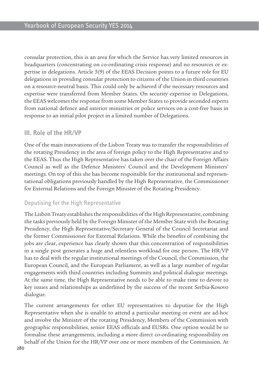consular protection, this is an area for which the Service has very limited resources in headquarters (concentrating on co-ordinating crisis response) and no resources or expertise in delegations. Article 5(9) of the EEAS Decision points to a future role for EU delegations in providing consular protection to citizens of the Union in third countries on a resource-neutral basis. This could only be achieved if the necessary resources and expertise were transferred from Member States. On security expertise in Delegations, the EEAS welcomes the response from some Member States to provide seconded experts from national defence and interior ministries or police services on a cost-free basis in response to an initial pilot project in a limited number of Delegations.

# **III. Role of the HR/VP**

One of the main innovations of the Lisbon Treaty was to transfer the responsibilities of the rotating Presidency in the area of foreign policy to the High Representative and to the EEAS. Thus the High Representative has taken over the chair of the Foreign Affairs Council as well as the Defence Ministers' Council and the Development Ministers' meetings. On top of this she has become responsible for the institutional and representational obligations previously handled by the High Representative, the Commissioner for External Relations and the Foreign Minister of the Rotating Presidency.

# Deputising for the High Representative

The Lisbon Treaty establishes the responsibilities of the High Representative, combining the tasks previously held by the Foreign Minister of the Member State with the Rotating Presidency, the High Representative/Secretary General of the Council Secretariat and the former Commissioner for External Relations. While the benefits of combining the jobs are clear, experience has clearly shown that this concentration of responsibilities in a single post generates a huge and relentless workload for one person. The HR/VP has to deal with the regular institutional meetings of the Council, the Commission, the European Council, and the European Parliament, as well as a large number of regular engagements with third countries including Summits and political dialogue meetings. At the same time, the High Representative needs to be able to make time to devote to key issues and relationships as underlined by the success of the recent Serbia-Kosovo dialogue.

The current arrangements for other EU representatives to deputise for the High Representative when she is unable to attend a particular meeting or event are ad-hoc and involve the Minister of the rotating Presidency, Members of the Commission with geographic responsibilities, senior EEAS officials and EUSRs. One option would be to formalise these arrangements, including a more direct co-ordinating responsibility on behalf of the Union for the HR/VP over one or more members of the Commission. At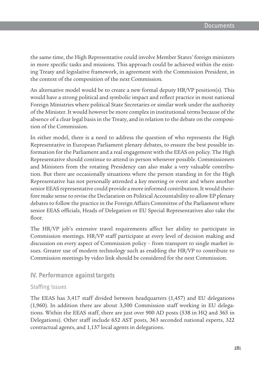the same time, the High Representative could involve Member States' foreign ministers in more specific tasks and missions. This approach could be achieved within the existing Treaty and legislative framework, in agreement with the Commission President, in the context of the composition of the next Commission.

An alternative model would be to create a new formal deputy HR/VP position(s). This would have a strong political and symbolic impact and reflect practice in most national Foreign Ministries where political State Secretaries or similar work under the authority of the Minister. It would however be more complex in institutional terms because of the absence of a clear legal basis in the Treaty, and in relation to the debate on the composition of the Commission.

In either model, there is a need to address the question of who represents the High Representative in European Parliament plenary debates, to ensure the best possible information for the Parliament and a real engagement with the EEAS on policy. The High Representative should continue to attend in person whenever possible. Commissioners and Ministers from the rotating Presidency can also make a very valuable contribution. But there are occasionally situations where the person standing in for the High Representative has not personally attended a key meeting or event and where another senior EEAS representative could provide a more informed contribution. It would therefore make sense to revise the Declaration on Political Accountability to allow EP plenary debates to follow the practice in the Foreign Affairs Committee of the Parliament where senior EEAS officials, Heads of Delegation or EU Special Representatives also take the floor.

The HR/VP job's extensive travel requirements affect her ability to participate in Commission meetings. HR/VP staff participate at every level of decision making and discussion on every aspect of Commission policy – from transport to single market issues. Greater use of modern technology such as enabling the HR/VP to contribute to Commission meetings by video link should be considered for the next Commission.

### **IV. Performance against targets**

#### Staffing Issues

The EEAS has 3,417 staff divided between headquarters (1,457) and EU delegations (1,960). In addition there are about 3,500 Commission staff working in EU delegations. Within the EEAS staff, there are just over 900 AD posts (538 in HQ and 365 in Delegations). Other staff include 652 AST posts, 363 seconded national experts, 322 contractual agents, and 1,137 local agents in delegations.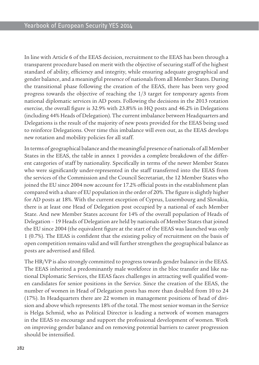In line with Article 6 of the EEAS decision, recruitment to the EEAS has been through a transparent procedure based on merit with the objective of securing staff of the highest standard of ability, efficiency and integrity, while ensuring adequate geographical and gender balance, and a meaningful presence of nationals from all Member States. During the transitional phase following the creation of the EEAS, there has been very good progress towards the objective of reaching the 1/3 target for temporary agents from national diplomatic services in AD posts. Following the decisions in the 2013 rotation exercise, the overall figure is 32.9% with 23.8%% in HQ posts and 46.2% in Delegations (including 44% Heads of Delegation). The current imbalance between Headquarters and Delegations is the result of the majority of new posts provided for the EEAS being used to reinforce Delegations. Over time this imbalance will even out, as the EEAS develops new rotation and mobility policies for all staff.

In terms of geographical balance and the meaningful presence of nationals of all Member States in the EEAS, the table in annex 1 provides a complete breakdown of the different categories of staff by nationality. Specifically in terms of the newer Member States who were significantly under-represented in the staff transferred into the EEAS from the services of the Commission and the Council Secretariat, the 12 Member States who joined the EU since 2004 now account for 17.2% official posts in the establishment plan compared with a share of EU population in the order of 20%. The figure is slightly higher for AD posts at 18%. With the current exception of Cyprus, Luxembourg and Slovakia, there is at least one Head of Delegation post occupied by a national of each Member State. And new Member States account for 14% of the overall population of Heads of Delegation – 19 Heads of Delegation are held by nationals of Member States that joined the EU since 2004 (the equivalent figure at the start of the EEAS was launched was only 1 (0.7%). The EEAS is confident that the existing policy of recruitment on the basis of open competition remains valid and will further strengthen the geographical balance as posts are advertised and filled.

The HR/VP is also strongly committed to progress towards gender balance in the EEAS. The EEAS inherited a predominantly male workforce in the bloc transfer and like national Diplomatic Services, the EEAS faces challenges in attracting well qualified women candidates for senior positions in the Service. Since the creation of the EEAS, the number of women in Head of Delegation posts has more than doubled from 10 to 24 (17%). In Headquarters there are 22 women in management positions of head of division and above which represents 18% of the total. The most senior woman in the Service is Helga Schmid, who as Political Director is leading a network of women managers in the EEAS to encourage and support the professional development of women. Work on improving gender balance and on removing potential barriers to career progression should be intensified.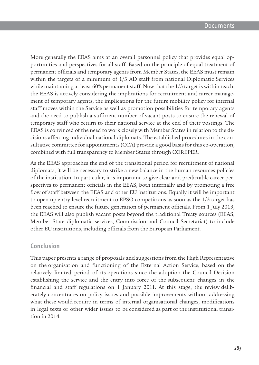More generally the EEAS aims at an overall personnel policy that provides equal opportunities and perspectives for all staff. Based on the principle of equal treatment of permanent officials and temporary agents from Member States, the EEAS must remain within the targets of a minimum of 1/3 AD staff from national Diplomatic Services while maintaining at least 60% permanent staff. Now that the 1/3 target is within reach, the EEAS is actively considering the implications for recruitment and career management of temporary agents, the implications for the future mobility policy for internal staff moves within the Service as well as promotion possibilities for temporary agents and the need to publish a sufficient number of vacant posts to ensure the renewal of temporary staff who return to their national service at the end of their postings. The EEAS is convinced of the need to work closely with Member States in relation to the decisions affecting individual national diplomats. The established procedures in the consultative committee for appointments (CCA) provide a good basis for this co-operation, combined with full transparency to Member States through COREPER.

As the EEAS approaches the end of the transitional period for recruitment of national diplomats, it will be necessary to strike a new balance in the human resources policies of the institution. In particular, it is important to give clear and predictable career perspectives to permanent officials in the EEAS, both internally and by promoting a free flow of staff between the EEAS and other EU institutions. Equally it will be important to open up entry-level recruitment to EPSO competitions as soon as the 1/3 target has been reached to ensure the future generation of permanent officials. From 1 July 2013, the EEAS will also publish vacant posts beyond the traditional Treaty sources (EEAS, Member State diplomatic services, Commission and Council Secretariat) to include other EU institutions, including officials from the European Parliament.

### **Conclusion**

This paper presents a range of proposals and suggestions from the High Representative on the organisation and functioning of the External Action Service, based on the relatively limited period of its operations since the adoption the Council Decision establishing the service and the entry into force of the subsequent changes in the financial and staff regulations on 1 January 2011. At this stage, the review deliberately concentrates on policy issues and possible improvements without addressing what these would require in terms of internal organisational changes, modifications in legal texts or other wider issues to be considered as part of the institutional transition in 2014.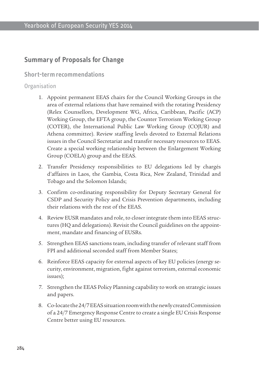### **Summary of Proposals for Change**

### **Short-term recommendations**

### Organisation

- 1. Appoint permanent EEAS chairs for the Council Working Groups in the area of external relations that have remained with the rotating Presidency (Relex Counsellors, Development WG, Africa, Caribbean, Pacific (ACP) Working Group, the EFTA group, the Counter Terrorism Working Group (COTER), the International Public Law Working Group (COJUR) and Athena committee). Review staffing levels devoted to External Relations issues in the Council Secretariat and transfer necessary resources to EEAS. Create a special working relationship between the Enlargement Working Group (COELA) group and the EEAS.
- 2. Transfer Presidency responsibilities to EU delegations led by chargés d'affaires in Laos, the Gambia, Costa Rica, New Zealand, Trinidad and Tobago and the Solomon Islands;
- 3. Confirm co-ordinating responsibility for Deputy Secretary General for CSDP and Security Policy and Crisis Prevention departments, including their relations with the rest of the EEAS.
- 4. Review EUSR mandates and role, to closer integrate them into EEAS structures (HQ and delegations). Revisit the Council guidelines on the appointment, mandate and financing of EUSRs.
- 5. Strengthen EEAS sanctions team, including transfer of relevant staff from FPI and additional seconded staff from Member States;
- 6. Reinforce EEAS capacity for external aspects of key EU policies (energy security, environment, migration, fight against terrorism, external economic issues);
- 7. Strengthen the EEAS Policy Planning capability to work on strategic issues and papers.
- 8. Co-locate the 24/7 EEAS situation room with the newly created Commission of a 24/7 Emergency Response Centre to create a single EU Crisis Response Centre better using EU resources.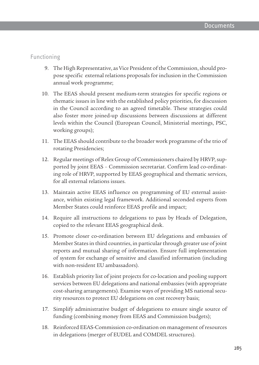### Functioning

- 9. The High Representative, as Vice President of the Commission, should propose specific external relations proposals for inclusion in the Commission annual work programme;
- 10. The EEAS should present medium-term strategies for specific regions or thematic issues in line with the established policy priorities, for discussion in the Council according to an agreed timetable. These strategies could also foster more joined-up discussions between discussions at different levels within the Council (European Council, Ministerial meetings, PSC, working groups);
- 11. The EEAS should contribute to the broader work programme of the trio of rotating Presidencies;
- 12. Regular meetings of Relex Group of Commissioners chaired by HRVP, supported by joint EEAS – Commission secretariat. Confirm lead co-ordinating role of HRVP, supported by EEAS geographical and thematic services, for all external relations issues.
- 13. Maintain active EEAS influence on programming of EU external assistance, within existing legal framework. Additional seconded experts from Member States could reinforce EEAS profile and impact;
- 14. Require all instructions to delegations to pass by Heads of Delegation, copied to the relevant EEAS geographical desk.
- 15. Promote closer co-ordination between EU delegations and embassies of Member States in third countries, in particular through greater use of joint reports and mutual sharing of information. Ensure full implementation of system for exchange of sensitive and classified information (including with non-resident EU ambassadors).
- 16. Establish priority list of joint projects for co-location and pooling support services between EU delegations and national embassies (with appropriate cost-sharing arrangements). Examine ways of providing MS national security resources to protect EU delegations on cost recovery basis;
- 17. Simplify administrative budget of delegations to ensure single source of funding (combining money from EEAS and Commission budgets);
- 18. Reinforced EEAS-Commission co-ordination on management of resources in delegations (merger of EUDEL and COMDEL structures).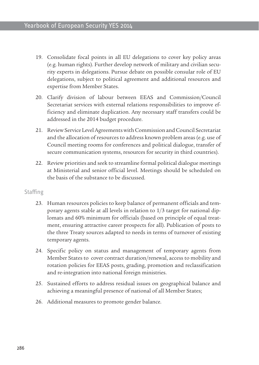- 19. Consolidate focal points in all EU delegations to cover key policy areas (e.g. human rights). Further develop network of military and civilian security experts in delegations. Pursue debate on possible consular role of EU delegations, subject to political agreement and additional resources and expertise from Member States.
- 20. Clarify division of labour between EEAS and Commission/Council Secretariat services with external relations responsibilities to improve efficiency and eliminate duplication. Any necessary staff transfers could be addressed in the 2014 budget procedure.
- 21. Review Service Level Agreements with Commission and Council Secretariat and the allocation of resources to address known problem areas (e.g. use of Council meeting rooms for conferences and political dialogue, transfer of secure communication systems, resources for security in third countries).
- 22. Review priorities and seek to streamline formal political dialogue meetings at Ministerial and senior official level. Meetings should be scheduled on the basis of the substance to be discussed.

### **Staffing**

- 23. Human resources policies to keep balance of permanent officials and temporary agents stable at all levels in relation to 1/3 target for national diplomats and 60% minimum for officials (based on principle of equal treatment, ensuring attractive career prospects for all). Publication of posts to the three Treaty sources adapted to needs in terms of turnover of existing temporary agents.
- 24. Specific policy on status and management of temporary agents from Member States to cover contract duration/renewal, access to mobility and rotation policies for EEAS posts, grading, promotion and reclassification and re-integration into national foreign ministries.
- 25. Sustained efforts to address residual issues on geographical balance and achieving a meaningful presence of national of all Member States;
- 26. Additional measures to promote gender balance.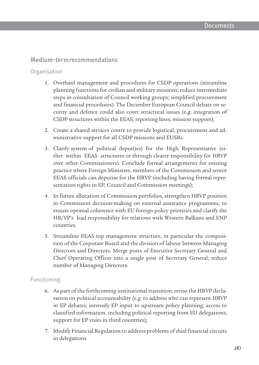### **Medium-term recommendations**

#### Organisation

- 1. Overhaul management and procedures for CSDP operations (streamline planning functions for civilian and military missions; reduce intermediate steps in consultation of Council working groups; simplified procurement and financial procedures). The December European Council debate on security and defence could also cover structural issues (e.g. integration of CSDP structures within the EEAS, reporting lines, mission support);
- 2. Create a shared services centre to provide logistical, procurement and administrative support for all CSDP missions and EUSRs.
- 3. Clarify system of political deput(ies) for the High Representative (either within EEAS structures or through clearer responsibility for HRVP over other Commissioners). Conclude formal arrangements for existing practice where Foreign Ministers, members of the Commission and senior EEAS officials can deputise for the HRVP (including having formal representation rights in EP, Council and Commission meetings);
- 4. In future allocation of Commission portfolios, strengthen HRVP position in Commission decision-making on external assistance programmes, to ensure optimal coherence with EU foreign policy priorities and clarify the HR/VP's lead responsibility for relations with Western Balkans and ENP countries.
- 5. Streamline EEAS top management structure, in particular the composition of the Corporate Board and the division of labour between Managing Directors and Directors. Merge posts of Executive Secretary General and Chief Operating Officer into a single post of Secretary General; reduce number of Managing Directors.

### Functioning

- 6. As part of the forthcoming institutional transition, revise the HRVP declaration on political accountability (e.g. to address who can represent HRVP in EP debates; intensify EP input to upstream policy planning; access to classified information, including political reporting from EU delegations; support for EP visits in third countries);
- 7. Modify Financial Regulation to address problems of dual financial circuits in delegations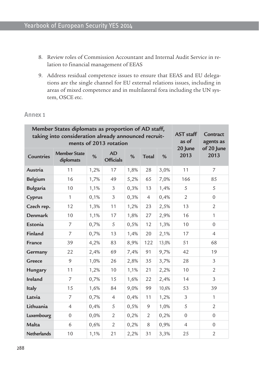- 8. Review roles of Commission Accountant and Internal Audit Service in relation to financial management of EEAS
- 9. Address residual competence issues to ensure that EEAS and EU delegations are the single channel for EU external relations issues, including in areas of mixed competence and in multilateral fora including the UN system, OSCE etc.

### **Annex 1**

|                    | Member States diplomats as proportion of AD staff,<br>taking into consideration already announced recruit-<br>ments of 2013 rotation | AST staff<br>as of<br>20 June | Contract<br>agents as<br>of 20 June |      |                |       |                 |                |
|--------------------|--------------------------------------------------------------------------------------------------------------------------------------|-------------------------------|-------------------------------------|------|----------------|-------|-----------------|----------------|
| <b>Countries</b>   | <b>Member State</b><br>diplomats                                                                                                     | %                             | <b>AD</b><br><b>Officials</b>       | %    | <b>Total</b>   | %     | 2013            | 2013           |
| Austria            | 11                                                                                                                                   | 1,2%                          | 17                                  | 1,8% | 28             | 3,0%  | 11              | 7              |
| <b>Belgium</b>     | 16                                                                                                                                   | 1,7%                          | 49                                  | 5,2% | 65             | 7,0%  | 166             | 85             |
| <b>Bulgaria</b>    | 10                                                                                                                                   | 1,1%                          | 3                                   | 0,3% | 13             | 1,4%  | 5               | 5              |
| Cyprus             | $\mathbf{1}$                                                                                                                         | 0,1%                          | 3                                   | 0,3% | $\overline{4}$ | 0,4%  | $\overline{2}$  | $\Omega$       |
| Czech rep.         | 12                                                                                                                                   | 1,3%                          | 11                                  | 1,2% | 23             | 2,5%  | 13              | 2              |
| <b>Denmark</b>     | 10                                                                                                                                   | 1,1%                          | 17                                  | 1,8% | 27             | 2,9%  | 16              | $\mathbf{1}$   |
| Estonia            | 7                                                                                                                                    | 0,7%                          | 5                                   | 0,5% | 12             | 1,3%  | 10 <sup>°</sup> | $\Omega$       |
| <b>Finland</b>     | 7                                                                                                                                    | 0,7%                          | 13                                  | 1,4% | 20             | 2,1%  | 17              | $\overline{4}$ |
| France             | 39                                                                                                                                   | 4,2%                          | 83                                  | 8,9% | 122            | 13,0% | 51              | 68             |
| Germany            | 22                                                                                                                                   | 2,4%                          | 69                                  | 7,4% | 91             | 9,7%  | 42              | 19             |
| Greece             | 9                                                                                                                                    | 1,0%                          | 26                                  | 2,8% | 35             | 3,7%  | 28              | 3              |
| Hungary            | 11                                                                                                                                   | 1,2%                          | 10                                  | 1,1% | 21             | 2,2%  | 10              | 2              |
| Ireland            | 7                                                                                                                                    | 0,7%                          | 15                                  | 1,6% | 22             | 2,4%  | 14              | 3              |
| Italy              | 15                                                                                                                                   | 1,6%                          | 84                                  | 9,0% | 99             | 10,6% | 53              | 39             |
| Latvia             | 7                                                                                                                                    | 0,7%                          | $\overline{4}$                      | 0,4% | 11             | 1,2%  | 3               | $\mathbf{1}$   |
| Lithuania          | $\overline{4}$                                                                                                                       | 0,4%                          | 5                                   | 0,5% | 9              | 1,0%  | 5               | $\overline{2}$ |
| Luxembourg         | $\overline{0}$                                                                                                                       | 0,0%                          | $\overline{2}$                      | 0,2% | 2              | 0,2%  | $\Omega$        | $\Omega$       |
| Malta              | 6                                                                                                                                    | 0,6%                          | $\overline{2}$                      | 0,2% | 8              | 0,9%  | $\overline{4}$  | $\Omega$       |
| <b>Netherlands</b> | 10                                                                                                                                   | 1,1%                          | 21                                  | 2,2% | 31             | 3,3%  | 25              | $\overline{2}$ |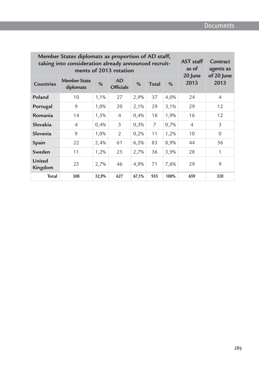|                   | Member States diplomats as proportion of AD staff,<br>taking into consideration already announced recruit-<br>ments of 2013 rotation | <b>AST</b> staff<br>as of | Contract<br>agents as         |       |                |      |                 |                    |
|-------------------|--------------------------------------------------------------------------------------------------------------------------------------|---------------------------|-------------------------------|-------|----------------|------|-----------------|--------------------|
| <b>Countries</b>  | <b>Member State</b><br>diplomats                                                                                                     | %                         | <b>AD</b><br><b>Officials</b> | %     | <b>Total</b>   | %    | 20 June<br>2013 | of 20 June<br>2013 |
| Poland            | 10                                                                                                                                   | 1,1%                      | 27                            | 2,9%  | 37             | 4,0% | 24              | $\overline{4}$     |
| Portugal          | 9                                                                                                                                    | 1,0%                      | 20                            | 2,1%  | 29             | 3,1% | 29              | 12                 |
| Romania           | 14                                                                                                                                   | 1,5%                      | 4                             | 0,4%  | 18             | 1,9% | 16              | 12                 |
| Slovakia          | $\overline{4}$                                                                                                                       | 0,4%                      | 3                             | 0,3%  | $\overline{7}$ | 0,7% | $\overline{4}$  | 3                  |
| <b>Slovenia</b>   | 9                                                                                                                                    | 1,0%                      | 2                             | 0,2%  | 11             | 1,2% | 10              | $\mathbf{0}$       |
| Spain             | 22                                                                                                                                   | 2,4%                      | 61                            | 6,5%  | 83             | 8,9% | 44              | 36                 |
| Sweden            | 11                                                                                                                                   | 1,2%                      | 25                            | 2,7%  | 36             | 3,9% | 28              | 1                  |
| United<br>Kingdom | 25                                                                                                                                   | 2,7%                      | 46                            | 4,9%  | 71             | 7,6% | 29              | 9                  |
| <b>Total</b>      | 308                                                                                                                                  | 32,9%                     | 627                           | 67,1% | 935            | 100% | 659             | 320                |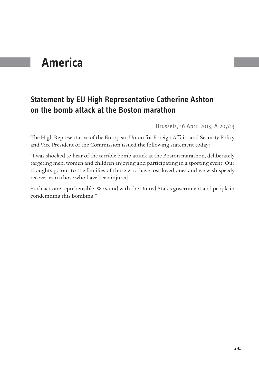# **America**

# **Statement by EU High Representative Catherine Ashton on the bomb attack at the Boston marathon**

Brussels, 16 April 2013, A 207/13

The High Representative of the European Union for Foreign Affairs and Security Policy and Vice President of the Commission issued the following statement today:

"I was shocked to hear of the terrible bomb attack at the Boston marathon, deliberately targeting men, women and children enjoying and participating in a sporting event. Our thoughts go out to the families of those who have lost loved ones and we wish speedy recoveries to those who have been injured.

Such acts are reprehensible. We stand with the United States government and people in condemning this bombing."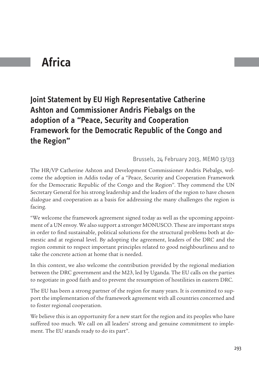# **Africa**

**Joint Statement by EU High Representative Catherine Ashton and Commissioner Andris Piebalgs on the adoption of a "Peace, Security and Cooperation Framework for the Democratic Republic of the Congo and the Region"**

### Brussels, 24 February 2013, MEMO 13/133

The HR/VP Catherine Ashton and Development Commissioner Andris Piebalgs, welcome the adoption in Addis today of a "Peace, Security and Cooperation Framework for the Democratic Republic of the Congo and the Region". They commend the UN Secretary General for his strong leadership and the leaders of the region to have chosen dialogue and cooperation as a basis for addressing the many challenges the region is facing.

"We welcome the framework agreement signed today as well as the upcoming appointment of a UN envoy. We also support a stronger MONUSCO. These are important steps in order to find sustainable, political solutions for the structural problems both at domestic and at regional level. By adopting the agreement, leaders of the DRC and the region commit to respect important principles related to good neighbourliness and to take the concrete action at home that is needed.

In this context, we also welcome the contribution provided by the regional mediation between the DRC government and the M23, led by Uganda. The EU calls on the parties to negotiate in good faith and to prevent the resumption of hostilities in eastern DRC.

The EU has been a strong partner of the region for many years. It is committed to support the implementation of the framework agreement with all countries concerned and to foster regional cooperation.

We believe this is an opportunity for a new start for the region and its peoples who have suffered too much. We call on all leaders' strong and genuine commitment to implement. The EU stands ready to do its part".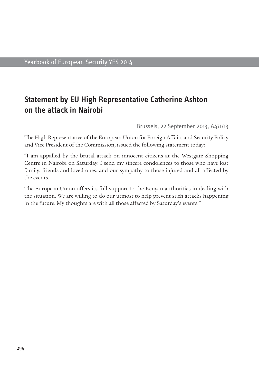### **Statement by EU High Representative Catherine Ashton on the attack in Nairobi**

Brussels, 22 September 2013, A471/13

The High Representative of the European Union for Foreign Affairs and Security Policy and Vice President of the Commission, issued the following statement today:

"I am appalled by the brutal attack on innocent citizens at the Westgate Shopping Centre in Nairobi on Saturday. I send my sincere condolences to those who have lost family, friends and loved ones, and our sympathy to those injured and all affected by the events.

The European Union offers its full support to the Kenyan authorities in dealing with the situation. We are willing to do our utmost to help prevent such attacks happening in the future. My thoughts are with all those affected by Saturday's events."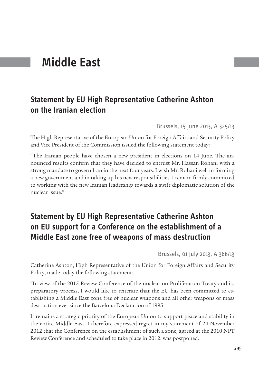# **Middle East**

### **Statement by EU High Representative Catherine Ashton on the Iranian election**

Brussels, 15 June 2013, A 325/13

The High Representative of the European Union for Foreign Affairs and Security Policy and Vice President of the Commission issued the following statement today:

"The Iranian people have chosen a new president in elections on 14 June. The announced results confirm that they have decided to entrust Mr. Hassan Rohani with a strong mandate to govern Iran in the next four years. I wish Mr. Rohani well in forming a new government and in taking up his new responsibilities. I remain firmly committed to working with the new Iranian leadership towards a swift diplomatic solution of the nuclear issue."

## **Statement by EU High Representative Catherine Ashton on EU support for a Conference on the establishment of a Middle East zone free of weapons of mass destruction**

Brussels, 01 July 2013, A 366/13

Catherine Ashton, High Representative of the Union for Foreign Affairs and Security Policy, made today the following statement:

"In view of the 2015 Review Conference of the nuclear on-Proliferation Treaty and its preparatory process, I would like to reiterate that the EU has been committed to establishing a Middle East zone free of nuclear weapons and all other weapons of mass destruction ever since the Barcelona Declaration of 1995.

It remains a strategic priority of the European Union to support peace and stability in the entire Middle East. I therefore expressed regret in my statement of 24 November 2012 that the Conference on the establishment of such a zone, agreed at the 2010 NPT Review Conference and scheduled to take place in 2012, was postponed.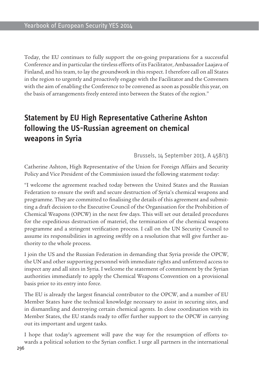Today, the EU continues to fully support the on-going preparations for a successful Conference and in particular the tireless efforts of its Facilitator, Ambassador Laajava of Finland, and his team, to lay the groundwork in this respect. I therefore call on all States in the region to urgently and proactively engage with the Facilitator and the Conveners with the aim of enabling the Conference to be convened as soon as possible this year, on the basis of arrangements freely entered into between the States of the region."

## **Statement by EU High Representative Catherine Ashton following the US-Russian agreement on chemical weapons in Syria**

#### Brussels, 14 September 2013, A 458/13

Catherine Ashton, High Representative of the Union for Foreign Affairs and Security Policy and Vice President of the Commission issued the following statement today:

"I welcome the agreement reached today between the United States and the Russian Federation to ensure the swift and secure destruction of Syria's chemical weapons and programme. They are committed to finalising the details of this agreement and submitting a draft decision to the Executive Council of the Organisation for the Prohibition of Chemical Weapons (OPCW) in the next few days. This will set out detailed procedures for the expeditious destruction of materiel, the termination of the chemical weapons programme and a stringent verification process. I call on the UN Security Council to assume its responsibilities in agreeing swiftly on a resolution that will give further authority to the whole process.

I join the US and the Russian Federation in demanding that Syria provide the OPCW, the UN and other supporting personnel with immediate rights and unfettered access to inspect any and all sites in Syria. I welcome the statement of commitment by the Syrian authorities immediately to apply the Chemical Weapons Convention on a provisional basis prior to its entry into force.

The EU is already the largest financial contributor to the OPCW, and a number of EU Member States have the technical knowledge necessary to assist in securing sites, and in dismantling and destroying certain chemical agents. In close coordination with its Member States, the EU stands ready to offer further support to the OPCW in carrying out its important and urgent tasks.

I hope that today's agreement will pave the way for the resumption of efforts towards a political solution to the Syrian conflict. I urge all partners in the international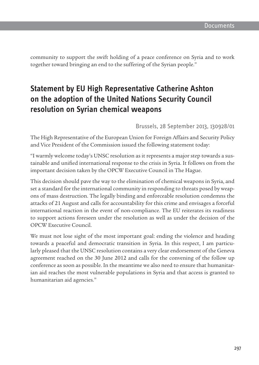community to support the swift holding of a peace conference on Syria and to work together toward bringing an end to the suffering of the Syrian people."

# **Statement by EU High Representative Catherine Ashton on the adoption of the United Nations Security Council resolution on Syrian chemical weapons**

#### Brussels, 28 September 2013, 130928/01

The High Representative of the European Union for Foreign Affairs and Security Policy and Vice President of the Commission issued the following statement today:

"I warmly welcome today's UNSC resolution as it represents a major step towards a sustainable and unified international response to the crisis in Syria. It follows on from the important decision taken by the OPCW Executive Council in The Hague.

This decision should pave the way to the elimination of chemical weapons in Syria, and set a standard for the international community in responding to threats posed by weapons of mass destruction. The legally binding and enforceable resolution condemns the attacks of 21 August and calls for accountability for this crime and envisages a forceful international reaction in the event of non-compliance. The EU reiterates its readiness to support actions foreseen under the resolution as well as under the decision of the OPCW Executive Council.

We must not lose sight of the most important goal: ending the violence and heading towards a peaceful and democratic transition in Syria. In this respect, I am particularly pleased that the UNSC resolution contains a very clear endorsement of the Geneva agreement reached on the 30 June 2012 and calls for the convening of the follow up conference as soon as possible. In the meantime we also need to ensure that humanitarian aid reaches the most vulnerable populations in Syria and that access is granted to humanitarian aid agencies."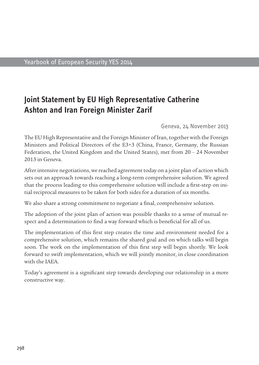# **Joint Statement by EU High Representative Catherine Ashton and Iran Foreign Minister Zarif**

Geneva, 24 November 2013

The EU High Representative and the Foreign Minister of Iran, together with the Foreign Ministers and Political Directors of the E3+3 (China, France, Germany, the Russian Federation, the United Kingdom and the United States), met from 20 – 24 November 2013 in Geneva.

After intensive negotiations, we reached agreement today on a joint plan of action which sets out an approach towards reaching a long-term comprehensive solution. We agreed that the process leading to this comprehensive solution will include a first-step on initial reciprocal measures to be taken for both sides for a duration of six months.

We also share a strong commitment to negotiate a final, comprehensive solution.

The adoption of the joint plan of action was possible thanks to a sense of mutual respect and a determination to find a way forward which is beneficial for all of us.

The implementation of this first step creates the time and environment needed for a comprehensive solution, which remains the shared goal and on which talks will begin soon. The work on the implementation of this first step will begin shortly. We look forward to swift implementation, which we will jointly monitor, in close coordination with the **JAEA** 

Today's agreement is a significant step towards developing our relationship in a more constructive way.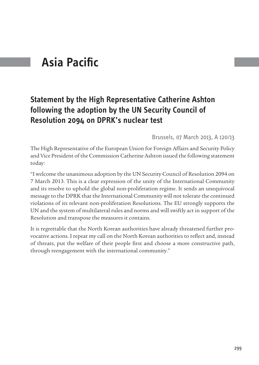# **Asia Pacific**

# **Statement by the High Representative Catherine Ashton following the adoption by the UN Security Council of Resolution 2094 on DPRK's nuclear test**

#### Brussels, 07 March 2013, A 120/13

The High Representative of the European Union for Foreign Affairs and Security Policy and Vice President of the Commission Catherine Ashton issued the following statement today:

"I welcome the unanimous adoption by the UN Security Council of Resolution 2094 on 7 March 2013. This is a clear expression of the unity of the International Community and its resolve to uphold the global non-proliferation regime. It sends an unequivocal message to the DPRK that the International Community will not tolerate the continued violations of its relevant non-proliferation Resolutions. The EU strongly supports the UN and the system of multilateral rules and norms and will swiftly act in support of the Resolution and transpose the measures it contains.

It is regrettable that the North Korean authorities have already threatened further provocative actions. I repeat my call on the North Korean authorities to reflect and, instead of threats, put the welfare of their people first and choose a more constructive path, through reengagement with the international community."